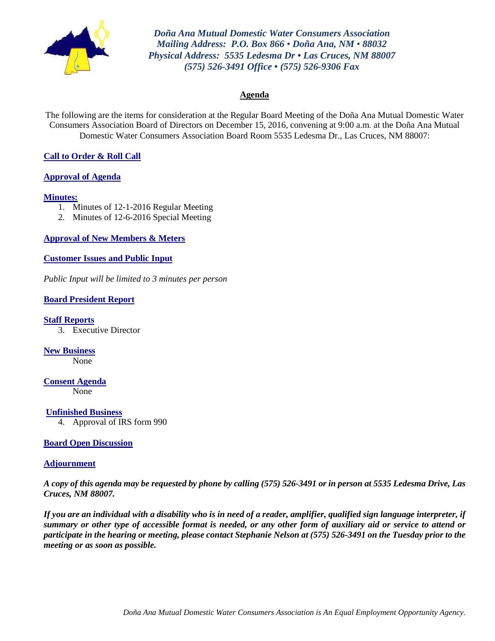

*Doña Ana Mutual Domestic Water Consumers Association Mailing Address: P.O. Box 866 • Doña Ana, NM • 88032 Physical Address: 5535 Ledesma Dr • Las Cruces, NM 88007 (575) 526-3491 Office • (575) 526-9306 Fax*

#### **Agenda**

The following are the items for consideration at the Regular Board Meeting of the Doña Ana Mutual Domestic Water Consumers Association Board of Directors on December 15, 2016, convening at 9:00 a.m. at the Doña Ana Mutual Domestic Water Consumers Association Board Room 5535 Ledesma Dr., Las Cruces, NM 88007:

#### **Call to Order & Roll Call**

#### **Approval of Agenda**

#### **Minutes:**

- 1. Minutes of 12-1-2016 Regular Meeting
- 2. Minutes of 12-6-2016 Special Meeting

**Approval of New Members & Meters**

#### **Customer Issues and Public Input**

*Public Input will be limited to 3 minutes per person*

#### **Board President Report**

**Staff Reports**

3. Executive Director

**New Business** None

**Consent Agenda** None

**Unfinished Business**

4. Approval of IRS form 990

#### **Board Open Discussion**

#### **Adjournment**

*A copy of this agenda may be requested by phone by calling (575) 526-3491 or in person at 5535 Ledesma Drive, Las Cruces, NM 88007.*

*If you are an individual with a disability who is in need of a reader, amplifier, qualified sign language interpreter, if summary or other type of accessible format is needed, or any other form of auxiliary aid or service to attend or participate in the hearing or meeting, please contact Stephanie Nelson at (575) 526-3491 on the Tuesday prior to the meeting or as soon as possible.*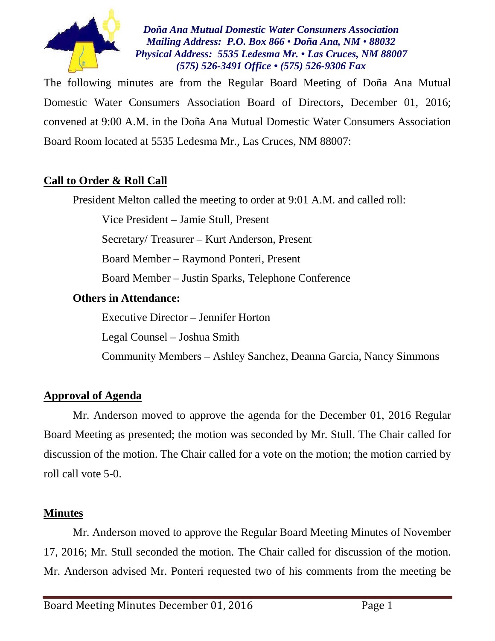

*Doña Ana Mutual Domestic Water Consumers Association Mailing Address: P.O. Box 866 • Doña Ana, NM • 88032 Physical Address: 5535 Ledesma Mr. • Las Cruces, NM 88007 (575) 526-3491 Office • (575) 526-9306 Fax*

The following minutes are from the Regular Board Meeting of Doña Ana Mutual Domestic Water Consumers Association Board of Directors, December 01, 2016; convened at 9:00 A.M. in the Doña Ana Mutual Domestic Water Consumers Association Board Room located at 5535 Ledesma Mr., Las Cruces, NM 88007:

# **Call to Order & Roll Call**

President Melton called the meeting to order at 9:01 A.M. and called roll:

Vice President – Jamie Stull, Present

Secretary/ Treasurer – Kurt Anderson, Present

Board Member – Raymond Ponteri, Present

Board Member – Justin Sparks, Telephone Conference

# **Others in Attendance:**

Executive Director – Jennifer Horton

Legal Counsel – Joshua Smith

Community Members – Ashley Sanchez, Deanna Garcia, Nancy Simmons

# **Approval of Agenda**

Mr. Anderson moved to approve the agenda for the December 01, 2016 Regular Board Meeting as presented; the motion was seconded by Mr. Stull. The Chair called for discussion of the motion. The Chair called for a vote on the motion; the motion carried by roll call vote 5-0.

# **Minutes**

Mr. Anderson moved to approve the Regular Board Meeting Minutes of November 17, 2016; Mr. Stull seconded the motion. The Chair called for discussion of the motion. Mr. Anderson advised Mr. Ponteri requested two of his comments from the meeting be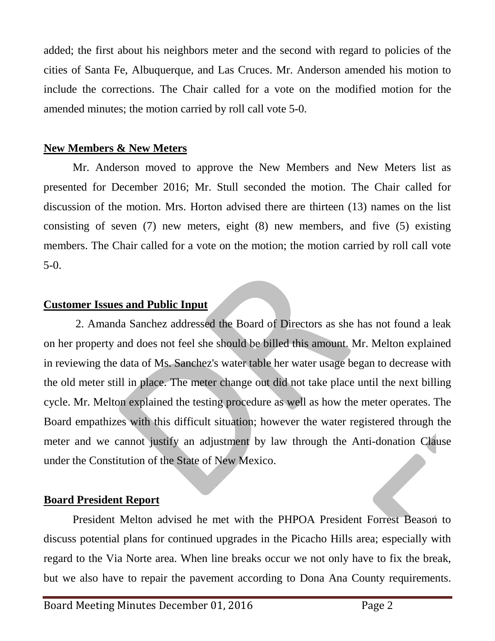added; the first about his neighbors meter and the second with regard to policies of the cities of Santa Fe, Albuquerque, and Las Cruces. Mr. Anderson amended his motion to include the corrections. The Chair called for a vote on the modified motion for the amended minutes; the motion carried by roll call vote 5-0.

# **New Members & New Meters**

Mr. Anderson moved to approve the New Members and New Meters list as presented for December 2016; Mr. Stull seconded the motion. The Chair called for discussion of the motion. Mrs. Horton advised there are thirteen (13) names on the list consisting of seven (7) new meters, eight (8) new members, and five (5) existing members. The Chair called for a vote on the motion; the motion carried by roll call vote 5-0.

# **Customer Issues and Public Input**

2. Amanda Sanchez addressed the Board of Directors as she has not found a leak on her property and does not feel she should be billed this amount. Mr. Melton explained in reviewing the data of Ms. Sanchez's water table her water usage began to decrease with the old meter still in place. The meter change out did not take place until the next billing cycle. Mr. Melton explained the testing procedure as well as how the meter operates. The Board empathizes with this difficult situation; however the water registered through the meter and we cannot justify an adjustment by law through the Anti-donation Clause under the Constitution of the State of New Mexico.

# **Board President Report**

President Melton advised he met with the PHPOA President Forrest Beason to discuss potential plans for continued upgrades in the Picacho Hills area; especially with regard to the Via Norte area. When line breaks occur we not only have to fix the break, but we also have to repair the pavement according to Dona Ana County requirements.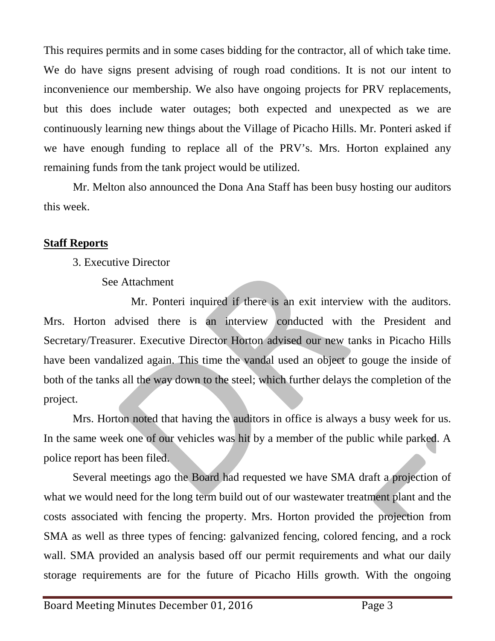This requires permits and in some cases bidding for the contractor, all of which take time. We do have signs present advising of rough road conditions. It is not our intent to inconvenience our membership. We also have ongoing projects for PRV replacements, but this does include water outages; both expected and unexpected as we are continuously learning new things about the Village of Picacho Hills. Mr. Ponteri asked if we have enough funding to replace all of the PRV's. Mrs. Horton explained any remaining funds from the tank project would be utilized.

Mr. Melton also announced the Dona Ana Staff has been busy hosting our auditors this week.

# **Staff Reports**

- 3. Executive Director
	- See Attachment

Mr. Ponteri inquired if there is an exit interview with the auditors. Mrs. Horton advised there is an interview conducted with the President and Secretary/Treasurer. Executive Director Horton advised our new tanks in Picacho Hills have been vandalized again. This time the vandal used an object to gouge the inside of both of the tanks all the way down to the steel; which further delays the completion of the project.

Mrs. Horton noted that having the auditors in office is always a busy week for us. In the same week one of our vehicles was hit by a member of the public while parked. A police report has been filed.

Several meetings ago the Board had requested we have SMA draft a projection of what we would need for the long term build out of our wastewater treatment plant and the costs associated with fencing the property. Mrs. Horton provided the projection from SMA as well as three types of fencing: galvanized fencing, colored fencing, and a rock wall. SMA provided an analysis based off our permit requirements and what our daily storage requirements are for the future of Picacho Hills growth. With the ongoing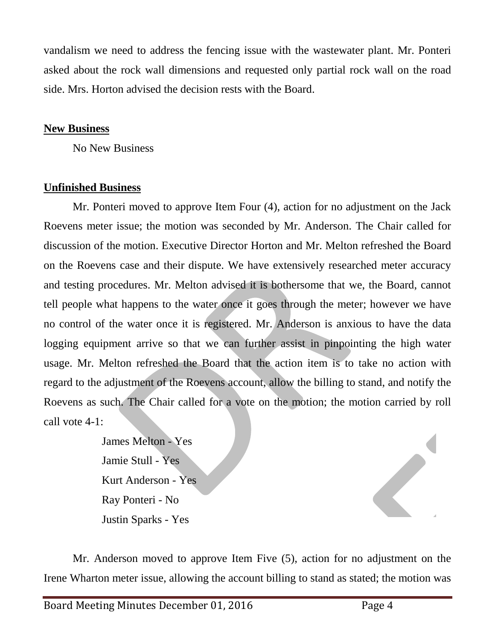vandalism we need to address the fencing issue with the wastewater plant. Mr. Ponteri asked about the rock wall dimensions and requested only partial rock wall on the road side. Mrs. Horton advised the decision rests with the Board.

# **New Business**

No New Business

# **Unfinished Business**

Mr. Ponteri moved to approve Item Four (4), action for no adjustment on the Jack Roevens meter issue; the motion was seconded by Mr. Anderson. The Chair called for discussion of the motion. Executive Director Horton and Mr. Melton refreshed the Board on the Roevens case and their dispute. We have extensively researched meter accuracy and testing procedures. Mr. Melton advised it is bothersome that we, the Board, cannot tell people what happens to the water once it goes through the meter; however we have no control of the water once it is registered. Mr. Anderson is anxious to have the data logging equipment arrive so that we can further assist in pinpointing the high water usage. Mr. Melton refreshed the Board that the action item is to take no action with regard to the adjustment of the Roevens account, allow the billing to stand, and notify the Roevens as such. The Chair called for a vote on the motion; the motion carried by roll call vote 4-1:

> James Melton - Yes Jamie Stull - Yes Kurt Anderson - Yes Ray Ponteri - No Justin Sparks - Yes

Mr. Anderson moved to approve Item Five (5), action for no adjustment on the Irene Wharton meter issue, allowing the account billing to stand as stated; the motion was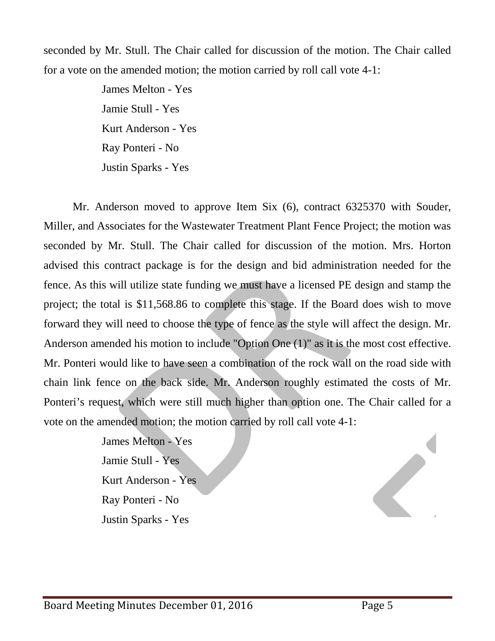seconded by Mr. Stull. The Chair called for discussion of the motion. The Chair called for a vote on the amended motion; the motion carried by roll call vote 4-1:

> James Melton - Yes Jamie Stull - Yes Kurt Anderson - Yes Ray Ponteri - No Justin Sparks - Yes

Mr. Anderson moved to approve Item Six (6), contract 6325370 with Souder, Miller, and Associates for the Wastewater Treatment Plant Fence Project; the motion was seconded by Mr. Stull. The Chair called for discussion of the motion. Mrs. Horton advised this contract package is for the design and bid administration needed for the fence. As this will utilize state funding we must have a licensed PE design and stamp the project; the total is \$11,568.86 to complete this stage. If the Board does wish to move forward they will need to choose the type of fence as the style will affect the design. Mr. Anderson amended his motion to include "Option One (1)" as it is the most cost effective. Mr. Ponteri would like to have seen a combination of the rock wall on the road side with chain link fence on the back side. Mr. Anderson roughly estimated the costs of Mr. Ponteri's request, which were still much higher than option one. The Chair called for a vote on the amended motion; the motion carried by roll call vote 4-1:

> James Melton - Yes Jamie Stull - Yes Kurt Anderson - Yes Ray Ponteri - No Justin Sparks - Yes

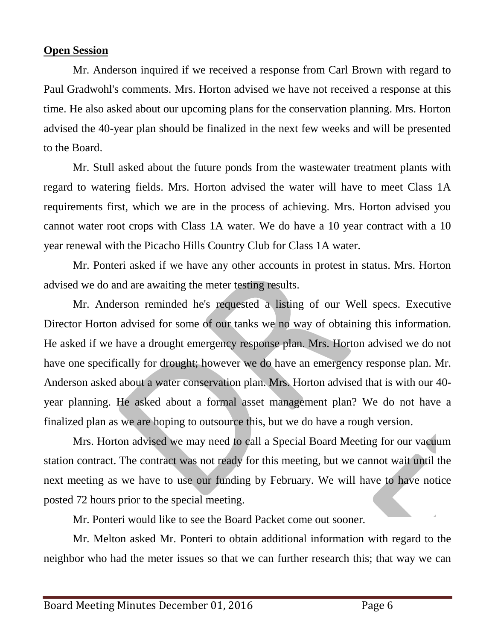# **Open Session**

Mr. Anderson inquired if we received a response from Carl Brown with regard to Paul Gradwohl's comments. Mrs. Horton advised we have not received a response at this time. He also asked about our upcoming plans for the conservation planning. Mrs. Horton advised the 40-year plan should be finalized in the next few weeks and will be presented to the Board.

Mr. Stull asked about the future ponds from the wastewater treatment plants with regard to watering fields. Mrs. Horton advised the water will have to meet Class 1A requirements first, which we are in the process of achieving. Mrs. Horton advised you cannot water root crops with Class 1A water. We do have a 10 year contract with a 10 year renewal with the Picacho Hills Country Club for Class 1A water.

Mr. Ponteri asked if we have any other accounts in protest in status. Mrs. Horton advised we do and are awaiting the meter testing results.

Mr. Anderson reminded he's requested a listing of our Well specs. Executive Director Horton advised for some of our tanks we no way of obtaining this information. He asked if we have a drought emergency response plan. Mrs. Horton advised we do not have one specifically for drought; however we do have an emergency response plan. Mr. Anderson asked about a water conservation plan. Mrs. Horton advised that is with our 40 year planning. He asked about a formal asset management plan? We do not have a finalized plan as we are hoping to outsource this, but we do have a rough version.

Mrs. Horton advised we may need to call a Special Board Meeting for our vacuum station contract. The contract was not ready for this meeting, but we cannot wait until the next meeting as we have to use our funding by February. We will have to have notice posted 72 hours prior to the special meeting.

Mr. Ponteri would like to see the Board Packet come out sooner.

Mr. Melton asked Mr. Ponteri to obtain additional information with regard to the neighbor who had the meter issues so that we can further research this; that way we can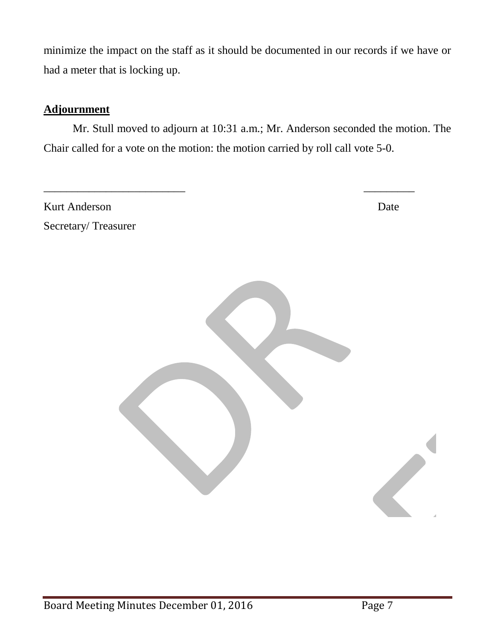minimize the impact on the staff as it should be documented in our records if we have or had a meter that is locking up.

# **Adjournment**

Mr. Stull moved to adjourn at 10:31 a.m.; Mr. Anderson seconded the motion. The Chair called for a vote on the motion: the motion carried by roll call vote 5-0.

\_\_\_\_\_\_\_\_\_\_\_\_\_\_\_\_\_\_\_\_\_\_\_\_\_ \_\_\_\_\_\_\_\_\_

Kurt Anderson Date Secretary/ Treasurer

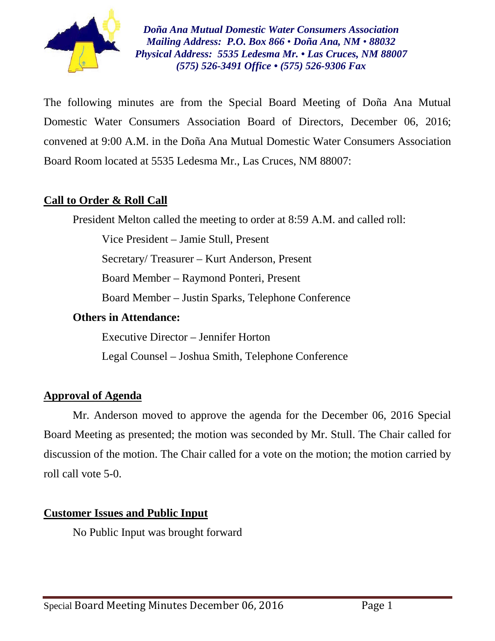

*Doña Ana Mutual Domestic Water Consumers Association Mailing Address: P.O. Box 866 • Doña Ana, NM • 88032 Physical Address: 5535 Ledesma Mr. • Las Cruces, NM 88007 (575) 526-3491 Office • (575) 526-9306 Fax*

The following minutes are from the Special Board Meeting of Doña Ana Mutual Domestic Water Consumers Association Board of Directors, December 06, 2016; convened at 9:00 A.M. in the Doña Ana Mutual Domestic Water Consumers Association Board Room located at 5535 Ledesma Mr., Las Cruces, NM 88007:

# **Call to Order & Roll Call**

President Melton called the meeting to order at 8:59 A.M. and called roll:

Vice President – Jamie Stull, Present

Secretary/ Treasurer – Kurt Anderson, Present

Board Member – Raymond Ponteri, Present

Board Member – Justin Sparks, Telephone Conference

# **Others in Attendance:**

Executive Director – Jennifer Horton

Legal Counsel – Joshua Smith, Telephone Conference

# **Approval of Agenda**

Mr. Anderson moved to approve the agenda for the December 06, 2016 Special Board Meeting as presented; the motion was seconded by Mr. Stull. The Chair called for discussion of the motion. The Chair called for a vote on the motion; the motion carried by roll call vote 5-0.

# **Customer Issues and Public Input**

No Public Input was brought forward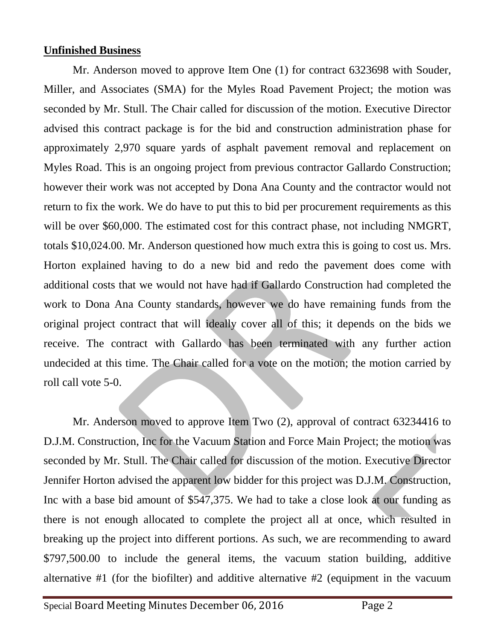# **Unfinished Business**

Mr. Anderson moved to approve Item One (1) for contract 6323698 with Souder, Miller, and Associates (SMA) for the Myles Road Pavement Project; the motion was seconded by Mr. Stull. The Chair called for discussion of the motion. Executive Director advised this contract package is for the bid and construction administration phase for approximately 2,970 square yards of asphalt pavement removal and replacement on Myles Road. This is an ongoing project from previous contractor Gallardo Construction; however their work was not accepted by Dona Ana County and the contractor would not return to fix the work. We do have to put this to bid per procurement requirements as this will be over \$60,000. The estimated cost for this contract phase, not including NMGRT, totals \$10,024.00. Mr. Anderson questioned how much extra this is going to cost us. Mrs. Horton explained having to do a new bid and redo the pavement does come with additional costs that we would not have had if Gallardo Construction had completed the work to Dona Ana County standards, however we do have remaining funds from the original project contract that will ideally cover all of this; it depends on the bids we receive. The contract with Gallardo has been terminated with any further action undecided at this time. The Chair called for a vote on the motion; the motion carried by roll call vote 5-0.

Mr. Anderson moved to approve Item Two (2), approval of contract 63234416 to D.J.M. Construction, Inc for the Vacuum Station and Force Main Project; the motion was seconded by Mr. Stull. The Chair called for discussion of the motion. Executive Director Jennifer Horton advised the apparent low bidder for this project was D.J.M. Construction, Inc with a base bid amount of \$547,375. We had to take a close look at our funding as there is not enough allocated to complete the project all at once, which resulted in breaking up the project into different portions. As such, we are recommending to award \$797,500.00 to include the general items, the vacuum station building, additive alternative #1 (for the biofilter) and additive alternative #2 (equipment in the vacuum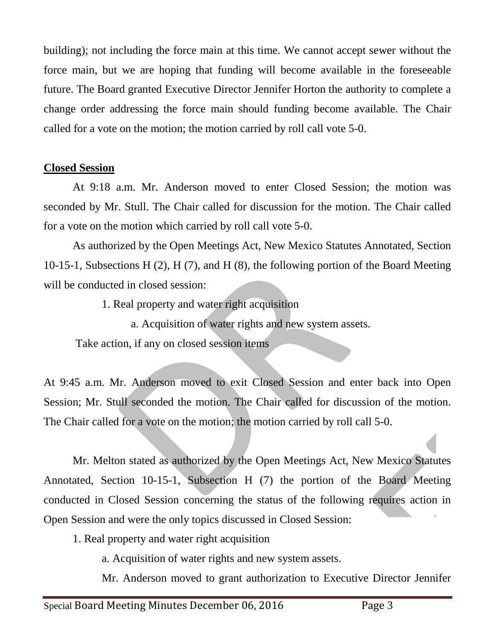building); not including the force main at this time. We cannot accept sewer without the force main, but we are hoping that funding will become available in the foreseeable future. The Board granted Executive Director Jennifer Horton the authority to complete a change order addressing the force main should funding become available. The Chair called for a vote on the motion; the motion carried by roll call vote 5-0.

# **Closed Session**

At 9:18 a.m. Mr. Anderson moved to enter Closed Session; the motion was seconded by Mr. Stull. The Chair called for discussion for the motion. The Chair called for a vote on the motion which carried by roll call vote 5-0.

As authorized by the Open Meetings Act, New Mexico Statutes Annotated, Section 10-15-1, Subsections H (2), H (7), and H (8), the following portion of the Board Meeting will be conducted in closed session:

- 1. Real property and water right acquisition
	- a. Acquisition of water rights and new system assets.

Take action, if any on closed session items

At 9:45 a.m. Mr. Anderson moved to exit Closed Session and enter back into Open Session; Mr. Stull seconded the motion. The Chair called for discussion of the motion. The Chair called for a vote on the motion; the motion carried by roll call 5-0.

Mr. Melton stated as authorized by the Open Meetings Act, New Mexico Statutes Annotated, Section 10-15-1, Subsection H (7) the portion of the Board Meeting conducted in Closed Session concerning the status of the following requires action in Open Session and were the only topics discussed in Closed Session:

1. Real property and water right acquisition

a. Acquisition of water rights and new system assets.

Mr. Anderson moved to grant authorization to Executive Director Jennifer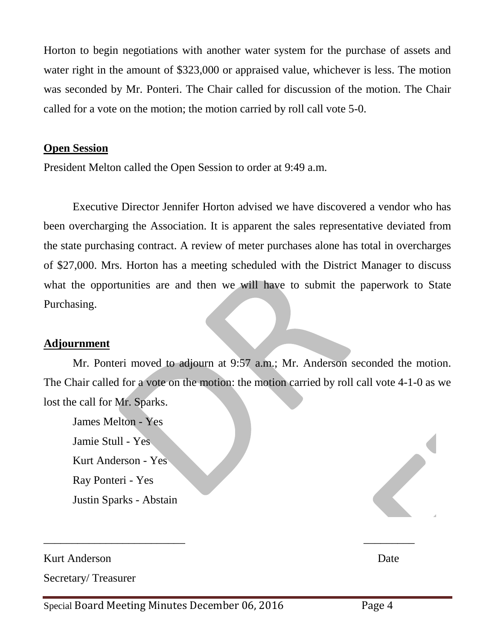Horton to begin negotiations with another water system for the purchase of assets and water right in the amount of \$323,000 or appraised value, whichever is less. The motion was seconded by Mr. Ponteri. The Chair called for discussion of the motion. The Chair called for a vote on the motion; the motion carried by roll call vote 5-0.

## **Open Session**

President Melton called the Open Session to order at 9:49 a.m.

Executive Director Jennifer Horton advised we have discovered a vendor who has been overcharging the Association. It is apparent the sales representative deviated from the state purchasing contract. A review of meter purchases alone has total in overcharges of \$27,000. Mrs. Horton has a meeting scheduled with the District Manager to discuss what the opportunities are and then we will have to submit the paperwork to State Purchasing.

## **Adjournment**

Mr. Ponteri moved to adjourn at 9:57 a.m.; Mr. Anderson seconded the motion. The Chair called for a vote on the motion: the motion carried by roll call vote 4-1-0 as we lost the call for Mr. Sparks.

James Melton - Yes Jamie Stull - Yes Kurt Anderson - Yes Ray Ponteri - Yes Justin Sparks - Abstain

Kurt Anderson Date Secretary/ Treasurer

\_\_\_\_\_\_\_\_\_\_\_\_\_\_\_\_\_\_\_\_\_\_\_\_\_ \_\_\_\_\_\_\_\_\_

Special Board Meeting Minutes December 06, 2016 Page 4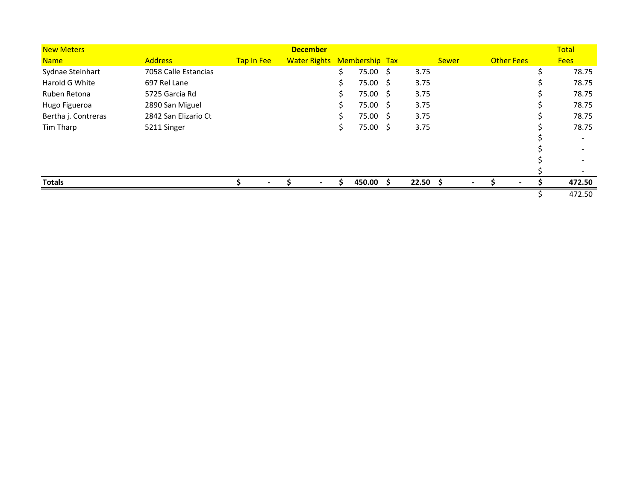| <b>New Meters</b>   |                      |            | <b>December</b>                    |     |           |            |              |                   | Total       |
|---------------------|----------------------|------------|------------------------------------|-----|-----------|------------|--------------|-------------------|-------------|
| <b>Name</b>         | <b>Address</b>       | Tap In Fee | <b>Water Rights Membership Tax</b> |     |           |            | <b>Sewer</b> | <b>Other Fees</b> | <b>Fees</b> |
| Sydnae Steinhart    | 7058 Calle Estancias |            |                                    | \$  | 75.00 \$  | 3.75       |              |                   | 78.75       |
| Harold G White      | 697 Rel Lane         |            |                                    | \$  | 75.00 \$  | 3.75       |              |                   | 78.75       |
| Ruben Retona        | 5725 Garcia Rd       |            |                                    | \$  | 75.00 \$  | 3.75       |              |                   | 78.75       |
| Hugo Figueroa       | 2890 San Miguel      |            |                                    | \$  | 75.00 \$  | 3.75       |              |                   | 78.75       |
| Bertha j. Contreras | 2842 San Elizario Ct |            |                                    | \$  | 75.00 \$  | 3.75       |              |                   | 78.75       |
| Tim Tharp           | 5211 Singer          |            |                                    | \$. | 75.00 \$  | 3.75       |              |                   | 78.75       |
|                     |                      |            |                                    |     |           |            |              |                   |             |
|                     |                      |            |                                    |     |           |            |              |                   |             |
|                     |                      |            |                                    |     |           |            |              |                   |             |
|                     |                      |            |                                    |     |           |            |              |                   |             |
| <b>Totals</b>       |                      |            |                                    | S.  | 450.00 \$ | $22.50$ \$ | $\sim$       |                   | 472.50      |
|                     |                      |            |                                    |     |           |            |              |                   | 472.50      |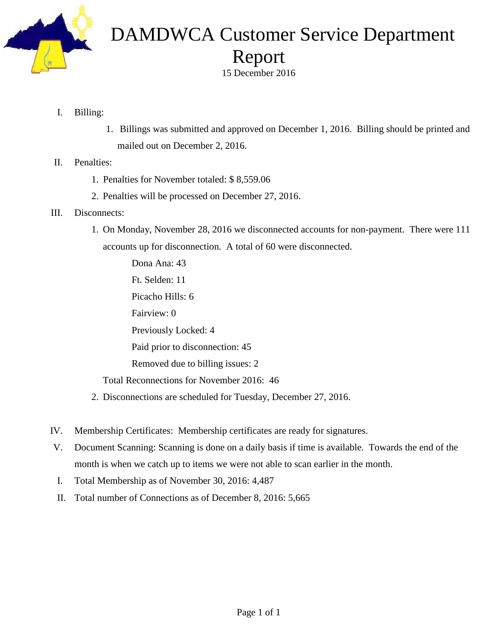

# DAMDWCA Customer Service Department Report

15 December 2016

- I. Billing:
	- 1. Billings was submitted and approved on December 1, 2016. Billing should be printed and mailed out on December 2, 2016.
- II. Penalties:
	- 1. Penalties for November totaled: \$ 8,559.06
	- 2. Penalties will be processed on December 27, 2016.
- III. Disconnects:
	- 1. On Monday, November 28, 2016 we disconnected accounts for non-payment. There were 111 accounts up for disconnection. A total of 60 were disconnected.

Dona Ana: 43 Ft. Selden: 11 Picacho Hills: 6 Fairview: 0 Previously Locked: 4 Paid prior to disconnection: 45 Removed due to billing issues: 2 Total Reconnections for November 2016: 46

- 2. Disconnections are scheduled for Tuesday, December 27, 2016.
- IV. Membership Certificates: Membership certificates are ready for signatures.
- V. Document Scanning: Scanning is done on a daily basis if time is available. Towards the end of the month is when we catch up to items we were not able to scan earlier in the month.
- I. Total Membership as of November 30, 2016: 4,487
- II. Total number of Connections as of December 8, 2016: 5,665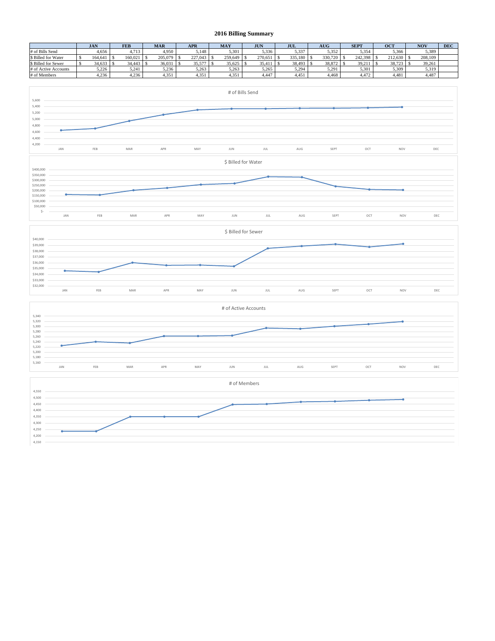#### **2016 Billing Summary**

|                      | <b>JAN</b> | <b>FEB</b> | <b>MAR</b> | <b>APR</b> | <b>MAY</b> | <b>JUN</b> | JUL     | <b>AUG</b> | <b>SEPT</b> | <b>OCT</b> | <b>NOV</b> | <b>DEC</b> |
|----------------------|------------|------------|------------|------------|------------|------------|---------|------------|-------------|------------|------------|------------|
| # of Bills Send      | 4,656      | 4,713      | .950       | 5,148      | 5.301      | 5,336      | 5,337   | 5.352      | 5,354       | 5,366      | 5,389      |            |
| \$ Billed for Water  | 164.641    | 160.021    | 205,079    | 227,043    | 259,649    | 270.651    | 335.180 | 330,720    | 242.398     | 212.630    | 208,109    |            |
| \$ Billed for Sewer  | 34,633     | 34.443     | 36.031     | 35.57      | 35.625     | 35.41      | 38.493  | 38,872     | 39,21       | 38,723     | 39,261     |            |
| # of Active Accounts | 5.226      | 5.241      | 5,236      | 5,263      | 5.263      | 5.265      | 5.294   | 5.291      | 5.301       | 5,309      | 5,319      |            |
| # of Members         | 4.236      | 4.236      | 1.351      | 1.351      | 1.351      | 4.447      | 4.451   | 4.468      | 4.472       | 4.481      | 4.487      |            |





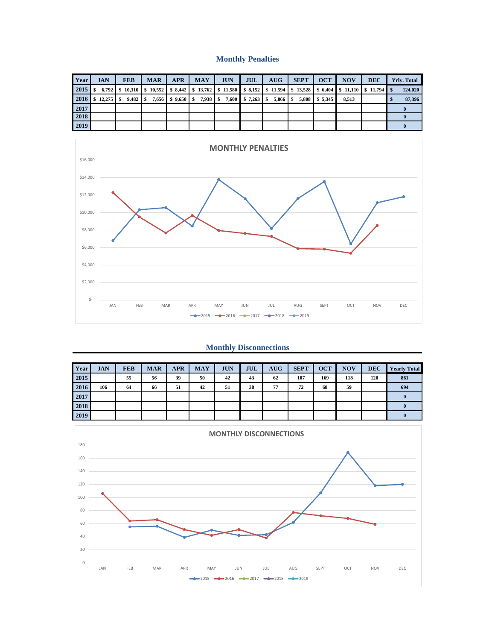#### **Monthly Penalties**

| Year | <b>JAN</b> | <b>FEB</b> | <b>MAR</b> | <b>APR</b>    | <b>MAY</b> | <b>JUN</b> | JUL                 | $A\overline{U}G$ | <b>SEPT</b> | <b>OCT</b>     | <b>NOV</b> | <b>DEC</b>                                                                                                                                  | <b>Yrly. Total</b> |
|------|------------|------------|------------|---------------|------------|------------|---------------------|------------------|-------------|----------------|------------|---------------------------------------------------------------------------------------------------------------------------------------------|--------------------|
|      |            |            |            |               |            |            |                     |                  |             |                |            | 6.792 \ \$ 10.310 \ \$ 10.552 \ \$ 8.442 \ \$ 13.762 \ \$ 11.580 \ \$ 8.152 \ \$ 11.594 \ \$ 13.528 \ \$ 6.404 \ \$ 11.110 \ \$ 11.794 \ \$ | 124,020            |
| 2016 |            | $9,482$ \$ | 7,656      | $$9,650$ \ \$ | $7,938$ \$ |            | $7,600$ \$ 7,263 \$ |                  |             | 5,808 \$ 5,345 | 8,513      |                                                                                                                                             | 87,396             |
| 2017 |            |            |            |               |            |            |                     |                  |             |                |            |                                                                                                                                             |                    |
| 2018 |            |            |            |               |            |            |                     |                  |             |                |            |                                                                                                                                             |                    |
| 2019 |            |            |            |               |            |            |                     |                  |             |                |            |                                                                                                                                             |                    |



#### **Monthly Disconnections**

| Year | <b>JAN</b> | <b>FEB</b> | <b>MAR</b> | <b>APR</b> | <b>MAY</b> | <b>JUN</b> | <b>JUL</b> | <b>AUG</b> | <b>SEPT</b> | <b>OCT</b> | <b>NOV</b> | <b>DEC</b> | <b>Yearly Total</b> |
|------|------------|------------|------------|------------|------------|------------|------------|------------|-------------|------------|------------|------------|---------------------|
| 2015 |            | 55         | 56         | 39         | 50         | 42         | 43         | 62         | 107         | 169        | 118        | 120        | 861                 |
| 2016 | 106        | 64         | 66         | 51         | 42         | 51         | 38         | 77         | 72          | 68         | 59         |            | 694                 |
| 2017 |            |            |            |            |            |            |            |            |             |            |            |            |                     |
| 2018 |            |            |            |            |            |            |            |            |             |            |            |            |                     |
| 2019 |            |            |            |            |            |            |            |            |             |            |            |            |                     |

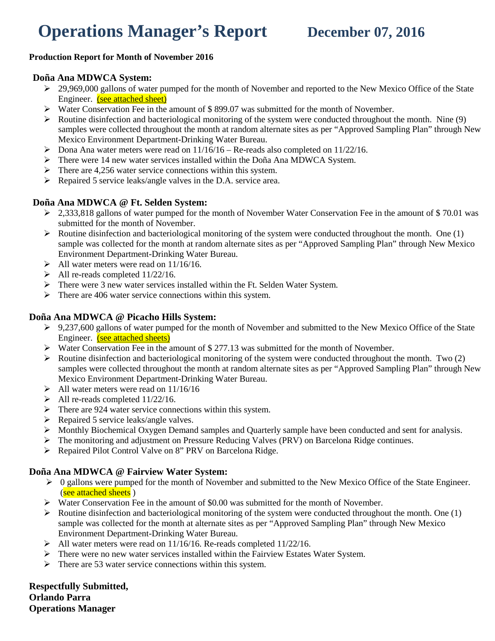# **Operations Manager's Report December 07, 2016**

#### **Production Report for Month of November 2016**

#### **Doña Ana MDWCA System:**

- 29,969,000 gallons of water pumped for the month of November and reported to the New Mexico Office of the State Engineer. (see attached sheet)
- Water Conservation Fee in the amount of \$ 899.07 was submitted for the month of November.
- $\triangleright$  Routine disinfection and bacteriological monitoring of the system were conducted throughout the month. Nine (9) samples were collected throughout the month at random alternate sites as per "Approved Sampling Plan" through New Mexico Environment Department-Drinking Water Bureau.
- $\triangleright$  Dona Ana water meters were read on  $11/16/16$  Re-reads also completed on  $11/22/16$ .
- There were 14 new water services installed within the Doña Ana MDWCA System.
- $\triangleright$  There are 4,256 water service connections within this system.
- $\triangleright$  Repaired 5 service leaks/angle valves in the D.A. service area.

### **Doña Ana MDWCA @ Ft. Selden System:**

- $\geq$  2,333,818 gallons of water pumped for the month of November Water Conservation Fee in the amount of \$70.01 was submitted for the month of November.
- $\triangleright$  Routine disinfection and bacteriological monitoring of the system were conducted throughout the month. One (1) sample was collected for the month at random alternate sites as per "Approved Sampling Plan" through New Mexico Environment Department-Drinking Water Bureau.
- $\blacktriangleright$  All water meters were read on 11/16/16.
- $\blacktriangleright$  All re-reads completed 11/22/16.
- There were 3 new water services installed within the Ft. Selden Water System.
- $\triangleright$  There are 406 water service connections within this system.

### **Doña Ana MDWCA @ Picacho Hills System:**

- 9,237,600 gallons of water pumped for the month of November and submitted to the New Mexico Office of the State Engineer. (see attached sheets)
- Water Conservation Fee in the amount of \$ 277.13 was submitted for the month of November.
- $\triangleright$  Routine disinfection and bacteriological monitoring of the system were conducted throughout the month. Two (2) samples were collected throughout the month at random alternate sites as per "Approved Sampling Plan" through New Mexico Environment Department-Drinking Water Bureau.
- $\blacktriangleright$  All water meters were read on 11/16/16
- $\blacktriangleright$  All re-reads completed 11/22/16.
- $\triangleright$  There are 924 water service connections within this system.
- $\triangleright$  Repaired 5 service leaks/angle valves.
- Monthly Biochemical Oxygen Demand samples and Quarterly sample have been conducted and sent for analysis.
- The monitoring and adjustment on Pressure Reducing Valves (PRV) on Barcelona Ridge continues.
- Repaired Pilot Control Valve on 8" PRV on Barcelona Ridge.

### **Doña Ana MDWCA @ Fairview Water System:**

- $\triangleright$  0 gallons were pumped for the month of November and submitted to the New Mexico Office of the State Engineer. (see attached sheets)
- Water Conservation Fee in the amount of \$0.00 was submitted for the month of November.
- $\triangleright$  Routine disinfection and bacteriological monitoring of the system were conducted throughout the month. One (1) sample was collected for the month at alternate sites as per "Approved Sampling Plan" through New Mexico Environment Department-Drinking Water Bureau.
- $\blacktriangleright$  All water meters were read on 11/16/16. Re-reads completed 11/22/16.
- $\triangleright$  There were no new water services installed within the Fairview Estates Water System.
- $\triangleright$  There are 53 water service connections within this system.

**Respectfully Submitted, Orlando Parra Operations Manager**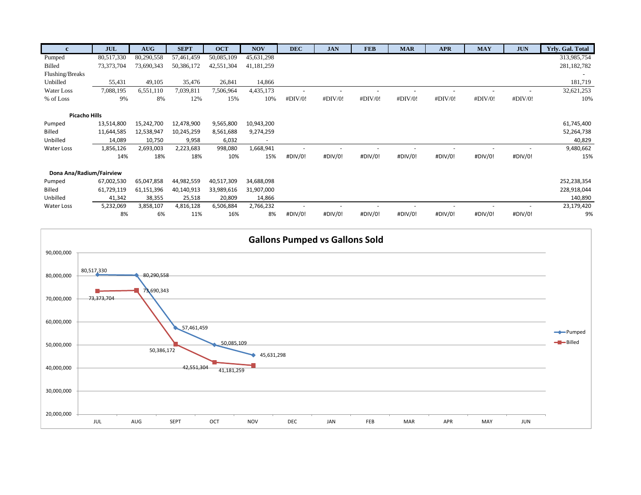| $\mathbf{c}$             | <b>JUL</b> | AUG        | <b>SEPT</b> | <b>OCT</b> | <b>NOV</b>   | <b>DEC</b>               | <b>JAN</b> | <b>FEB</b> | <b>MAR</b> | <b>APR</b> | <b>MAY</b> | <b>JUN</b> | Yrly. Gal. Total |
|--------------------------|------------|------------|-------------|------------|--------------|--------------------------|------------|------------|------------|------------|------------|------------|------------------|
| Pumped                   | 80,517,330 | 80,290,558 | 57,461,459  | 50,085,109 | 45,631,298   |                          |            |            |            |            |            |            | 313,985,754      |
| Billed                   | 73,373,704 | 73,690,343 | 50,386,172  | 42,551,304 | 41, 181, 259 |                          |            |            |            |            |            |            | 281,182,782      |
| Flushing/Breaks          |            |            |             |            |              |                          |            |            |            |            |            |            |                  |
| Unbilled                 | 55,431     | 49,105     | 35,476      | 26,841     | 14,866       |                          |            |            |            |            |            |            | 181,719          |
| Water Loss               | 7,088,195  | 6,551,110  | 7,039,811   | 7,506,964  | 4,435,173    | $\overline{\phantom{0}}$ |            |            |            |            |            |            | 32,621,253       |
| % of Loss                | 9%         | 8%         | 12%         | 15%        | 10%          | #DIV/0!                  | #DIV/0!    | #DIV/0!    | #DIV/0!    | #DIV/0!    | #DIV/0!    | #DIV/0!    | 10%              |
|                          |            |            |             |            |              |                          |            |            |            |            |            |            |                  |
| <b>Picacho Hills</b>     |            |            |             |            |              |                          |            |            |            |            |            |            |                  |
| Pumped                   | 13,514,800 | 15,242,700 | 12,478,900  | 9,565,800  | 10,943,200   |                          |            |            |            |            |            |            | 61,745,400       |
| Billed                   | 11,644,585 | 12,538,947 | 10,245,259  | 8,561,688  | 9,274,259    |                          |            |            |            |            |            |            | 52,264,738       |
| Unbilled                 | 14,089     | 10,750     | 9,958       | 6,032      | ٠            |                          |            |            |            |            |            |            | 40,829           |
| Water Loss               | 1,856,126  | 2,693,003  | 2,223,683   | 998,080    | 1,668,941    |                          |            |            |            |            |            |            | 9,480,662        |
|                          | 14%        | 18%        | 18%         | 10%        | 15%          | #DIV/0!                  | #DIV/0!    | #DIV/0!    | #DIV/0!    | #DIV/0!    | #DIV/0!    | #DIV/0!    | 15%              |
|                          |            |            |             |            |              |                          |            |            |            |            |            |            |                  |
| Dona Ana/Radium/Fairview |            |            |             |            |              |                          |            |            |            |            |            |            |                  |
| Pumped                   | 67,002,530 | 65,047,858 | 44,982,559  | 40,517,309 | 34,688,098   |                          |            |            |            |            |            |            | 252,238,354      |
| Billed                   | 61,729,119 | 61,151,396 | 40,140,913  | 33,989,616 | 31,907,000   |                          |            |            |            |            |            |            | 228,918,044      |
| hellidall                | 41 342     | 38 355     | 25 518      | 20,809     | 14866        |                          |            |            |            |            |            |            | 140 890          |

| ------     | --------- | --------- | .           | --------- | ---------- |         |         |         |         |         |         |         |            |
|------------|-----------|-----------|-------------|-----------|------------|---------|---------|---------|---------|---------|---------|---------|------------|
| Unbilled   | 41.342    | 38,355    | 25,518      | 20,809    | 14,866     |         |         |         |         |         |         |         | 140,890    |
| Water Loss | 5,232,069 | 3.858.107 | 4,816,128   | 6.506.884 | 2.766.232  |         |         |         |         |         |         |         | 23,179,420 |
|            | 8%        | 6%        | 11%<br>ᅩㅗノい | 16%       | 8%         | #DIV/0! | #DIV/0! | #DIV/0! | #DIV/0! | #DIV/0! | #DIV/0! | #DIV/0! | 9%         |

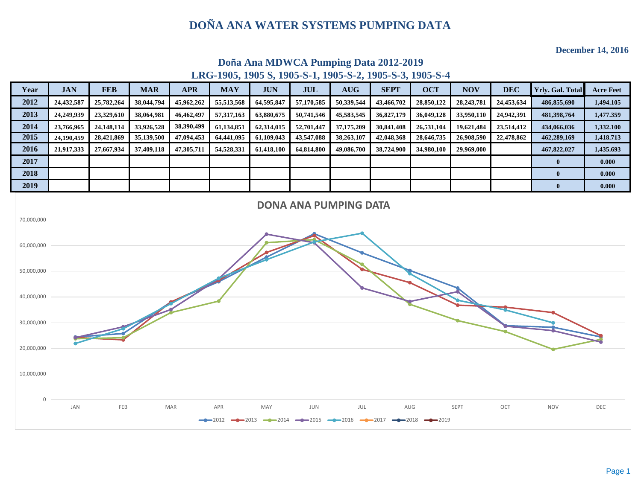**December 14, 2016**



# **Doña Ana MDWCA Pumping Data 2012-2019 LRG-1905, 1905 S, 1905-S-1, 1905-S-2, 1905-S-3, 1905-S-4**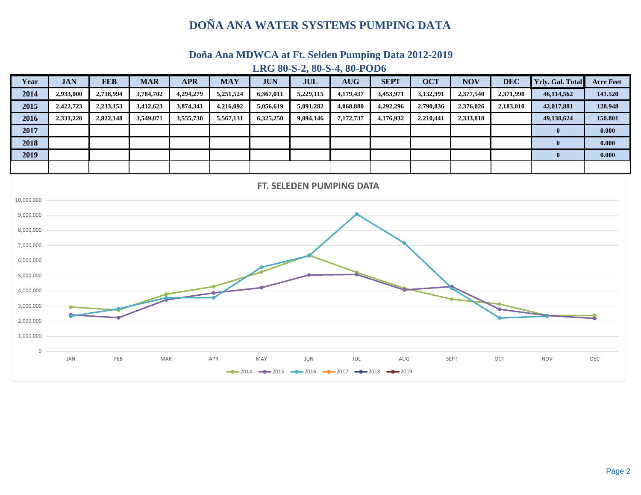## **Doña Ana MDWCA at Ft. Selden Pumping Data 2012-2019**



#### **LRG 80-S-2, 80-S-4, 80-POD6**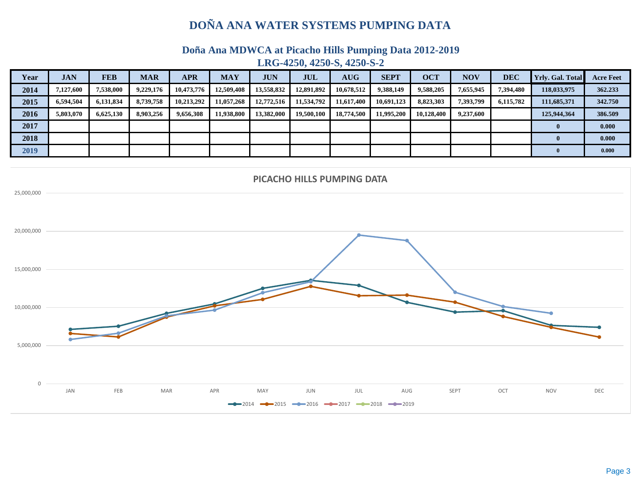**Doña Ana MDWCA at Picacho Hills Pumping Data 2012-2019** 

**LRG-4250, 4250-S, 4250-S-2**

| Year | <b>JAN</b> | <b>FEB</b> | <b>MAR</b> | <b>APR</b> | <b>MAY</b> | <b>JUN</b> | <b>JUL</b> | <b>AUG</b> | <b>SEPT</b> | <b>OCT</b> | $\overline{\text{NOV}}$ | <b>DEC</b> | <b>Yrly. Gal. Total</b> | <b>Acre Feet</b> |
|------|------------|------------|------------|------------|------------|------------|------------|------------|-------------|------------|-------------------------|------------|-------------------------|------------------|
| 2014 | 7,127,600  | 7,538,000  | 9,229,176  | 10,473,776 | 12,509,408 | 13,558,832 | 12,891,892 | 10,678,512 | 9,388,149   | 9,588,205  | 7,655,945               | 7,394,480  | 118,033,975             | 362.233          |
| 2015 | 6,594,504  | 6,131,834  | 8,739,758  | 10,213,292 | 11,057,268 | 12,772,516 | 11,534,792 | 11,617,400 | 10,691,123  | 8,823,303  | 7,393,799               | 6,115,782  | 111,685,371             | 342.750          |
| 2016 | 5,803,070  | 6.625.130  | 8.903.256  | 9,656,308  | 11,938,800 | 13.382,000 | 19,500,100 | 18,774,500 | 11.995.200  | 10.128.400 | 9,237,600               |            | 125,944,364             | 386.509          |
| 2017 |            |            |            |            |            |            |            |            |             |            |                         |            |                         | 0.000            |
| 2018 |            |            |            |            |            |            |            |            |             |            |                         |            |                         | 0.000            |
| 2019 |            |            |            |            |            |            |            |            |             |            |                         |            |                         | 0.000            |

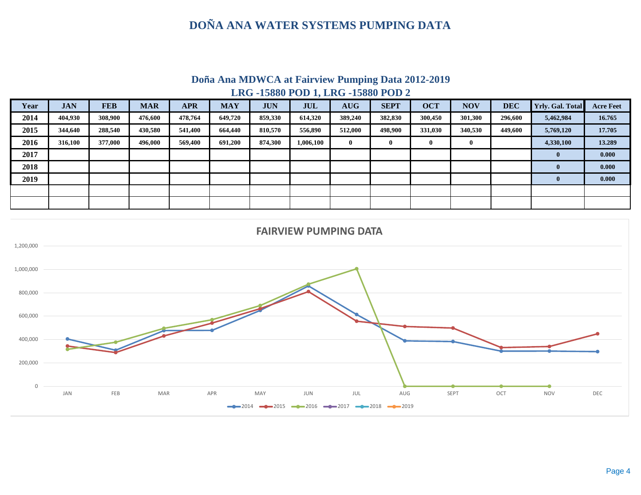**LRG -15880 POD 1, LRG -15880 POD 2 Doña Ana MDWCA at Fairview Pumping Data 2012-2019**

| Year | <b>JAN</b> | <b>FEB</b> | <b>MAR</b> | <b>APR</b> | <b>MAY</b> | <b>JUN</b> | <b>JUL</b> | <b>AUG</b> | <b>SEPT</b> | <b>OCT</b> | <b>NOV</b> | <b>DEC</b> | <b>Yrly. Gal. Total</b> | <b>Acre Feet</b> |
|------|------------|------------|------------|------------|------------|------------|------------|------------|-------------|------------|------------|------------|-------------------------|------------------|
| 2014 | 404,930    | 308,900    | 476.600    | 478,764    | 649,720    | 859,330    | 614,320    | 389,240    | 382,830     | 300,450    | 301,300    | 296,600    | 5,462,984               | 16.765           |
| 2015 | 344,640    | 288,540    | 430,580    | 541,400    | 664,440    | 810,570    | 556,890    | 512,000    | 498,900     | 331,030    | 340,530    | 449,600    | 5,769,120               | 17.705           |
| 2016 | 316,100    | 377,000    | 496.000    | 569,400    | 691.200    | 874,300    | 1,006,100  | 0          | 0           |            | $\bf{0}$   |            | 4,330,100               | 13.289           |
| 2017 |            |            |            |            |            |            |            |            |             |            |            |            | $\bf{0}$                | 0.000            |
| 2018 |            |            |            |            |            |            |            |            |             |            |            |            | $\mathbf{0}$            | 0.000            |
| 2019 |            |            |            |            |            |            |            |            |             |            |            |            | $\mathbf{0}$            | 0.000            |
|      |            |            |            |            |            |            |            |            |             |            |            |            |                         |                  |
|      |            |            |            |            |            |            |            |            |             |            |            |            |                         |                  |

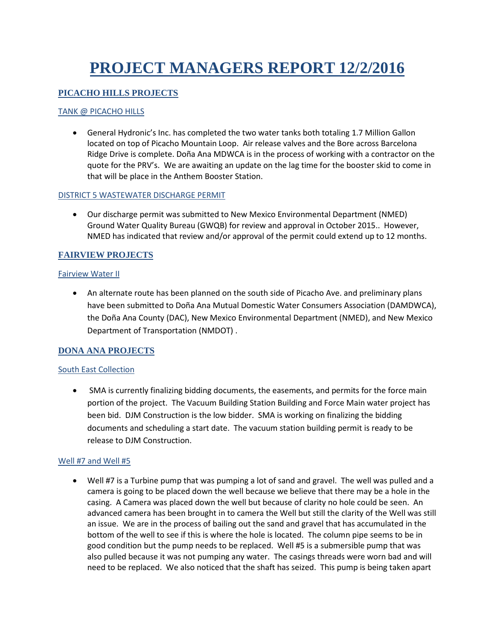# **PROJECT MANAGERS REPORT 12/2/2016**

#### **PICACHO HILLS PROJECTS**

#### TANK @ PICACHO HILLS

• General Hydronic's Inc. has completed the two water tanks both totaling 1.7 Million Gallon located on top of Picacho Mountain Loop. Air release valves and the Bore across Barcelona Ridge Drive is complete. Doña Ana MDWCA is in the process of working with a contractor on the quote for the PRV's. We are awaiting an update on the lag time for the booster skid to come in that will be place in the Anthem Booster Station.

#### DISTRICT 5 WASTEWATER DISCHARGE PERMIT

• Our discharge permit was submitted to New Mexico Environmental Department (NMED) Ground Water Quality Bureau (GWQB) for review and approval in October 2015.. However, NMED has indicated that review and/or approval of the permit could extend up to 12 months.

#### **FAIRVIEW PROJECTS**

#### Fairview Water II

• An alternate route has been planned on the south side of Picacho Ave. and preliminary plans have been submitted to Doña Ana Mutual Domestic Water Consumers Association (DAMDWCA), the Doña Ana County (DAC), New Mexico Environmental Department (NMED), and New Mexico Department of Transportation (NMDOT) .

#### **DONA ANA PROJECTS**

#### South East Collection

• SMA is currently finalizing bidding documents, the easements, and permits for the force main portion of the project. The Vacuum Building Station Building and Force Main water project has been bid. DJM Construction is the low bidder. SMA is working on finalizing the bidding documents and scheduling a start date. The vacuum station building permit is ready to be release to DJM Construction.

#### Well #7 and Well #5

• Well #7 is a Turbine pump that was pumping a lot of sand and gravel. The well was pulled and a camera is going to be placed down the well because we believe that there may be a hole in the casing. A Camera was placed down the well but because of clarity no hole could be seen. An advanced camera has been brought in to camera the Well but still the clarity of the Well was still an issue. We are in the process of bailing out the sand and gravel that has accumulated in the bottom of the well to see if this is where the hole is located. The column pipe seems to be in good condition but the pump needs to be replaced. Well #5 is a submersible pump that was also pulled because it was not pumping any water. The casings threads were worn bad and will need to be replaced. We also noticed that the shaft has seized. This pump is being taken apart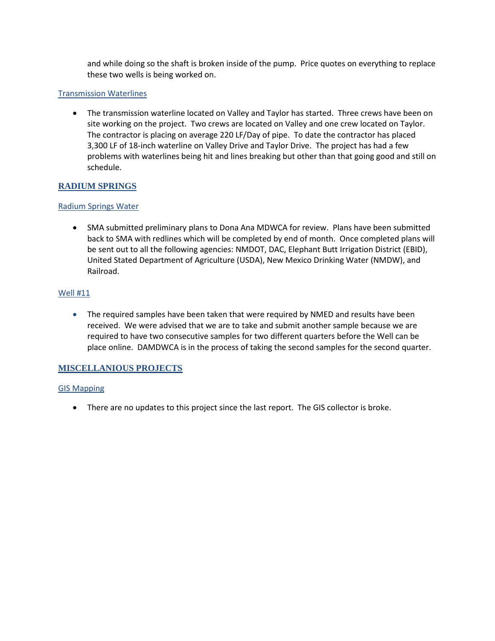and while doing so the shaft is broken inside of the pump. Price quotes on everything to replace these two wells is being worked on.

#### Transmission Waterlines

• The transmission waterline located on Valley and Taylor has started. Three crews have been on site working on the project. Two crews are located on Valley and one crew located on Taylor. The contractor is placing on average 220 LF/Day of pipe. To date the contractor has placed 3,300 LF of 18-inch waterline on Valley Drive and Taylor Drive. The project has had a few problems with waterlines being hit and lines breaking but other than that going good and still on schedule.

#### **RADIUM SPRINGS**

#### Radium Springs Water

• SMA submitted preliminary plans to Dona Ana MDWCA for review. Plans have been submitted back to SMA with redlines which will be completed by end of month. Once completed plans will be sent out to all the following agencies: NMDOT, DAC, Elephant Butt Irrigation District (EBID), United Stated Department of Agriculture (USDA), New Mexico Drinking Water (NMDW), and Railroad.

#### Well #11

• The required samples have been taken that were required by NMED and results have been received. We were advised that we are to take and submit another sample because we are required to have two consecutive samples for two different quarters before the Well can be place online. DAMDWCA is in the process of taking the second samples for the second quarter.

#### **MISCELLANIOUS PROJECTS**

#### GIS Mapping

• There are no updates to this project since the last report. The GIS collector is broke.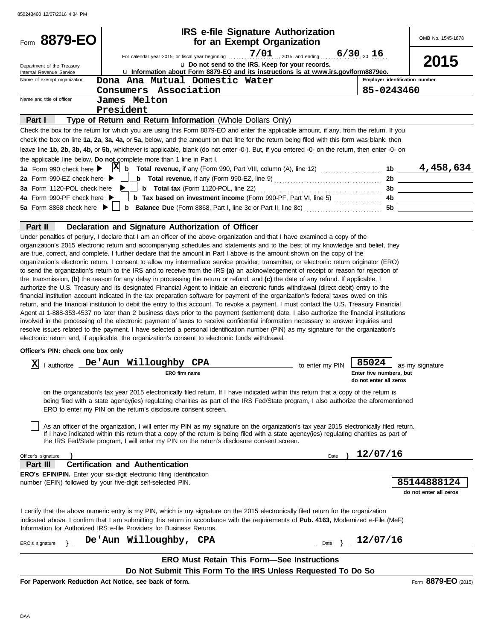| Form 8879-EO                                           | <b>IRS e-file Signature Authorization</b><br>for an Exempt Organization                                                                                                                                                                                                                                                                                                                                                                                                                                                                                                                                                                                                                                                                                                                                                                                                                                                                                                                                                                                                                                                                                                                                                                                                                                                                                                                                                                                                                                                                                                                                                                                  |                                                            | OMB No. 1545-1878                               |
|--------------------------------------------------------|----------------------------------------------------------------------------------------------------------------------------------------------------------------------------------------------------------------------------------------------------------------------------------------------------------------------------------------------------------------------------------------------------------------------------------------------------------------------------------------------------------------------------------------------------------------------------------------------------------------------------------------------------------------------------------------------------------------------------------------------------------------------------------------------------------------------------------------------------------------------------------------------------------------------------------------------------------------------------------------------------------------------------------------------------------------------------------------------------------------------------------------------------------------------------------------------------------------------------------------------------------------------------------------------------------------------------------------------------------------------------------------------------------------------------------------------------------------------------------------------------------------------------------------------------------------------------------------------------------------------------------------------------------|------------------------------------------------------------|-------------------------------------------------|
| Department of the Treasury<br>Internal Revenue Service | $7/01$ , 2015, and ending<br>For calendar year 2015, or fiscal year beginning<br>u Do not send to the IRS. Keep for your records.<br>u Information about Form 8879-EO and its instructions is at www.irs.gov/form8879eo.                                                                                                                                                                                                                                                                                                                                                                                                                                                                                                                                                                                                                                                                                                                                                                                                                                                                                                                                                                                                                                                                                                                                                                                                                                                                                                                                                                                                                                 | $6/30_{20}$ 16                                             | 2015                                            |
| Name of exempt organization                            | Dona Ana Mutual Domestic Water                                                                                                                                                                                                                                                                                                                                                                                                                                                                                                                                                                                                                                                                                                                                                                                                                                                                                                                                                                                                                                                                                                                                                                                                                                                                                                                                                                                                                                                                                                                                                                                                                           | Employer identification number                             |                                                 |
|                                                        | Consumers Association                                                                                                                                                                                                                                                                                                                                                                                                                                                                                                                                                                                                                                                                                                                                                                                                                                                                                                                                                                                                                                                                                                                                                                                                                                                                                                                                                                                                                                                                                                                                                                                                                                    | 85-0243460                                                 |                                                 |
| Name and title of officer                              | James Melton                                                                                                                                                                                                                                                                                                                                                                                                                                                                                                                                                                                                                                                                                                                                                                                                                                                                                                                                                                                                                                                                                                                                                                                                                                                                                                                                                                                                                                                                                                                                                                                                                                             |                                                            |                                                 |
|                                                        | President                                                                                                                                                                                                                                                                                                                                                                                                                                                                                                                                                                                                                                                                                                                                                                                                                                                                                                                                                                                                                                                                                                                                                                                                                                                                                                                                                                                                                                                                                                                                                                                                                                                |                                                            |                                                 |
| Part I                                                 | Type of Return and Return Information (Whole Dollars Only)                                                                                                                                                                                                                                                                                                                                                                                                                                                                                                                                                                                                                                                                                                                                                                                                                                                                                                                                                                                                                                                                                                                                                                                                                                                                                                                                                                                                                                                                                                                                                                                               |                                                            |                                                 |
|                                                        | Check the box for the return for which you are using this Form 8879-EO and enter the applicable amount, if any, from the return. If you<br>check the box on line 1a, 2a, 3a, 4a, or 5a, below, and the amount on that line for the return being filed with this form was blank, then<br>leave line 1b, 2b, 3b, 4b, or 5b, whichever is applicable, blank (do not enter -0-). But, if you entered -0- on the return, then enter -0- on<br>the applicable line below. Do not complete more than 1 line in Part I.                                                                                                                                                                                                                                                                                                                                                                                                                                                                                                                                                                                                                                                                                                                                                                                                                                                                                                                                                                                                                                                                                                                                          |                                                            |                                                 |
| 1a Form 990 check here $\blacktriangleright$           |                                                                                                                                                                                                                                                                                                                                                                                                                                                                                                                                                                                                                                                                                                                                                                                                                                                                                                                                                                                                                                                                                                                                                                                                                                                                                                                                                                                                                                                                                                                                                                                                                                                          |                                                            |                                                 |
| 2a Form 990-EZ check here $\blacktriangleright$        | $\Box$ <b>b</b> Total revenue, if any (Form 990-EZ, line 9) $\ldots$ $\ldots$ $\ldots$ $\ldots$ $\ldots$                                                                                                                                                                                                                                                                                                                                                                                                                                                                                                                                                                                                                                                                                                                                                                                                                                                                                                                                                                                                                                                                                                                                                                                                                                                                                                                                                                                                                                                                                                                                                 |                                                            | 2b                                              |
| 3a Form 1120-POL check here $\blacktriangleright$      |                                                                                                                                                                                                                                                                                                                                                                                                                                                                                                                                                                                                                                                                                                                                                                                                                                                                                                                                                                                                                                                                                                                                                                                                                                                                                                                                                                                                                                                                                                                                                                                                                                                          |                                                            |                                                 |
| 4a Form 990-PF check here $\blacktriangleright$        | <b>b</b> Tax based on investment income (Form 990-PF, Part VI, line 5) $\ldots$                                                                                                                                                                                                                                                                                                                                                                                                                                                                                                                                                                                                                                                                                                                                                                                                                                                                                                                                                                                                                                                                                                                                                                                                                                                                                                                                                                                                                                                                                                                                                                          |                                                            | $\overline{\mathbf{a}}$ $\overline{\mathbf{b}}$ |
|                                                        |                                                                                                                                                                                                                                                                                                                                                                                                                                                                                                                                                                                                                                                                                                                                                                                                                                                                                                                                                                                                                                                                                                                                                                                                                                                                                                                                                                                                                                                                                                                                                                                                                                                          |                                                            | 5b                                              |
|                                                        |                                                                                                                                                                                                                                                                                                                                                                                                                                                                                                                                                                                                                                                                                                                                                                                                                                                                                                                                                                                                                                                                                                                                                                                                                                                                                                                                                                                                                                                                                                                                                                                                                                                          |                                                            |                                                 |
| Part II                                                | Declaration and Signature Authorization of Officer                                                                                                                                                                                                                                                                                                                                                                                                                                                                                                                                                                                                                                                                                                                                                                                                                                                                                                                                                                                                                                                                                                                                                                                                                                                                                                                                                                                                                                                                                                                                                                                                       |                                                            |                                                 |
|                                                        | organization's 2015 electronic return and accompanying schedules and statements and to the best of my knowledge and belief, they<br>are true, correct, and complete. I further declare that the amount in Part I above is the amount shown on the copy of the<br>organization's electronic return. I consent to allow my intermediate service provider, transmitter, or electronic return originator (ERO)<br>to send the organization's return to the IRS and to receive from the IRS (a) an acknowledgement of receipt or reason for rejection of<br>the transmission, (b) the reason for any delay in processing the return or refund, and (c) the date of any refund. If applicable, I<br>authorize the U.S. Treasury and its designated Financial Agent to initiate an electronic funds withdrawal (direct debit) entry to the<br>financial institution account indicated in the tax preparation software for payment of the organization's federal taxes owed on this<br>return, and the financial institution to debit the entry to this account. To revoke a payment, I must contact the U.S. Treasury Financial<br>Agent at 1-888-353-4537 no later than 2 business days prior to the payment (settlement) date. I also authorize the financial institutions<br>involved in the processing of the electronic payment of taxes to receive confidential information necessary to answer inquiries and<br>resolve issues related to the payment. I have selected a personal identification number (PIN) as my signature for the organization's<br>electronic return and, if applicable, the organization's consent to electronic funds withdrawal. |                                                            |                                                 |
| Officer's PIN: check one box only                      |                                                                                                                                                                                                                                                                                                                                                                                                                                                                                                                                                                                                                                                                                                                                                                                                                                                                                                                                                                                                                                                                                                                                                                                                                                                                                                                                                                                                                                                                                                                                                                                                                                                          |                                                            |                                                 |
|                                                        |                                                                                                                                                                                                                                                                                                                                                                                                                                                                                                                                                                                                                                                                                                                                                                                                                                                                                                                                                                                                                                                                                                                                                                                                                                                                                                                                                                                                                                                                                                                                                                                                                                                          |                                                            |                                                 |
| $ {\bf X} $                                            | I authorize De'Aun Willoughby CPA<br>to enter my PIN<br><b>ERO firm name</b>                                                                                                                                                                                                                                                                                                                                                                                                                                                                                                                                                                                                                                                                                                                                                                                                                                                                                                                                                                                                                                                                                                                                                                                                                                                                                                                                                                                                                                                                                                                                                                             | 85024<br>Enter five numbers, but<br>do not enter all zeros | as my signature                                 |
|                                                        | on the organization's tax year 2015 electronically filed return. If I have indicated within this return that a copy of the return is<br>being filed with a state agency(ies) regulating charities as part of the IRS Fed/State program, I also authorize the aforementioned<br>ERO to enter my PIN on the return's disclosure consent screen.                                                                                                                                                                                                                                                                                                                                                                                                                                                                                                                                                                                                                                                                                                                                                                                                                                                                                                                                                                                                                                                                                                                                                                                                                                                                                                            |                                                            |                                                 |
|                                                        | As an officer of the organization, I will enter my PIN as my signature on the organization's tax year 2015 electronically filed return.<br>If I have indicated within this return that a copy of the return is being filed with a state agency(ies) regulating charities as part of<br>the IRS Fed/State program, I will enter my PIN on the return's disclosure consent screen.                                                                                                                                                                                                                                                                                                                                                                                                                                                                                                                                                                                                                                                                                                                                                                                                                                                                                                                                                                                                                                                                                                                                                                                                                                                                         |                                                            |                                                 |
| Officer's signature                                    | Date                                                                                                                                                                                                                                                                                                                                                                                                                                                                                                                                                                                                                                                                                                                                                                                                                                                                                                                                                                                                                                                                                                                                                                                                                                                                                                                                                                                                                                                                                                                                                                                                                                                     | 12/07/16                                                   |                                                 |
| Part III                                               | <b>Certification and Authentication</b>                                                                                                                                                                                                                                                                                                                                                                                                                                                                                                                                                                                                                                                                                                                                                                                                                                                                                                                                                                                                                                                                                                                                                                                                                                                                                                                                                                                                                                                                                                                                                                                                                  |                                                            |                                                 |
|                                                        | <b>ERO's EFIN/PIN.</b> Enter your six-digit electronic filing identification<br>number (EFIN) followed by your five-digit self-selected PIN.                                                                                                                                                                                                                                                                                                                                                                                                                                                                                                                                                                                                                                                                                                                                                                                                                                                                                                                                                                                                                                                                                                                                                                                                                                                                                                                                                                                                                                                                                                             |                                                            | 85144888124<br>do not enter all zeros           |
|                                                        | I certify that the above numeric entry is my PIN, which is my signature on the 2015 electronically filed return for the organization<br>indicated above. I confirm that I am submitting this return in accordance with the requirements of <b>Pub. 4163</b> , Modernized e-File (MeF)<br>Information for Authorized IRS e-file Providers for Business Returns.                                                                                                                                                                                                                                                                                                                                                                                                                                                                                                                                                                                                                                                                                                                                                                                                                                                                                                                                                                                                                                                                                                                                                                                                                                                                                           |                                                            |                                                 |
| ERO's signature                                        | De'Aun Willoughby, CPA<br>Date                                                                                                                                                                                                                                                                                                                                                                                                                                                                                                                                                                                                                                                                                                                                                                                                                                                                                                                                                                                                                                                                                                                                                                                                                                                                                                                                                                                                                                                                                                                                                                                                                           | 12/07/16                                                   |                                                 |
|                                                        | <b>ERO Must Retain This Form-See Instructions</b><br>Do Not Submit This Form To the IRS Unless Requested To Do So                                                                                                                                                                                                                                                                                                                                                                                                                                                                                                                                                                                                                                                                                                                                                                                                                                                                                                                                                                                                                                                                                                                                                                                                                                                                                                                                                                                                                                                                                                                                        |                                                            |                                                 |
|                                                        |                                                                                                                                                                                                                                                                                                                                                                                                                                                                                                                                                                                                                                                                                                                                                                                                                                                                                                                                                                                                                                                                                                                                                                                                                                                                                                                                                                                                                                                                                                                                                                                                                                                          |                                                            |                                                 |

**For Paperwork Reduction Act Notice, see back of form.**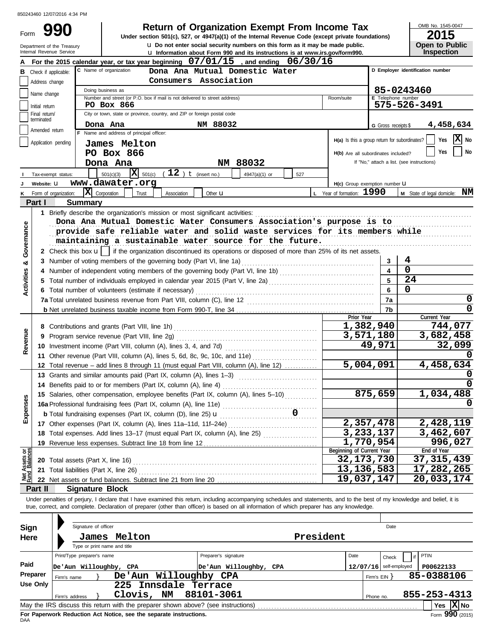Form 990

u **Do not enter social security numbers on this form as it may be made public. Open to Public 990 1990 2015 Depending Solution Solution Solution Script Script Script Script Script Prom Income Tax 1947(a)(1)** of the Internal Revenue Code (except private foundations)

OMB No. 1545-0047

|                                | Department of the Treasury<br>Internal Revenue Service |                                          |                                                                               | <b>u</b> Do not enter social security numbers on this form as it may be made public.                                                                                                                                                                                                                                     |           |                                               |                          | <b>Open to Public</b>                      |
|--------------------------------|--------------------------------------------------------|------------------------------------------|-------------------------------------------------------------------------------|--------------------------------------------------------------------------------------------------------------------------------------------------------------------------------------------------------------------------------------------------------------------------------------------------------------------------|-----------|-----------------------------------------------|--------------------------|--------------------------------------------|
|                                |                                                        |                                          |                                                                               | <b>u</b> Information about Form 990 and its instructions is at www.irs.gov/form990.<br>For the 2015 calendar year, or tax year beginning $07/01/15$ , and ending $06/30/16$                                                                                                                                              |           |                                               |                          | <b>Inspection</b>                          |
|                                |                                                        | C Name of organization                   |                                                                               | Dona Ana Mutual Domestic Water                                                                                                                                                                                                                                                                                           |           |                                               |                          | D Employer identification number           |
| в                              | Check if applicable:                                   |                                          |                                                                               | Consumers Association                                                                                                                                                                                                                                                                                                    |           |                                               |                          |                                            |
|                                | Address change                                         | Doing business as                        |                                                                               |                                                                                                                                                                                                                                                                                                                          |           |                                               |                          | 85-0243460                                 |
|                                | Name change                                            |                                          | Number and street (or P.O. box if mail is not delivered to street address)    |                                                                                                                                                                                                                                                                                                                          |           | Room/suite                                    | E Telephone number       |                                            |
|                                | Initial return                                         |                                          | PO Box 866                                                                    |                                                                                                                                                                                                                                                                                                                          |           |                                               |                          | 575-526-3491                               |
|                                | Final return/<br>terminated                            |                                          | City or town, state or province, country, and ZIP or foreign postal code      |                                                                                                                                                                                                                                                                                                                          |           |                                               |                          |                                            |
|                                | Amended return                                         | Dona Ana                                 |                                                                               | NM 88032                                                                                                                                                                                                                                                                                                                 |           |                                               | G Gross receipts \$      | 4,458,634                                  |
|                                |                                                        |                                          | F Name and address of principal officer:                                      |                                                                                                                                                                                                                                                                                                                          |           | H(a) Is this a group return for subordinates? |                          | $\mathbf{X}$ No<br>Yes                     |
|                                | Application pending                                    |                                          | James Melton                                                                  |                                                                                                                                                                                                                                                                                                                          |           |                                               |                          |                                            |
|                                |                                                        |                                          | PO Box 866                                                                    |                                                                                                                                                                                                                                                                                                                          |           | H(b) Are all subordinates included?           |                          | No<br>Yes                                  |
|                                |                                                        |                                          | Dona Ana                                                                      | NM 88032                                                                                                                                                                                                                                                                                                                 |           |                                               |                          | If "No," attach a list. (see instructions) |
|                                | Tax-exempt status:                                     |                                          | $\overline{\mathbf{X}}$ 501(c)<br>$(12)$ t (insert no.)<br>501(c)(3)          | 4947(a)(1) or                                                                                                                                                                                                                                                                                                            | 527       |                                               |                          |                                            |
|                                | Website: U                                             |                                          | www.dawater.org                                                               |                                                                                                                                                                                                                                                                                                                          |           | H(c) Group exemption number U                 |                          |                                            |
|                                | Form of organization:                                  | X Corporation                            | Trust<br>Association                                                          | Other $\mathbf u$                                                                                                                                                                                                                                                                                                        |           | L Year of formation: 1990                     |                          | M State of legal domicile: NM              |
|                                | Part I                                                 | <b>Summary</b>                           |                                                                               |                                                                                                                                                                                                                                                                                                                          |           |                                               |                          |                                            |
|                                |                                                        |                                          | 1 Briefly describe the organization's mission or most significant activities: |                                                                                                                                                                                                                                                                                                                          |           |                                               |                          |                                            |
|                                |                                                        |                                          |                                                                               | Dona Ana Mutual Domestic Water Consumers Association's purpose is to                                                                                                                                                                                                                                                     |           |                                               |                          |                                            |
|                                |                                                        |                                          |                                                                               | provide safe reliable water and solid waste services for its members while                                                                                                                                                                                                                                               |           |                                               |                          |                                            |
| Governance                     |                                                        |                                          |                                                                               | maintaining a sustainable water source for the future.                                                                                                                                                                                                                                                                   |           |                                               |                          |                                            |
|                                |                                                        |                                          |                                                                               | 2 Check this box <b>u</b>   if the organization discontinued its operations or disposed of more than 25% of its net assets.                                                                                                                                                                                              |           |                                               |                          |                                            |
| య                              |                                                        |                                          | 3 Number of voting members of the governing body (Part VI, line 1a)           |                                                                                                                                                                                                                                                                                                                          |           |                                               | 3                        | 4<br>$\mathbf 0$                           |
|                                |                                                        |                                          |                                                                               |                                                                                                                                                                                                                                                                                                                          |           |                                               | $\overline{\mathbf{4}}$  | 24                                         |
| Activities                     |                                                        |                                          |                                                                               | 5 Total number of individuals employed in calendar year 2015 (Part V, line 2a) [[[[[[[[[[[[[[[[[[[[[[[[[[[[[[[                                                                                                                                                                                                           |           |                                               | 5                        | 0                                          |
|                                |                                                        |                                          | 6 Total number of volunteers (estimate if necessary)                          |                                                                                                                                                                                                                                                                                                                          |           |                                               | 6                        | 0                                          |
|                                |                                                        |                                          |                                                                               |                                                                                                                                                                                                                                                                                                                          |           |                                               | 7a<br>7b                 | 0                                          |
|                                |                                                        |                                          |                                                                               |                                                                                                                                                                                                                                                                                                                          |           | Prior Year                                    |                          | Current Year                               |
|                                |                                                        |                                          |                                                                               |                                                                                                                                                                                                                                                                                                                          |           |                                               | 1,382,940                | 744,077                                    |
| Revenue                        |                                                        |                                          |                                                                               |                                                                                                                                                                                                                                                                                                                          |           |                                               | 3,571,180                | 3,682,458                                  |
|                                |                                                        |                                          |                                                                               |                                                                                                                                                                                                                                                                                                                          |           |                                               | 49,971                   | 32,099                                     |
|                                |                                                        |                                          |                                                                               | 11 Other revenue (Part VIII, column (A), lines 5, 6d, 8c, 9c, 10c, and 11e)                                                                                                                                                                                                                                              |           |                                               |                          |                                            |
|                                |                                                        |                                          |                                                                               | 12 Total revenue - add lines 8 through 11 (must equal Part VIII, column (A), line 12)                                                                                                                                                                                                                                    |           |                                               | 5,004,091                | 4,458,634                                  |
|                                |                                                        |                                          | 13 Grants and similar amounts paid (Part IX, column (A), lines 1-3)           |                                                                                                                                                                                                                                                                                                                          |           |                                               |                          |                                            |
|                                |                                                        |                                          | 14 Benefits paid to or for members (Part IX, column (A), line 4)              |                                                                                                                                                                                                                                                                                                                          |           |                                               |                          |                                            |
|                                |                                                        |                                          |                                                                               | 15 Salaries, other compensation, employee benefits (Part IX, column (A), lines 5-10)                                                                                                                                                                                                                                     |           |                                               | 875,659                  | 1,034,488                                  |
|                                |                                                        |                                          | 16a Professional fundraising fees (Part IX, column (A), line 11e)             |                                                                                                                                                                                                                                                                                                                          |           |                                               |                          |                                            |
| Expen                          |                                                        |                                          | <b>b</b> Total fundraising expenses (Part IX, column (D), line 25) <b>u</b>   | $\overline{\phantom{a}}$                                                                                                                                                                                                                                                                                                 |           |                                               |                          |                                            |
|                                |                                                        |                                          |                                                                               |                                                                                                                                                                                                                                                                                                                          |           |                                               | 2,357,478                | 2,428,119                                  |
|                                |                                                        |                                          |                                                                               | 18 Total expenses. Add lines 13-17 (must equal Part IX, column (A), line 25) [                                                                                                                                                                                                                                           |           |                                               | 3,233,137                | 3,462,607                                  |
|                                |                                                        |                                          | 19 Revenue less expenses. Subtract line 18 from line 12                       |                                                                                                                                                                                                                                                                                                                          |           |                                               | 1,770,954                | 996,027                                    |
| Net Assets or<br>Fund Balances |                                                        |                                          |                                                                               |                                                                                                                                                                                                                                                                                                                          |           | Beginning of Current Year                     |                          | End of Year                                |
|                                |                                                        | <b>20</b> Total assets (Part X, line 16) |                                                                               |                                                                                                                                                                                                                                                                                                                          |           | 32, 173, 730                                  |                          | 37, 315, 439                               |
|                                |                                                        | 21 Total liabilities (Part X, line 26)   |                                                                               |                                                                                                                                                                                                                                                                                                                          |           | 13,136,583<br>19,037,147                      |                          | 17,282,265                                 |
|                                |                                                        |                                          |                                                                               |                                                                                                                                                                                                                                                                                                                          |           |                                               |                          | 20,033,174                                 |
|                                | Part II                                                | <b>Signature Block</b>                   |                                                                               |                                                                                                                                                                                                                                                                                                                          |           |                                               |                          |                                            |
|                                |                                                        |                                          |                                                                               | Under penalties of perjury, I declare that I have examined this return, including accompanying schedules and statements, and to the best of my knowledge and belief, it is<br>true, correct, and complete. Declaration of preparer (other than officer) is based on all information of which preparer has any knowledge. |           |                                               |                          |                                            |
|                                |                                                        |                                          |                                                                               |                                                                                                                                                                                                                                                                                                                          |           |                                               |                          |                                            |
| <b>Sign</b>                    |                                                        | Signature of officer                     |                                                                               |                                                                                                                                                                                                                                                                                                                          |           |                                               | Date                     |                                            |
| Here                           |                                                        |                                          | James Melton                                                                  |                                                                                                                                                                                                                                                                                                                          | President |                                               |                          |                                            |
|                                |                                                        | Type or print name and title             |                                                                               |                                                                                                                                                                                                                                                                                                                          |           |                                               |                          |                                            |
|                                |                                                        | Print/Type preparer's name               |                                                                               | Preparer's signature                                                                                                                                                                                                                                                                                                     |           | Date                                          | Check                    | PTIN                                       |
| Paid                           |                                                        | De'Aun Willoughby, CPA                   |                                                                               | De'Aun Willoughby, CPA                                                                                                                                                                                                                                                                                                   |           |                                               | $12/07/16$ self-employed | P00622133                                  |
|                                | Preparer                                               | Firm's name                              | <b>De'Aun</b>                                                                 | Willoughby CPA                                                                                                                                                                                                                                                                                                           |           |                                               | Firm's $EIN$ }           | 85-0388106                                 |
|                                | <b>Use Only</b>                                        |                                          | 225 Innsdale Terrace                                                          |                                                                                                                                                                                                                                                                                                                          |           |                                               |                          |                                            |
|                                |                                                        | Firm's address                           | Clovis, NM                                                                    | 88101-3061                                                                                                                                                                                                                                                                                                               |           |                                               | Phone no.                | 855-253-4313                               |
|                                |                                                        |                                          |                                                                               | May the IRS discuss this return with the preparer shown above? (see instructions)                                                                                                                                                                                                                                        |           |                                               |                          | Yes $ X $ No                               |

| Sign                                                                      |             | Signature of officer         |                        |    |  |                                                                                   |           |      |              | Date                     |     |              |                 |
|---------------------------------------------------------------------------|-------------|------------------------------|------------------------|----|--|-----------------------------------------------------------------------------------|-----------|------|--------------|--------------------------|-----|--------------|-----------------|
| Here                                                                      |             | James                        | Melton                 |    |  |                                                                                   | President |      |              |                          |     |              |                 |
|                                                                           |             | Type or print name and title |                        |    |  |                                                                                   |           |      |              |                          |     |              |                 |
|                                                                           |             | Print/Type preparer's name   |                        |    |  | Preparer's signature                                                              |           | Date |              | Check                    | if. | PTIN         |                 |
| Paid                                                                      |             |                              | De'Aun Willoughby, CPA |    |  | De'Aun Willoughby, CPA                                                            |           |      |              | $12/07/16$ self-employed |     | P00622133    |                 |
| Preparer                                                                  | Firm's name |                              | De'Aun Willoughby CPA  |    |  |                                                                                   |           |      | Firm's EIN Y |                          |     | 85-0388106   |                 |
| Use Only                                                                  |             |                              | 225 Innsdale Terrace   |    |  |                                                                                   |           |      |              |                          |     |              |                 |
|                                                                           |             | Firm's address               | Clovis,                | NM |  | 88101-3061                                                                        |           |      | Phone no.    |                          |     | 855-253-4313 |                 |
|                                                                           |             |                              |                        |    |  | May the IRS discuss this return with the preparer shown above? (see instructions) |           |      |              |                          |     | <b>Yes</b>   | $ X $ No        |
| For Paperwork Reduction Act Notice, see the separate instructions.<br>DAA |             |                              |                        |    |  |                                                                                   |           |      |              |                          |     |              | Form 990 (2015) |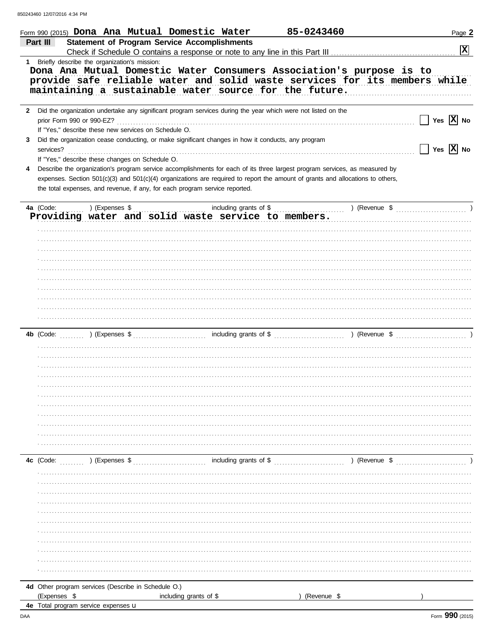850243460 12/07/2016 4:34 PM

|           | 85-0243460<br>Form 990 (2015) <b>Dona Ana Mutual Domestic Water</b>                                                                                                                                                                                          | Page 2                |
|-----------|--------------------------------------------------------------------------------------------------------------------------------------------------------------------------------------------------------------------------------------------------------------|-----------------------|
|           | <b>Statement of Program Service Accomplishments</b><br>Part III                                                                                                                                                                                              | $ \mathbf{x} $        |
| $1 \quad$ | Briefly describe the organization's mission:<br>Dona Ana Mutual Domestic Water Consumers Association's purpose is to<br>provide safe reliable water and solid waste services for its members while<br>maintaining a sustainable water source for the future. |                       |
| 2         | Did the organization undertake any significant program services during the year which were not listed on the<br>prior Form 990 or 990-EZ?                                                                                                                    | Yes $ X $ No          |
| 3.        | If "Yes," describe these new services on Schedule O.<br>Did the organization cease conducting, or make significant changes in how it conducts, any program                                                                                                   |                       |
| 4         | services?<br>If "Yes," describe these changes on Schedule O.<br>Describe the organization's program service accomplishments for each of its three largest program services, as measured by                                                                   | Yes $ \mathbf{X} $ No |
|           | expenses. Section 501(c)(3) and 501(c)(4) organizations are required to report the amount of grants and allocations to others,<br>the total expenses, and revenue, if any, for each program service reported.                                                |                       |
|           | 4a (Code:<br>) (Expenses \$<br>including grants of \$<br>) (Revenue \$<br>Providing water and solid waste service to members.                                                                                                                                |                       |
|           |                                                                                                                                                                                                                                                              |                       |
|           |                                                                                                                                                                                                                                                              |                       |
|           |                                                                                                                                                                                                                                                              |                       |
|           |                                                                                                                                                                                                                                                              |                       |
|           |                                                                                                                                                                                                                                                              |                       |
|           | ) (Expenses \$<br>including grants of \$<br>) (Revenue \$<br>4b (Code:                                                                                                                                                                                       |                       |
|           |                                                                                                                                                                                                                                                              |                       |
|           |                                                                                                                                                                                                                                                              |                       |
|           |                                                                                                                                                                                                                                                              |                       |
|           |                                                                                                                                                                                                                                                              |                       |
|           |                                                                                                                                                                                                                                                              |                       |
|           | 4c (Code:<br>) (Expenses \$<br>including grants of \$<br>) (Revenue \$                                                                                                                                                                                       |                       |
|           |                                                                                                                                                                                                                                                              |                       |
|           |                                                                                                                                                                                                                                                              |                       |
|           |                                                                                                                                                                                                                                                              |                       |
|           |                                                                                                                                                                                                                                                              |                       |
|           |                                                                                                                                                                                                                                                              |                       |
|           | 4d Other program services (Describe in Schedule O.)<br>(Expenses \$<br>including grants of \$<br>(Revenue \$                                                                                                                                                 |                       |
|           | 4e Total program service expenses u                                                                                                                                                                                                                          |                       |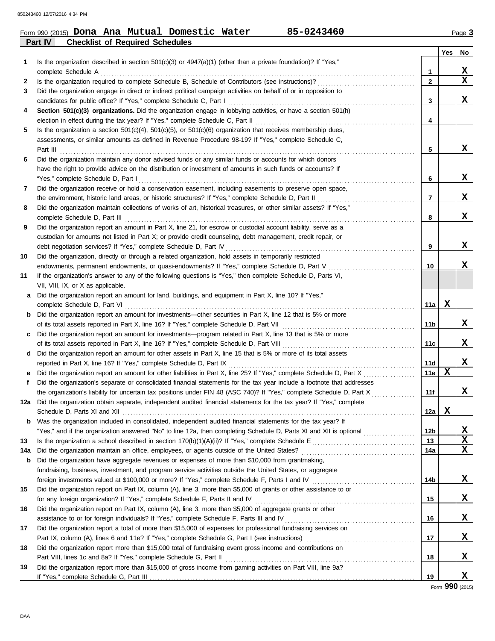#### **Part IV Checklist of Required Schedules** Form 990 (2015) Page **3 Dona Ana Mutual Domestic Water 85-0243460**

|     |                                                                                                                                                                                                                        |                 | Yes | No. |
|-----|------------------------------------------------------------------------------------------------------------------------------------------------------------------------------------------------------------------------|-----------------|-----|-----|
| 1   | Is the organization described in section $501(c)(3)$ or $4947(a)(1)$ (other than a private foundation)? If "Yes,"                                                                                                      |                 |     |     |
|     | complete Schedule A                                                                                                                                                                                                    | 1               |     | X   |
| 2   |                                                                                                                                                                                                                        | $\mathbf{2}$    |     | X   |
| 3   | Did the organization engage in direct or indirect political campaign activities on behalf of or in opposition to                                                                                                       |                 |     |     |
|     | candidates for public office? If "Yes," complete Schedule C, Part I                                                                                                                                                    | 3               |     | X   |
| 4   | Section 501(c)(3) organizations. Did the organization engage in lobbying activities, or have a section 501(h)                                                                                                          |                 |     |     |
|     | election in effect during the tax year? If "Yes," complete Schedule C, Part II                                                                                                                                         | 4               |     |     |
| 5   | Is the organization a section $501(c)(4)$ , $501(c)(5)$ , or $501(c)(6)$ organization that receives membership dues,                                                                                                   |                 |     |     |
|     | assessments, or similar amounts as defined in Revenue Procedure 98-19? If "Yes," complete Schedule C,                                                                                                                  |                 |     | x   |
|     | Part III                                                                                                                                                                                                               | 5               |     |     |
| 6   | Did the organization maintain any donor advised funds or any similar funds or accounts for which donors<br>have the right to provide advice on the distribution or investment of amounts in such funds or accounts? If |                 |     |     |
|     |                                                                                                                                                                                                                        | 6               |     | X   |
|     | "Yes," complete Schedule D, Part I<br>Did the organization receive or hold a conservation easement, including easements to preserve open space,                                                                        |                 |     |     |
| 7   | the environment, historic land areas, or historic structures? If "Yes," complete Schedule D, Part II                                                                                                                   | 7               |     | X.  |
| 8   | Did the organization maintain collections of works of art, historical treasures, or other similar assets? If "Yes,"                                                                                                    |                 |     |     |
|     | complete Schedule D, Part III                                                                                                                                                                                          | 8               |     | x   |
| 9   | Did the organization report an amount in Part X, line 21, for escrow or custodial account liability, serve as a                                                                                                        |                 |     |     |
|     | custodian for amounts not listed in Part X; or provide credit counseling, debt management, credit repair, or                                                                                                           |                 |     |     |
|     | debt negotiation services? If "Yes," complete Schedule D, Part IV                                                                                                                                                      | 9               |     | X   |
| 10  | Did the organization, directly or through a related organization, hold assets in temporarily restricted                                                                                                                |                 |     |     |
|     | endowments, permanent endowments, or quasi-endowments? If "Yes," complete Schedule D, Part V                                                                                                                           | 10              |     | x.  |
| 11  | If the organization's answer to any of the following questions is "Yes," then complete Schedule D, Parts VI,                                                                                                           |                 |     |     |
|     | VII, VIII, IX, or X as applicable.                                                                                                                                                                                     |                 |     |     |
| а   | Did the organization report an amount for land, buildings, and equipment in Part X, line 10? If "Yes,"                                                                                                                 |                 |     |     |
|     | complete Schedule D, Part VI                                                                                                                                                                                           | 11a             | x   |     |
| b   | Did the organization report an amount for investments—other securities in Part X, line 12 that is 5% or more                                                                                                           |                 |     |     |
|     | of its total assets reported in Part X, line 16? If "Yes," complete Schedule D, Part VII                                                                                                                               | 11b             |     | X.  |
| c   | Did the organization report an amount for investments—program related in Part X, line 13 that is 5% or more                                                                                                            |                 |     |     |
|     | of its total assets reported in Part X, line 16? If "Yes," complete Schedule D, Part VIII                                                                                                                              | 11c             |     | X.  |
| d   | Did the organization report an amount for other assets in Part X, line 15 that is 5% or more of its total assets                                                                                                       |                 |     |     |
|     | reported in Part X, line 16? If "Yes," complete Schedule D, Part IX                                                                                                                                                    | 11d             |     | X   |
| е   | Did the organization report an amount for other liabilities in Part X, line 25? If "Yes," complete Schedule D, Part X                                                                                                  | 11e             | x   |     |
| f   | Did the organization's separate or consolidated financial statements for the tax year include a footnote that addresses                                                                                                |                 |     |     |
|     | the organization's liability for uncertain tax positions under FIN 48 (ASC 740)? If "Yes," complete Schedule D, Part X                                                                                                 | 11f             |     | x   |
| 12a | Did the organization obtain separate, independent audited financial statements for the tax year? If "Yes," complete                                                                                                    |                 |     |     |
|     | Schedule D. Parts XI and XII                                                                                                                                                                                           | 12a             | x   |     |
|     | <b>b</b> Was the organization included in consolidated, independent audited financial statements for the tax year? If                                                                                                  |                 |     |     |
|     | "Yes," and if the organization answered "No" to line 12a, then completing Schedule D, Parts XI and XII is optional                                                                                                     | 12 <sub>b</sub> |     | x   |
| 13  |                                                                                                                                                                                                                        | 13              |     | x   |
| 14a | Did the organization maintain an office, employees, or agents outside of the United States?                                                                                                                            | 14a             |     | x   |
| b   | Did the organization have aggregate revenues or expenses of more than \$10,000 from grantmaking,                                                                                                                       |                 |     |     |
|     | fundraising, business, investment, and program service activities outside the United States, or aggregate                                                                                                              |                 |     |     |
|     | foreign investments valued at \$100,000 or more? If "Yes," complete Schedule F, Parts I and IV [[[[[[[[[[[[[[[[                                                                                                        | 14b             |     | X,  |
| 15  | Did the organization report on Part IX, column (A), line 3, more than \$5,000 of grants or other assistance to or                                                                                                      |                 |     |     |
|     |                                                                                                                                                                                                                        | 15              |     | X,  |
| 16  | Did the organization report on Part IX, column (A), line 3, more than \$5,000 of aggregate grants or other                                                                                                             |                 |     |     |
|     |                                                                                                                                                                                                                        | 16              |     | X.  |
| 17  | Did the organization report a total of more than \$15,000 of expenses for professional fundraising services on                                                                                                         |                 |     |     |
|     |                                                                                                                                                                                                                        | 17              |     | X.  |
| 18  | Did the organization report more than \$15,000 total of fundraising event gross income and contributions on                                                                                                            |                 |     |     |
|     | Part VIII, lines 1c and 8a? If "Yes," complete Schedule G, Part II                                                                                                                                                     | 18              |     | X.  |
| 19  | Did the organization report more than \$15,000 of gross income from gaming activities on Part VIII, line 9a?                                                                                                           |                 |     |     |
|     |                                                                                                                                                                                                                        | 19              |     | x   |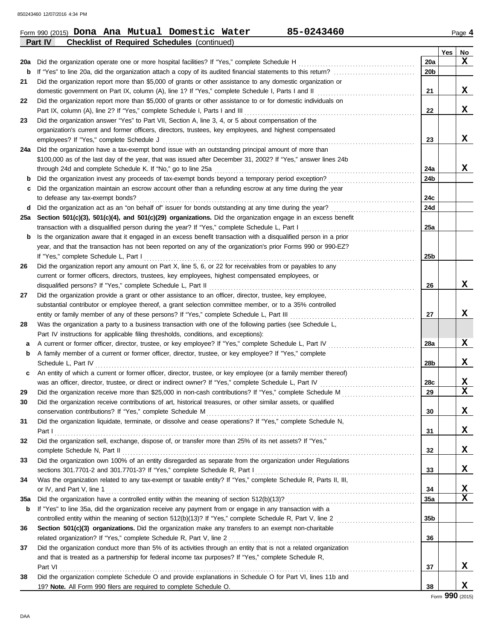850243460 12/07/2016 4:34 PM

|     | 85-0243460<br>Form 990 (2015) Dona Ana Mutual Domestic Water                                                                                                                                                             |                 |     | Page 4                  |
|-----|--------------------------------------------------------------------------------------------------------------------------------------------------------------------------------------------------------------------------|-----------------|-----|-------------------------|
|     | Part IV<br><b>Checklist of Required Schedules (continued)</b>                                                                                                                                                            |                 |     |                         |
|     |                                                                                                                                                                                                                          |                 | Yes | No                      |
| 20a | Did the organization operate one or more hospital facilities? If "Yes," complete Schedule H                                                                                                                              | 20a             |     | $\mathbf x$             |
| b   |                                                                                                                                                                                                                          | 20 <sub>b</sub> |     |                         |
| 21  | Did the organization report more than \$5,000 of grants or other assistance to any domestic organization or                                                                                                              |                 |     |                         |
|     | domestic government on Part IX, column (A), line 1? If "Yes," complete Schedule I, Parts I and II                                                                                                                        | 21              |     | x                       |
| 22  | Did the organization report more than \$5,000 of grants or other assistance to or for domestic individuals on                                                                                                            |                 |     |                         |
|     | Part IX, column (A), line 2? If "Yes," complete Schedule I, Parts I and III                                                                                                                                              | 22              |     | x                       |
| 23  | Did the organization answer "Yes" to Part VII, Section A, line 3, 4, or 5 about compensation of the                                                                                                                      |                 |     |                         |
|     | organization's current and former officers, directors, trustees, key employees, and highest compensated                                                                                                                  |                 |     |                         |
|     | employees? If "Yes," complete Schedule J                                                                                                                                                                                 | 23              |     | X                       |
|     | 24a Did the organization have a tax-exempt bond issue with an outstanding principal amount of more than                                                                                                                  |                 |     |                         |
|     | \$100,000 as of the last day of the year, that was issued after December 31, 2002? If "Yes," answer lines 24b                                                                                                            |                 |     |                         |
|     | through 24d and complete Schedule K. If "No," go to line 25a                                                                                                                                                             | 24a             |     | x                       |
| b   | Did the organization invest any proceeds of tax-exempt bonds beyond a temporary period exception?                                                                                                                        | 24b             |     |                         |
| c   | Did the organization maintain an escrow account other than a refunding escrow at any time during the year                                                                                                                |                 |     |                         |
|     | to defease any tax-exempt bonds?                                                                                                                                                                                         | 24c             |     |                         |
| d   | Did the organization act as an "on behalf of" issuer for bonds outstanding at any time during the year?                                                                                                                  | 24d             |     |                         |
|     | 25a Section 501(c)(3), 501(c)(4), and 501(c)(29) organizations. Did the organization engage in an excess benefit                                                                                                         |                 |     |                         |
|     | transaction with a disqualified person during the year? If "Yes," complete Schedule L, Part I                                                                                                                            | 25a             |     |                         |
| b   | Is the organization aware that it engaged in an excess benefit transaction with a disqualified person in a prior                                                                                                         |                 |     |                         |
|     | year, and that the transaction has not been reported on any of the organization's prior Forms 990 or 990-EZ?                                                                                                             |                 |     |                         |
|     | If "Yes," complete Schedule L, Part I                                                                                                                                                                                    | 25b             |     |                         |
| 26  | Did the organization report any amount on Part X, line 5, 6, or 22 for receivables from or payables to any                                                                                                               |                 |     |                         |
|     | current or former officers, directors, trustees, key employees, highest compensated employees, or                                                                                                                        |                 |     | X                       |
|     | disqualified persons? If "Yes," complete Schedule L, Part II                                                                                                                                                             | 26              |     |                         |
| 27  | Did the organization provide a grant or other assistance to an officer, director, trustee, key employee,                                                                                                                 |                 |     |                         |
|     | substantial contributor or employee thereof, a grant selection committee member, or to a 35% controlled                                                                                                                  |                 |     | X                       |
|     | entity or family member of any of these persons? If "Yes," complete Schedule L, Part III                                                                                                                                 | 27              |     |                         |
| 28  | Was the organization a party to a business transaction with one of the following parties (see Schedule L,                                                                                                                |                 |     |                         |
|     | Part IV instructions for applicable filing thresholds, conditions, and exceptions):                                                                                                                                      |                 |     | X                       |
| а   | A current or former officer, director, trustee, or key employee? If "Yes," complete Schedule L, Part IV                                                                                                                  | 28a             |     |                         |
| b   | A family member of a current or former officer, director, trustee, or key employee? If "Yes," complete                                                                                                                   |                 |     | X                       |
|     | Schedule L, Part IV                                                                                                                                                                                                      | 28b             |     |                         |
| c   | An entity of which a current or former officer, director, trustee, or key employee (or a family member thereof)                                                                                                          |                 |     | X                       |
|     | was an officer, director, trustee, or direct or indirect owner? If "Yes," complete Schedule L, Part IV                                                                                                                   | 28c<br>29       |     | $\overline{\mathbf{x}}$ |
| 29  | Did the organization receive more than \$25,000 in non-cash contributions? If "Yes," complete Schedule M<br><u> 1986 - Johann Stoff, Amerikaansk politiker (</u>                                                         |                 |     |                         |
| 30  | Did the organization receive contributions of art, historical treasures, or other similar assets, or qualified<br>conservation contributions? If "Yes," complete Schedule M                                              |                 |     | x                       |
|     | Did the organization liquidate, terminate, or dissolve and cease operations? If "Yes," complete Schedule N,                                                                                                              | 30              |     |                         |
| 31  |                                                                                                                                                                                                                          | 31              |     | x                       |
|     | Part I<br>Did the organization sell, exchange, dispose of, or transfer more than 25% of its net assets? If "Yes,"                                                                                                        |                 |     |                         |
| 32  | complete Schedule N, Part II                                                                                                                                                                                             | 32              |     | x                       |
| 33  | Did the organization own 100% of an entity disregarded as separate from the organization under Regulations                                                                                                               |                 |     |                         |
|     | sections 301.7701-2 and 301.7701-3? If "Yes," complete Schedule R, Part I                                                                                                                                                | 33              |     | x                       |
| 34  | Was the organization related to any tax-exempt or taxable entity? If "Yes," complete Schedule R, Parts II, III,                                                                                                          |                 |     |                         |
|     | or IV, and Part V, line 1                                                                                                                                                                                                | 34              |     | X                       |
| 35a |                                                                                                                                                                                                                          | 35a             |     | $\mathbf x$             |
| b   | If "Yes" to line 35a, did the organization receive any payment from or engage in any transaction with a                                                                                                                  |                 |     |                         |
|     |                                                                                                                                                                                                                          | 35 <sub>b</sub> |     |                         |
|     |                                                                                                                                                                                                                          |                 |     |                         |
| 36  | Section 501(c)(3) organizations. Did the organization make any transfers to an exempt non-charitable<br>related organization? If "Yes," complete Schedule R, Part V, line 2                                              |                 |     |                         |
|     |                                                                                                                                                                                                                          | 36              |     |                         |
| 37  | Did the organization conduct more than 5% of its activities through an entity that is not a related organization<br>and that is treated as a partnership for federal income tax purposes? If "Yes," complete Schedule R, |                 |     |                         |
|     | Part VI                                                                                                                                                                                                                  | 37              |     | x                       |
| 38  | Did the organization complete Schedule O and provide explanations in Schedule O for Part VI, lines 11b and                                                                                                               |                 |     |                         |
|     | 19? Note. All Form 990 filers are required to complete Schedule O.                                                                                                                                                       | 38              |     | X                       |
|     |                                                                                                                                                                                                                          |                 |     |                         |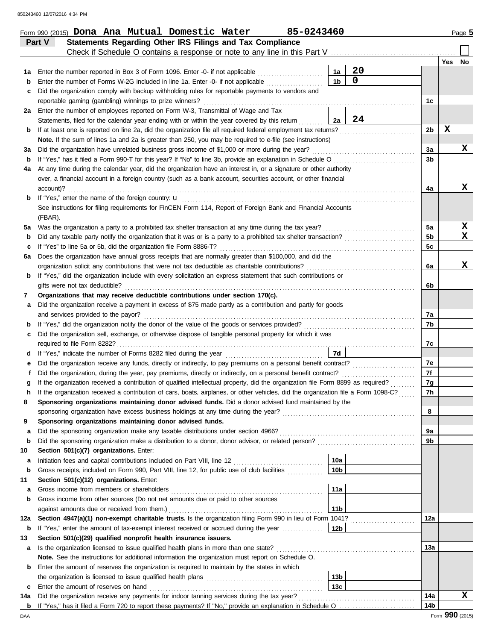|         | Part V<br>Statements Regarding Other IRS Filings and Tax Compliance                                                                                                                                                                                                    |                 |             |                      |                 |    |
|---------|------------------------------------------------------------------------------------------------------------------------------------------------------------------------------------------------------------------------------------------------------------------------|-----------------|-------------|----------------------|-----------------|----|
|         | Check if Schedule O contains a response or note to any line in this Part V [11] Check if Schedule O contains a response or note to any line in this Part V                                                                                                             |                 |             |                      |                 |    |
|         |                                                                                                                                                                                                                                                                        |                 |             |                      | <b>Yes</b>      | No |
| 1а      | Enter the number reported in Box 3 of Form 1096. Enter -0- if not applicable                                                                                                                                                                                           | 1a              | 20          |                      |                 |    |
| b       | Enter the number of Forms W-2G included in line 1a. Enter -0- if not applicable                                                                                                                                                                                        | 1 <sub>b</sub>  | $\mathbf 0$ |                      |                 |    |
| c       | Did the organization comply with backup withholding rules for reportable payments to vendors and                                                                                                                                                                       |                 |             |                      |                 |    |
|         | reportable gaming (gambling) winnings to prize winners?                                                                                                                                                                                                                |                 |             | 1c                   |                 |    |
|         | 2a Enter the number of employees reported on Form W-3, Transmittal of Wage and Tax                                                                                                                                                                                     |                 |             |                      |                 |    |
|         | Statements, filed for the calendar year ending with or within the year covered by this return                                                                                                                                                                          | 2a              | 24          |                      |                 |    |
| b       | If at least one is reported on line 2a, did the organization file all required federal employment tax returns?                                                                                                                                                         |                 |             | 2 <sub>b</sub>       | $\mathbf x$     |    |
|         | Note. If the sum of lines 1a and 2a is greater than 250, you may be required to e-file (see instructions)                                                                                                                                                              |                 |             |                      |                 | X  |
| За      | Did the organization have unrelated business gross income of \$1,000 or more during the year?                                                                                                                                                                          |                 |             | 3a<br>3 <sub>b</sub> |                 |    |
| b       | If "Yes," has it filed a Form 990-T for this year? If "No" to line 3b, provide an explanation in Schedule O<br>At any time during the calendar year, did the organization have an interest in, or a signature or other authority                                       |                 |             |                      |                 |    |
| 4a      | over, a financial account in a foreign country (such as a bank account, securities account, or other financial                                                                                                                                                         |                 |             |                      |                 |    |
|         | account)?                                                                                                                                                                                                                                                              |                 |             | 4a                   |                 | X  |
| b       |                                                                                                                                                                                                                                                                        |                 |             |                      |                 |    |
|         | See instructions for filing requirements for FinCEN Form 114, Report of Foreign Bank and Financial Accounts                                                                                                                                                            |                 |             |                      |                 |    |
|         | (FBAR).                                                                                                                                                                                                                                                                |                 |             |                      |                 |    |
| 5а      | Was the organization a party to a prohibited tax shelter transaction at any time during the tax year?                                                                                                                                                                  |                 |             | 5a                   |                 | X  |
| b       |                                                                                                                                                                                                                                                                        |                 |             | 5 <sub>b</sub>       |                 | X  |
| c       | If "Yes" to line 5a or 5b, did the organization file Form 8886-T?                                                                                                                                                                                                      |                 |             | 5c                   |                 |    |
| 6а      | Does the organization have annual gross receipts that are normally greater than \$100,000, and did the                                                                                                                                                                 |                 |             |                      |                 |    |
|         | organization solicit any contributions that were not tax deductible as charitable contributions?                                                                                                                                                                       |                 |             | 6a                   |                 | x  |
| b       | If "Yes," did the organization include with every solicitation an express statement that such contributions or                                                                                                                                                         |                 |             |                      |                 |    |
|         | gifts were not tax deductible?                                                                                                                                                                                                                                         |                 |             | 6b                   |                 |    |
| 7       | Organizations that may receive deductible contributions under section 170(c).                                                                                                                                                                                          |                 |             |                      |                 |    |
| а       | Did the organization receive a payment in excess of \$75 made partly as a contribution and partly for goods                                                                                                                                                            |                 |             |                      |                 |    |
|         | and services provided to the payor?                                                                                                                                                                                                                                    |                 |             | 7a                   |                 |    |
| b       |                                                                                                                                                                                                                                                                        |                 |             | 7b                   |                 |    |
| c       | Did the organization sell, exchange, or otherwise dispose of tangible personal property for which it was                                                                                                                                                               |                 |             |                      |                 |    |
|         |                                                                                                                                                                                                                                                                        |                 |             | 7c                   |                 |    |
| d       |                                                                                                                                                                                                                                                                        | 7d              |             |                      |                 |    |
| е       |                                                                                                                                                                                                                                                                        |                 |             | 7e                   |                 |    |
| f       |                                                                                                                                                                                                                                                                        |                 |             | 7f                   |                 |    |
| g       | If the organization received a contribution of qualified intellectual property, did the organization file Form 8899 as required?<br>If the organization received a contribution of cars, boats, airplanes, or other vehicles, did the organization file a Form 1098-C? |                 |             | 7g<br>7h             |                 |    |
| h.<br>8 | Sponsoring organizations maintaining donor advised funds. Did a donor advised fund maintained by the                                                                                                                                                                   |                 |             |                      |                 |    |
|         |                                                                                                                                                                                                                                                                        |                 |             | 8                    |                 |    |
| 9       | Sponsoring organizations maintaining donor advised funds.                                                                                                                                                                                                              |                 |             |                      |                 |    |
| a       |                                                                                                                                                                                                                                                                        |                 |             | 9a                   |                 |    |
| b       |                                                                                                                                                                                                                                                                        |                 |             | 9b                   |                 |    |
| 10      | Section 501(c)(7) organizations. Enter:                                                                                                                                                                                                                                |                 |             |                      |                 |    |
| а       |                                                                                                                                                                                                                                                                        | 10a             |             |                      |                 |    |
| b       | Gross receipts, included on Form 990, Part VIII, line 12, for public use of club facilities                                                                                                                                                                            | 10 <sub>b</sub> |             |                      |                 |    |
| 11      | Section 501(c)(12) organizations. Enter:                                                                                                                                                                                                                               |                 |             |                      |                 |    |
| а       |                                                                                                                                                                                                                                                                        | 11a             |             |                      |                 |    |
| b       | Gross income from other sources (Do not net amounts due or paid to other sources                                                                                                                                                                                       |                 |             |                      |                 |    |
|         | against amounts due or received from them.)                                                                                                                                                                                                                            | 11 <sub>b</sub> |             |                      |                 |    |
| 12a     | Section 4947(a)(1) non-exempt charitable trusts. Is the organization filing Form 990 in lieu of Form 1041?                                                                                                                                                             |                 |             | 12a                  |                 |    |
| b       |                                                                                                                                                                                                                                                                        |                 |             |                      |                 |    |
| 13      | Section 501(c)(29) qualified nonprofit health insurance issuers.                                                                                                                                                                                                       |                 |             |                      |                 |    |
| a       |                                                                                                                                                                                                                                                                        |                 |             | 13а                  |                 |    |
|         | Note. See the instructions for additional information the organization must report on Schedule O.                                                                                                                                                                      |                 |             |                      |                 |    |
| b       | Enter the amount of reserves the organization is required to maintain by the states in which                                                                                                                                                                           | 13 <sub>b</sub> |             |                      |                 |    |
| c       | Enter the amount of reserves on hand                                                                                                                                                                                                                                   | 13c             |             |                      |                 |    |
| 14a     |                                                                                                                                                                                                                                                                        |                 |             | 14a                  |                 | X  |
| b       | If "Yes," has it filed a Form 720 to report these payments? If "No," provide an explanation in Schedule O                                                                                                                                                              |                 |             | 14 <sub>b</sub>      |                 |    |
| DAA     |                                                                                                                                                                                                                                                                        |                 |             |                      | Form 990 (2015) |    |

|  |  | Form 990 (2015) Dona Ana Mutual Domestic Water | 85-0243460 | Page 5 |  |
|--|--|------------------------------------------------|------------|--------|--|
|  |  |                                                |            |        |  |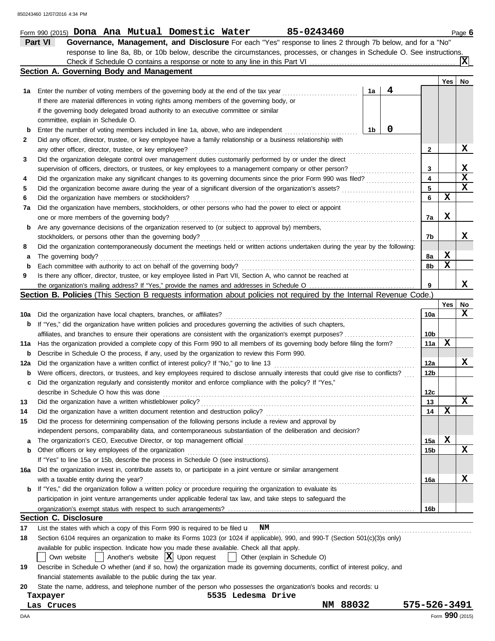|     | 85-0243460<br>Form 990 (2015) Dona Ana Mutual Domestic Water                                                                            |              |             | Page 6          |
|-----|-----------------------------------------------------------------------------------------------------------------------------------------|--------------|-------------|-----------------|
|     | Part VI<br>Governance, Management, and Disclosure For each "Yes" response to lines 2 through 7b below, and for a "No"                   |              |             |                 |
|     | response to line 8a, 8b, or 10b below, describe the circumstances, processes, or changes in Schedule O. See instructions.               |              |             |                 |
|     |                                                                                                                                         |              |             |                 |
|     | Section A. Governing Body and Management                                                                                                |              |             |                 |
|     |                                                                                                                                         |              | Yes         | No              |
| 1а  | 4<br>1a<br>Enter the number of voting members of the governing body at the end of the tax year                                          |              |             |                 |
|     | If there are material differences in voting rights among members of the governing body, or                                              |              |             |                 |
|     | if the governing body delegated broad authority to an executive committee or similar                                                    |              |             |                 |
|     | committee, explain in Schedule O.                                                                                                       |              |             |                 |
|     | 0<br>1 <sub>b</sub>                                                                                                                     |              |             |                 |
| b   | Enter the number of voting members included in line 1a, above, who are independent                                                      |              |             |                 |
| 2   | Did any officer, director, trustee, or key employee have a family relationship or a business relationship with                          |              |             | X               |
|     | any other officer, director, trustee, or key employee?                                                                                  | $\mathbf{2}$ |             |                 |
| 3   | Did the organization delegate control over management duties customarily performed by or under the direct                               |              |             |                 |
|     | supervision of officers, directors, or trustees, or key employees to a management company or other person?                              | 3            |             | X               |
| 4   | Did the organization make any significant changes to its governing documents since the prior Form 990 was filed?                        | 4            |             | $\mathbf x$     |
| 5   | Did the organization become aware during the year of a significant diversion of the organization's assets?                              | 5            |             | $\mathbf x$     |
| 6   | Did the organization have members or stockholders?<br>.                                                                                 | 6            | $\mathbf x$ |                 |
| 7a  | Did the organization have members, stockholders, or other persons who had the power to elect or appoint                                 |              |             |                 |
|     | one or more members of the governing body?                                                                                              | 7a           | X           |                 |
| b   | Are any governance decisions of the organization reserved to (or subject to approval by) members,                                       |              |             |                 |
|     | stockholders, or persons other than the governing body?                                                                                 | 7b           |             | x               |
| 8   | Did the organization contemporaneously document the meetings held or written actions undertaken during the year by the following:       |              |             |                 |
| а   | The governing body?                                                                                                                     | 8а           | X           |                 |
| b   | Each committee with authority to act on behalf of the governing body?                                                                   | 8b           | $\mathbf x$ |                 |
| 9   | Is there any officer, director, trustee, or key employee listed in Part VII, Section A, who cannot be reached at                        |              |             |                 |
|     |                                                                                                                                         | 9            |             | x               |
|     | <b>Section B. Policies</b> (This Section B requests information about policies not required by the Internal Revenue Code.)              |              |             |                 |
|     |                                                                                                                                         |              | Yes         | No              |
| 10a | Did the organization have local chapters, branches, or affiliates?                                                                      | 10a          |             | X               |
| b   | If "Yes," did the organization have written policies and procedures governing the activities of such chapters,                          |              |             |                 |
|     | affiliates, and branches to ensure their operations are consistent with the organization's exempt purposes?                             | 10b          |             |                 |
| 11a | Has the organization provided a complete copy of this Form 990 to all members of its governing body before filing the form?             | 11a          | X           |                 |
|     |                                                                                                                                         |              |             |                 |
| b   | Describe in Schedule O the process, if any, used by the organization to review this Form 990.                                           |              |             | X               |
| 12a | Did the organization have a written conflict of interest policy? If "No," go to line 13                                                 | 12a          |             |                 |
| b   | Were officers, directors, or trustees, and key employees required to disclose annually interests that could give rise to conflicts?     | 12b          |             |                 |
| с   | Did the organization regularly and consistently monitor and enforce compliance with the policy? If "Yes,"                               |              |             |                 |
|     | describe in Schedule O how this was done                                                                                                | 12c          |             |                 |
| 13  | Did the organization have a written whistleblower policy?                                                                               | 13           |             | $\mathbf x$     |
| 14  | Did the organization have a written document retention and destruction policy?                                                          | 14           | X           |                 |
| 15  | Did the process for determining compensation of the following persons include a review and approval by                                  |              |             |                 |
|     | independent persons, comparability data, and contemporaneous substantiation of the deliberation and decision?                           |              |             |                 |
| а   | The organization's CEO, Executive Director, or top management official                                                                  | 15a          | X           |                 |
| b   | Other officers or key employees of the organization                                                                                     | 15b          |             | X               |
|     | If "Yes" to line 15a or 15b, describe the process in Schedule O (see instructions).                                                     |              |             |                 |
| 16a | Did the organization invest in, contribute assets to, or participate in a joint venture or similar arrangement                          |              |             |                 |
|     | with a taxable entity during the year?                                                                                                  | 16a          |             | X               |
| b   | If "Yes," did the organization follow a written policy or procedure requiring the organization to evaluate its                          |              |             |                 |
|     | participation in joint venture arrangements under applicable federal tax law, and take steps to safeguard the                           |              |             |                 |
|     |                                                                                                                                         | 16b          |             |                 |
|     | <b>Section C. Disclosure</b>                                                                                                            |              |             |                 |
| 17  | List the states with which a copy of this Form 990 is required to be filed $\mathbf{u}$ NM                                              |              |             |                 |
| 18  | Section 6104 requires an organization to make its Forms 1023 (or 1024 if applicable), 990, and 990-T (Section 501(c)(3)s only)          |              |             |                 |
|     | available for public inspection. Indicate how you made these available. Check all that apply.                                           |              |             |                 |
|     | Another's website $ \mathbf{X} $ Upon request<br>Own website<br>Other (explain in Schedule O)                                           |              |             |                 |
| 19  | Describe in Schedule O whether (and if so, how) the organization made its governing documents, conflict of interest policy, and         |              |             |                 |
|     |                                                                                                                                         |              |             |                 |
|     | financial statements available to the public during the tax year.                                                                       |              |             |                 |
| 20  | State the name, address, and telephone number of the person who possesses the organization's books and records: u<br>5535 Ledesma Drive |              |             |                 |
|     | Taxpayer<br>NM 88032<br>Las Cruces                                                                                                      | 575-526-3491 |             |                 |
|     |                                                                                                                                         |              |             |                 |
| DAA |                                                                                                                                         |              |             | Form 990 (2015) |

DAA Form **990** (2015)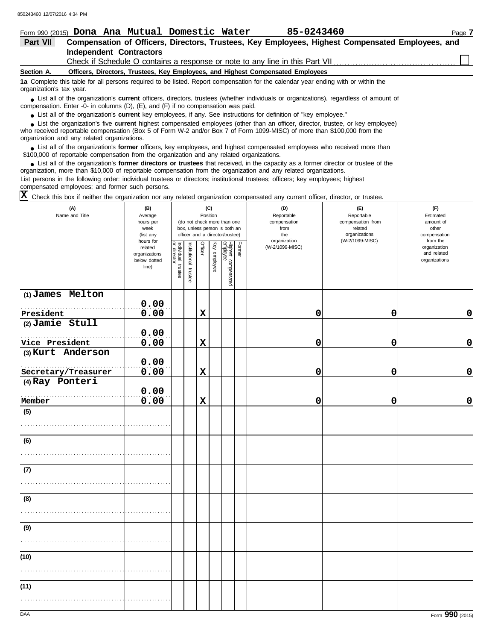|                          |  |                                | Form 990 (2015) Dona Ana Mutual Domestic Water                                            | 85-0243460                                                                                                                             | Page 7                                                                                           |
|--------------------------|--|--------------------------------|-------------------------------------------------------------------------------------------|----------------------------------------------------------------------------------------------------------------------------------------|--------------------------------------------------------------------------------------------------|
| Part VII                 |  |                                |                                                                                           |                                                                                                                                        | Compensation of Officers, Directors, Trustees, Key Employees, Highest Compensated Employees, and |
|                          |  | <b>Independent Contractors</b> |                                                                                           |                                                                                                                                        |                                                                                                  |
|                          |  |                                |                                                                                           | Check if Schedule O contains a response or note to any line in this Part VII                                                           |                                                                                                  |
| Section A.               |  |                                |                                                                                           | Officers, Directors, Trustees, Key Employees, and Highest Compensated Employees                                                        |                                                                                                  |
| organization's tax year. |  |                                |                                                                                           | 1a Complete this table for all persons required to be listed. Report compensation for the calendar year ending with or within the      |                                                                                                  |
|                          |  |                                | compensation. Enter -0- in columns $(D)$ , $(E)$ , and $(F)$ if no compensation was paid. | • List all of the organization's current officers, directors, trustees (whether individuals or organizations), regardless of amount of |                                                                                                  |

● List all of the organization's **current** key employees, if any. See instructions for definition of "key employee."

who received reportable compensation (Box 5 of Form W-2 and/or Box 7 of Form 1099-MISC) of more than \$100,000 from the organization and any related organizations. ■ List the organization's five **current** highest compensated employees (other than an officer, director, trustee, or key employee)<br> **•** Preceived reportable compensation (Box 5 of Form *M, 2 and/or Box 7 of Form 1000 MISC* 

■ List all of the organization's **former** officers, key employees, and highest compensated employees who received more than<br> **•** 00.000 of reportable compensation from the ergonization and any related ergonizations \$100,000 of reportable compensation from the organization and any related organizations.

■ List all of the organization's **former directors or trustees** that received, in the capacity as a former director or trustee of the<br>paization, more than \$10,000 of reportable compensation from the organization and any r organization, more than \$10,000 of reportable compensation from the organization and any related organizations. List persons in the following order: individual trustees or directors; institutional trustees; officers; key employees; highest compensated employees; and former such persons.

 $\overline{X}$  Check this box if neither the organization nor any related organization compensated any current officer, director, or trustee.

| (A)<br>Name and Title | (B)<br>Average<br>hours per<br>week<br>(list any               |                                   |                       |             | (C)<br>Position | (do not check more than one<br>box, unless person is both an<br>officer and a director/trustee) |               | (D)<br>Reportable<br>compensation<br>from<br>the | (E)<br>Reportable<br>compensation from<br>related<br>organizations | (F)<br>Estimated<br>amount of<br>other<br>compensation   |
|-----------------------|----------------------------------------------------------------|-----------------------------------|-----------------------|-------------|-----------------|-------------------------------------------------------------------------------------------------|---------------|--------------------------------------------------|--------------------------------------------------------------------|----------------------------------------------------------|
|                       | hours for<br>related<br>organizations<br>below dotted<br>line) | Individual trustee<br>or director | Institutional trustee | Officer     | Key employee    | Highest compensated<br>employee                                                                 | <b>Former</b> | organization<br>(W-2/1099-MISC)                  | (W-2/1099-MISC)                                                    | from the<br>organization<br>and related<br>organizations |
| $(1)$ James Melton    | 0.00                                                           |                                   |                       |             |                 |                                                                                                 |               |                                                  |                                                                    |                                                          |
| President             | 0.00                                                           |                                   |                       | $\mathbf x$ |                 |                                                                                                 |               | 0                                                | 0                                                                  | $\pmb{0}$                                                |
| $(2)$ Jamie Stull     | 0.00                                                           |                                   |                       |             |                 |                                                                                                 |               |                                                  |                                                                    |                                                          |
| Vice President        | 0.00                                                           |                                   |                       | $\mathbf x$ |                 |                                                                                                 |               | 0                                                | 0                                                                  | $\pmb{0}$                                                |
| (3) Kurt Anderson     | 0.00                                                           |                                   |                       |             |                 |                                                                                                 |               |                                                  |                                                                    |                                                          |
| Secretary/Treasurer   | 0.00                                                           |                                   |                       | $\mathbf x$ |                 |                                                                                                 |               | 0                                                | 0                                                                  | $\mathbf 0$                                              |
| (4) Ray Ponteri       |                                                                |                                   |                       |             |                 |                                                                                                 |               |                                                  |                                                                    |                                                          |
|                       | 0.00                                                           |                                   |                       |             |                 |                                                                                                 |               |                                                  |                                                                    |                                                          |
| .<br>Member           | 0.00                                                           |                                   |                       | $\mathbf x$ |                 |                                                                                                 |               | 0                                                | 0                                                                  | $\pmb{0}$                                                |
| (5)                   |                                                                |                                   |                       |             |                 |                                                                                                 |               |                                                  |                                                                    |                                                          |
| (6)                   |                                                                |                                   |                       |             |                 |                                                                                                 |               |                                                  |                                                                    |                                                          |
|                       |                                                                |                                   |                       |             |                 |                                                                                                 |               |                                                  |                                                                    |                                                          |
| (7)                   |                                                                |                                   |                       |             |                 |                                                                                                 |               |                                                  |                                                                    |                                                          |
|                       |                                                                |                                   |                       |             |                 |                                                                                                 |               |                                                  |                                                                    |                                                          |
| (8)                   |                                                                |                                   |                       |             |                 |                                                                                                 |               |                                                  |                                                                    |                                                          |
|                       |                                                                |                                   |                       |             |                 |                                                                                                 |               |                                                  |                                                                    |                                                          |
| (9)                   |                                                                |                                   |                       |             |                 |                                                                                                 |               |                                                  |                                                                    |                                                          |
|                       |                                                                |                                   |                       |             |                 |                                                                                                 |               |                                                  |                                                                    |                                                          |
| (10)                  |                                                                |                                   |                       |             |                 |                                                                                                 |               |                                                  |                                                                    |                                                          |
|                       |                                                                |                                   |                       |             |                 |                                                                                                 |               |                                                  |                                                                    |                                                          |
| (11)                  |                                                                |                                   |                       |             |                 |                                                                                                 |               |                                                  |                                                                    |                                                          |
|                       |                                                                |                                   |                       |             |                 |                                                                                                 |               |                                                  |                                                                    |                                                          |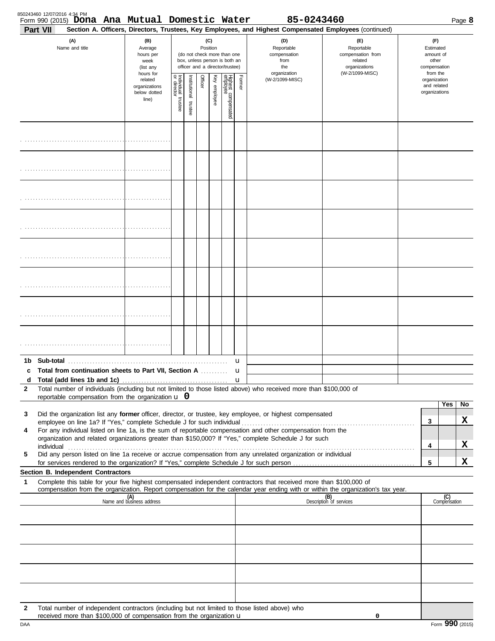| 850243460 12/07/2016 4:34 PM | Form 990 (2015) Dona Ana Mutual Domestic Water                                                |                                                                |                         |                       |         |                 |                                                                                                 |        | 85-0243460                                                                                                                                                 |                                                                                                                                  |                                                          |                     | Page 8 |
|------------------------------|-----------------------------------------------------------------------------------------------|----------------------------------------------------------------|-------------------------|-----------------------|---------|-----------------|-------------------------------------------------------------------------------------------------|--------|------------------------------------------------------------------------------------------------------------------------------------------------------------|----------------------------------------------------------------------------------------------------------------------------------|----------------------------------------------------------|---------------------|--------|
| Part VII                     | (A)<br>Name and title                                                                         | (B)<br>Average<br>hours per<br>week<br>(list any               |                         |                       |         | (C)<br>Position | (do not check more than one<br>box, unless person is both an<br>officer and a director/trustee) |        | Section A. Officers, Directors, Trustees, Key Employees, and Highest Compensated Employees (continued)<br>(D)<br>Reportable<br>compensation<br>from<br>the | (E)<br>Reportable<br>compensation from<br>related<br>organizations                                                               | (F)<br>Estimated<br>amount of<br>other<br>compensation   |                     |        |
|                              |                                                                                               | hours for<br>related<br>organizations<br>below dotted<br>line) | Individual 1<br>trustee | Institutional trustee | Officer | Key employee    | Highest compensated<br>employee                                                                 | Former | organization<br>(W-2/1099-MISC)                                                                                                                            | (W-2/1099-MISC)                                                                                                                  | from the<br>organization<br>and related<br>organizations |                     |        |
|                              |                                                                                               |                                                                |                         |                       |         |                 |                                                                                                 |        |                                                                                                                                                            |                                                                                                                                  |                                                          |                     |        |
|                              |                                                                                               |                                                                |                         |                       |         |                 |                                                                                                 |        |                                                                                                                                                            |                                                                                                                                  |                                                          |                     |        |
|                              |                                                                                               |                                                                |                         |                       |         |                 |                                                                                                 |        |                                                                                                                                                            |                                                                                                                                  |                                                          |                     |        |
|                              |                                                                                               |                                                                |                         |                       |         |                 |                                                                                                 |        |                                                                                                                                                            |                                                                                                                                  |                                                          |                     |        |
|                              |                                                                                               |                                                                |                         |                       |         |                 |                                                                                                 |        |                                                                                                                                                            |                                                                                                                                  |                                                          |                     |        |
|                              |                                                                                               |                                                                |                         |                       |         |                 |                                                                                                 |        |                                                                                                                                                            |                                                                                                                                  |                                                          |                     |        |
|                              |                                                                                               |                                                                |                         |                       |         |                 |                                                                                                 |        |                                                                                                                                                            |                                                                                                                                  |                                                          |                     |        |
|                              |                                                                                               |                                                                |                         |                       |         |                 |                                                                                                 |        |                                                                                                                                                            |                                                                                                                                  |                                                          |                     |        |
|                              | c Total from continuation sheets to Part VII. Section A                                       |                                                                |                         |                       |         |                 |                                                                                                 | u<br>u |                                                                                                                                                            |                                                                                                                                  |                                                          |                     |        |
| d                            |                                                                                               |                                                                |                         |                       |         |                 |                                                                                                 |        |                                                                                                                                                            |                                                                                                                                  |                                                          |                     |        |
| 2                            | reportable compensation from the organization $\bf{u}$ 0                                      |                                                                |                         |                       |         |                 |                                                                                                 |        | Total number of individuals (including but not limited to those listed above) who received more than \$100,000 of                                          |                                                                                                                                  |                                                          |                     |        |
|                              |                                                                                               |                                                                |                         |                       |         |                 |                                                                                                 |        |                                                                                                                                                            |                                                                                                                                  |                                                          | Yes                 | No     |
| 3                            |                                                                                               |                                                                |                         |                       |         |                 |                                                                                                 |        | Did the organization list any former officer, director, or trustee, key employee, or highest compensated                                                   |                                                                                                                                  | 3                                                        |                     | х      |
| 4                            |                                                                                               |                                                                |                         |                       |         |                 |                                                                                                 |        | For any individual listed on line 1a, is the sum of reportable compensation and other compensation from the                                                |                                                                                                                                  |                                                          |                     |        |
|                              |                                                                                               |                                                                |                         |                       |         |                 |                                                                                                 |        | organization and related organizations greater than \$150,000? If "Yes," complete Schedule J for such                                                      |                                                                                                                                  | 4                                                        |                     | х      |
| 5                            |                                                                                               |                                                                |                         |                       |         |                 |                                                                                                 |        | Did any person listed on line 1a receive or accrue compensation from any unrelated organization or individual                                              |                                                                                                                                  | 5                                                        |                     | X      |
|                              | Section B. Independent Contractors                                                            |                                                                |                         |                       |         |                 |                                                                                                 |        |                                                                                                                                                            |                                                                                                                                  |                                                          |                     |        |
| 1                            |                                                                                               |                                                                |                         |                       |         |                 |                                                                                                 |        | Complete this table for your five highest compensated independent contractors that received more than \$100,000 of                                         | compensation from the organization. Report compensation for the calendar year ending with or within the organization's tax year. |                                                          |                     |        |
|                              |                                                                                               | (A)<br>Name and business address                               |                         |                       |         |                 |                                                                                                 |        |                                                                                                                                                            | (B)<br>Description of services                                                                                                   |                                                          | (C)<br>Compensation |        |
|                              |                                                                                               |                                                                |                         |                       |         |                 |                                                                                                 |        |                                                                                                                                                            |                                                                                                                                  |                                                          |                     |        |
|                              |                                                                                               |                                                                |                         |                       |         |                 |                                                                                                 |        |                                                                                                                                                            |                                                                                                                                  |                                                          |                     |        |
|                              |                                                                                               |                                                                |                         |                       |         |                 |                                                                                                 |        |                                                                                                                                                            |                                                                                                                                  |                                                          |                     |        |
|                              |                                                                                               |                                                                |                         |                       |         |                 |                                                                                                 |        |                                                                                                                                                            |                                                                                                                                  |                                                          |                     |        |
| 2                            | Total number of independent contractors (including but not limited to those listed above) who |                                                                |                         |                       |         |                 |                                                                                                 |        |                                                                                                                                                            |                                                                                                                                  |                                                          |                     |        |
|                              | received more than \$100,000 of compensation from the organization u                          |                                                                |                         |                       |         |                 |                                                                                                 |        |                                                                                                                                                            | 0                                                                                                                                |                                                          |                     |        |

DAA Form **990** (2015)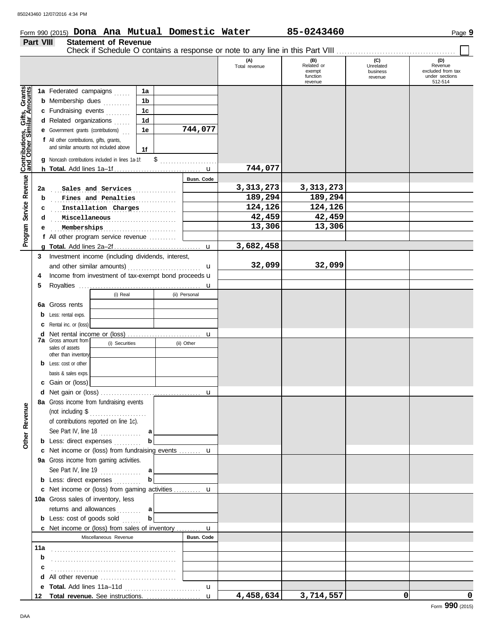**Part VIII Statement of Revenue**

#### Form 990 (2015) Page **9 Dona Ana Mutual Domestic Water 85-0243460**

#### Check if Schedule O contains a response or note to any line in this Part VIII. **(A) (B) (C) (D)** Total revenue **Related or CONFORT CONFORT CONFORT Revenue**<br>
exempt business excluded from tax exempt business function under sections revenue 512-514 revenue Gifts, Grants<br>ilar Amounts **Contributions, Gifts, Grants and Other Similar Amounts 1a 1a** Federated campaigns ...... **1b b** Membership dues *........*.. **1c c** Fundraising events . . . . . . . . **1d d** Related organizations ...... **744,077 1e e** Government grants (contributions) . . . Contributions,<br>and Other Sin **f** All other contributions, gifts, grants, and similar amounts not included above **1f** \$………………… **g** Noncash contributions included in lines 1a-1f: **744,077** u **h Total.** Add lines 1a–1f . . . . . . . . . . . . . . . . . . . . . . . . . . . . . . . . Revenue **Program Service Revenue Busn. Code** . . . . . . . . . . . . . . . . . . . . . . . . . . . . . . . . . . . . . . . . . . . . . . **2a Sales and Services 3,313,273 3,313,273 b** Fines and Penalties **189,294 189,294** Program Service **c** . Installation Charges . . . . . . . . . . . . . 124,126 . . . 124,126 . . . . . . . . . . . . . . . . . . . . . . . . . . . . . . . . . . . . . . . . . . . . . . **Miscellaneous 42,459 42,459 d e 13,306 13,306 13,306 13,306 f** All other program service revenue . . . . . . . . . . **3,682,458 g Total.** Add lines 2a–2f . . . . . . . . . . . . . . . . . . . . . . . . . . . . . . . . u **3** Investment income (including dividends, interest, **32,099 32,099** and other similar amounts)  $\mathbf{u}$ 4 Income from investment of tax-exempt bond proceeds **u 5** Royalties . . . . . . . . . . . . . . . . . . . . . . . . . . . . . . . . . . . . . . . . . . . . . u (i) Real (ii) Personal **6a** Gross rents **b** Less: rental exps. **c** Rental inc. or (loss) **d** Net rental income or (loss) ............................. u **7a** Gross amount from (i) Securities (ii) Other sales of assets other than inventory **b** Less: cost or other basis & sales exps. **c** Gain or (loss) **d** u Net gain or (loss) . . . . . . . . . . . . . . . . . . . . . . . . . . . . . . . . . . . . . **8a** Gross income from fundraising events **Other Revenue Other Revenue** (not including \$ . . . . . . . . . . . . . . . . . . . . . of contributions reported on line 1c). See Part IV, line 18 . . . . . . . . . . . . . . . **a b b** Less: direct expenses . . . . . . . . . u **c** Net income or (loss) from fundraising events . . . . . . . . **9a** Gross income from gaming activities. See Part IV, line 19 . . . . . . . . . . . . . . . **a b b** Less: direct expenses **........**.. u Net income or (loss) from gaming activities . . . . . . . . . . **c** 10a Gross sales of inventory, less returns and allowances . . . . . . . . **a b b** Less: cost of goods sold ...... Net income or (loss) from sales of inventory . . . . . . . . . **c** u Miscellaneous Revenue **Busn. Code 11a b** . . . . . . . . . . . . . . . . . . . . . . . . . . . . . . . . . . . . . . . . . . . . . . **c d** All other revenue .............................. **e Total.** Add lines 11a–11d . . . . . . . . . . . . . . . . . . . . . . . . . . . . u **4,458,634 3,714,557 0 0** u **Total revenue.** See instructions. . . . . . . . . . . . . . . . . . . . . **12**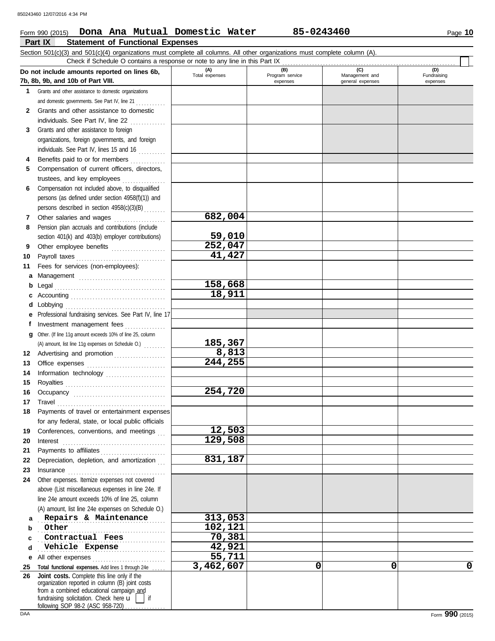#### **Part IX Statement of Functional Expenses** Form 990 (2015) Page **10 Dona Ana Mutual Domestic Water 85-0243460**

|          | Check if Schedule O contains a response or note to any line in this Part IX                                                                                                                                                                                                      |                       |                                    |                                           |                                |
|----------|----------------------------------------------------------------------------------------------------------------------------------------------------------------------------------------------------------------------------------------------------------------------------------|-----------------------|------------------------------------|-------------------------------------------|--------------------------------|
|          | Do not include amounts reported on lines 6b,<br>7b, 8b, 9b, and 10b of Part VIII.                                                                                                                                                                                                | (A)<br>Total expenses | (B)<br>Program service<br>expenses | (C)<br>Management and<br>general expenses | (D)<br>Fundraising<br>expenses |
| 1        | Grants and other assistance to domestic organizations                                                                                                                                                                                                                            |                       |                                    |                                           |                                |
|          | and domestic governments. See Part IV, line 21                                                                                                                                                                                                                                   |                       |                                    |                                           |                                |
| 2        | Grants and other assistance to domestic                                                                                                                                                                                                                                          |                       |                                    |                                           |                                |
|          | individuals. See Part IV, line 22                                                                                                                                                                                                                                                |                       |                                    |                                           |                                |
| 3        | Grants and other assistance to foreign                                                                                                                                                                                                                                           |                       |                                    |                                           |                                |
|          | organizations, foreign governments, and foreign                                                                                                                                                                                                                                  |                       |                                    |                                           |                                |
|          | individuals. See Part IV, lines 15 and 16                                                                                                                                                                                                                                        |                       |                                    |                                           |                                |
| 4        | Benefits paid to or for members                                                                                                                                                                                                                                                  |                       |                                    |                                           |                                |
| 5        | Compensation of current officers, directors,                                                                                                                                                                                                                                     |                       |                                    |                                           |                                |
|          | trustees, and key employees<br>.                                                                                                                                                                                                                                                 |                       |                                    |                                           |                                |
| 6        | Compensation not included above, to disqualified                                                                                                                                                                                                                                 |                       |                                    |                                           |                                |
|          | persons (as defined under section 4958(f)(1)) and                                                                                                                                                                                                                                |                       |                                    |                                           |                                |
|          | persons described in section 4958(c)(3)(B)                                                                                                                                                                                                                                       |                       |                                    |                                           |                                |
| 7        | Other salaries and wages<br><u>.</u><br>1980 - Paul Barbara, president                                                                                                                                                                                                           | 682,004               |                                    |                                           |                                |
| 8        | Pension plan accruals and contributions (include                                                                                                                                                                                                                                 |                       |                                    |                                           |                                |
|          | section 401(k) and 403(b) employer contributions)                                                                                                                                                                                                                                | 59,010                |                                    |                                           |                                |
| 9        | Other employee benefits                                                                                                                                                                                                                                                          | 252,047               |                                    |                                           |                                |
| 10       |                                                                                                                                                                                                                                                                                  | 41,427                |                                    |                                           |                                |
| 11       | Fees for services (non-employees):                                                                                                                                                                                                                                               |                       |                                    |                                           |                                |
| а        |                                                                                                                                                                                                                                                                                  |                       |                                    |                                           |                                |
| b        |                                                                                                                                                                                                                                                                                  | 158,668               |                                    |                                           |                                |
| c        |                                                                                                                                                                                                                                                                                  | 18,911                |                                    |                                           |                                |
| d        |                                                                                                                                                                                                                                                                                  |                       |                                    |                                           |                                |
| е        | Professional fundraising services. See Part IV, line 17                                                                                                                                                                                                                          |                       |                                    |                                           |                                |
| f        | Investment management fees                                                                                                                                                                                                                                                       |                       |                                    |                                           |                                |
| g        | Other. (If line 11g amount exceeds 10% of line 25, column                                                                                                                                                                                                                        |                       |                                    |                                           |                                |
|          | (A) amount, list line 11g expenses on Schedule O.)                                                                                                                                                                                                                               | 185,367               |                                    |                                           |                                |
| 12       | Advertising and promotion                                                                                                                                                                                                                                                        | 8,813                 |                                    |                                           |                                |
| 13       |                                                                                                                                                                                                                                                                                  | 244,255               |                                    |                                           |                                |
| 14       | Information technology                                                                                                                                                                                                                                                           |                       |                                    |                                           |                                |
| 15       |                                                                                                                                                                                                                                                                                  |                       |                                    |                                           |                                |
| 16       |                                                                                                                                                                                                                                                                                  | 254,720               |                                    |                                           |                                |
| 17       |                                                                                                                                                                                                                                                                                  |                       |                                    |                                           |                                |
| 18       | Payments of travel or entertainment expenses                                                                                                                                                                                                                                     |                       |                                    |                                           |                                |
|          | for any federal, state, or local public officials                                                                                                                                                                                                                                |                       |                                    |                                           |                                |
| 19       | Conferences, conventions, and meetings                                                                                                                                                                                                                                           | 12,503                |                                    |                                           |                                |
| 20       | $\textbf{Interest} \hspace{0.05in} \ldots \hspace{0.05in} \ldots \hspace{0.05in} \ldots \hspace{0.05in} \ldots \hspace{0.05in} \ldots \hspace{0.05in} \ldots \hspace{0.05in} \ldots \hspace{0.05in} \ldots \hspace{0.05in} \ldots \hspace{0.05in} \ldots \hspace{0.05in} \ldots$ | 129,508               |                                    |                                           |                                |
| 21       | Payments to affiliates                                                                                                                                                                                                                                                           | 831,187               |                                    |                                           |                                |
| 22<br>23 | Depreciation, depletion, and amortization                                                                                                                                                                                                                                        |                       |                                    |                                           |                                |
| 24       | Other expenses. Itemize expenses not covered                                                                                                                                                                                                                                     |                       |                                    |                                           |                                |
|          | above (List miscellaneous expenses in line 24e. If                                                                                                                                                                                                                               |                       |                                    |                                           |                                |
|          | line 24e amount exceeds 10% of line 25, column                                                                                                                                                                                                                                   |                       |                                    |                                           |                                |
|          | (A) amount, list line 24e expenses on Schedule O.)                                                                                                                                                                                                                               |                       |                                    |                                           |                                |
| а        | Repairs & Maintenance                                                                                                                                                                                                                                                            | 313,053               |                                    |                                           |                                |
| b        | Other                                                                                                                                                                                                                                                                            | 102,121               |                                    |                                           |                                |
| c        | Contractual Fees                                                                                                                                                                                                                                                                 | 70,381                |                                    |                                           |                                |
| d        | Vehicle Expense                                                                                                                                                                                                                                                                  | 42,921                |                                    |                                           |                                |
| е        | All other expenses                                                                                                                                                                                                                                                               | 55,711                |                                    |                                           |                                |
| 25       | Total functional expenses. Add lines 1 through 24e                                                                                                                                                                                                                               | 3,462,607             | 0                                  | 0                                         | 0                              |
| 26       | Joint costs. Complete this line only if the                                                                                                                                                                                                                                      |                       |                                    |                                           |                                |
|          | organization reported in column (B) joint costs                                                                                                                                                                                                                                  |                       |                                    |                                           |                                |
|          | from a combined educational campaign and<br>fundraising solicitation. Check here u<br>$\overline{\phantom{a}}$ if                                                                                                                                                                |                       |                                    |                                           |                                |
|          | following SOP 98-2 (ASC 958-720)                                                                                                                                                                                                                                                 |                       |                                    |                                           |                                |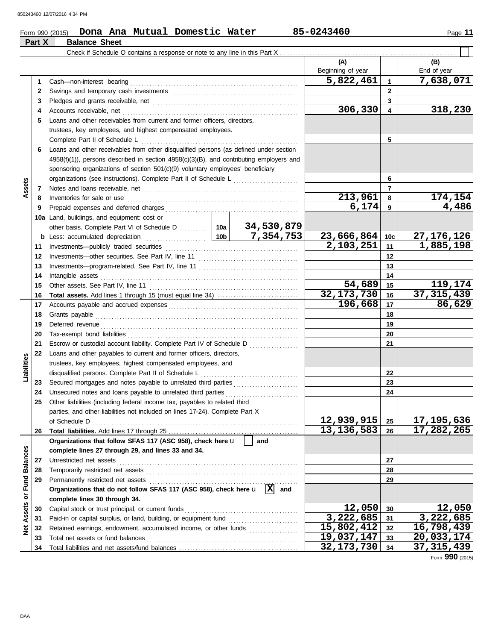#### Form 990 (2015) Page **11 Dona Ana Mutual Domestic Water 85-0243460**

| (A)<br>(B)<br>Beginning of year<br>End of year<br>5,822,461<br>7,638,071<br>$\mathbf{1}$<br>1<br>$\mathbf{2}$<br>2<br>3<br>3<br>306,330<br>318,230<br>4<br>4<br>Loans and other receivables from current and former officers, directors,<br>5<br>trustees, key employees, and highest compensated employees.<br>5<br>Complete Part II of Schedule L<br>Loans and other receivables from other disqualified persons (as defined under section<br>6<br>$4958(f)(1)$ ), persons described in section $4958(c)(3)(B)$ , and contributing employers and<br>sponsoring organizations of section 501(c)(9) voluntary employees' beneficiary<br>organizations (see instructions). Complete Part II of Schedule L<br>6<br>Assets<br>7<br>7<br>213,961<br>Inventories for sale or use <i>communication</i> and the state of the state or use of the state of the state of the state of the state of the state of the state of the state of the state of the state of the state of the state o<br>8<br>8<br>6,174<br>9<br>9<br>10a Land, buildings, and equipment: cost or<br>23,666,864<br>10 <sub>c</sub><br>b<br>2,103,251<br>11<br>11<br>12<br>12<br>13<br>13<br>14<br>Intangible assets with a state of the contract of the state of the state of the state of the state of the state of the state of the state of the state of the state of the state of the state of the state of the state of the<br>14<br>119,174<br>54,689<br>15<br>15<br>32, 173, 730<br>37, 315, 439<br>16<br>16<br>196,668<br>86,629<br>17<br>17<br>18<br>18<br>19<br>19<br>20<br>20<br>Escrow or custodial account liability. Complete Part IV of Schedule D<br>21<br>21<br>Loans and other payables to current and former officers, directors,<br>22<br>Liabilities<br>trustees, key employees, highest compensated employees, and<br>22<br>23<br>23<br>24<br>24<br>Other liabilities (including federal income tax, payables to related third<br>parties, and other liabilities not included on lines 17-24). Complete Part X<br>12,939,915<br>25<br>13, 136, 583<br>17,282,265<br>26<br>26<br>Organizations that follow SFAS 117 (ASC 958), check here u<br>and<br><b>Balances</b><br>complete lines 27 through 29, and lines 33 and 34.<br>Unrestricted net assets<br>27<br>27<br>28<br>28<br>Fund<br>Permanently restricted net assets<br>Organizations that do not follow SFAS 117 (ASC 958), check here <b>u</b> X and<br>29<br>29<br>Assets or<br>complete lines 30 through 34.<br>12,050<br>12,050<br>30<br>30<br>3,222,685<br>3,222,685<br>31<br>Paid-in or capital surplus, or land, building, or equipment fund<br>31<br>15,802,412<br>16,798,439<br>ğ<br>32<br>Retained earnings, endowment, accumulated income, or other funds<br>32<br>19,037,147<br>20,033,174<br>Total net assets or fund balances<br>33<br>33<br>32, 173, 730<br>34<br>34 | Part X | <b>Balance Sheet</b> |  |       |              |
|--------------------------------------------------------------------------------------------------------------------------------------------------------------------------------------------------------------------------------------------------------------------------------------------------------------------------------------------------------------------------------------------------------------------------------------------------------------------------------------------------------------------------------------------------------------------------------------------------------------------------------------------------------------------------------------------------------------------------------------------------------------------------------------------------------------------------------------------------------------------------------------------------------------------------------------------------------------------------------------------------------------------------------------------------------------------------------------------------------------------------------------------------------------------------------------------------------------------------------------------------------------------------------------------------------------------------------------------------------------------------------------------------------------------------------------------------------------------------------------------------------------------------------------------------------------------------------------------------------------------------------------------------------------------------------------------------------------------------------------------------------------------------------------------------------------------------------------------------------------------------------------------------------------------------------------------------------------------------------------------------------------------------------------------------------------------------------------------------------------------------------------------------------------------------------------------------------------------------------------------------------------------------------------------------------------------------------------------------------------------------------------------------------------------------------------------------------------------------------------------------------------------------------------------------------------------------------------------------------------------------------------------------------------------------------------------------------------------------------------------------------------------------------------------------------------------------------|--------|----------------------|--|-------|--------------|
|                                                                                                                                                                                                                                                                                                                                                                                                                                                                                                                                                                                                                                                                                                                                                                                                                                                                                                                                                                                                                                                                                                                                                                                                                                                                                                                                                                                                                                                                                                                                                                                                                                                                                                                                                                                                                                                                                                                                                                                                                                                                                                                                                                                                                                                                                                                                                                                                                                                                                                                                                                                                                                                                                                                                                                                                                                |        |                      |  |       |              |
|                                                                                                                                                                                                                                                                                                                                                                                                                                                                                                                                                                                                                                                                                                                                                                                                                                                                                                                                                                                                                                                                                                                                                                                                                                                                                                                                                                                                                                                                                                                                                                                                                                                                                                                                                                                                                                                                                                                                                                                                                                                                                                                                                                                                                                                                                                                                                                                                                                                                                                                                                                                                                                                                                                                                                                                                                                |        |                      |  |       |              |
|                                                                                                                                                                                                                                                                                                                                                                                                                                                                                                                                                                                                                                                                                                                                                                                                                                                                                                                                                                                                                                                                                                                                                                                                                                                                                                                                                                                                                                                                                                                                                                                                                                                                                                                                                                                                                                                                                                                                                                                                                                                                                                                                                                                                                                                                                                                                                                                                                                                                                                                                                                                                                                                                                                                                                                                                                                |        |                      |  |       |              |
|                                                                                                                                                                                                                                                                                                                                                                                                                                                                                                                                                                                                                                                                                                                                                                                                                                                                                                                                                                                                                                                                                                                                                                                                                                                                                                                                                                                                                                                                                                                                                                                                                                                                                                                                                                                                                                                                                                                                                                                                                                                                                                                                                                                                                                                                                                                                                                                                                                                                                                                                                                                                                                                                                                                                                                                                                                |        |                      |  |       |              |
|                                                                                                                                                                                                                                                                                                                                                                                                                                                                                                                                                                                                                                                                                                                                                                                                                                                                                                                                                                                                                                                                                                                                                                                                                                                                                                                                                                                                                                                                                                                                                                                                                                                                                                                                                                                                                                                                                                                                                                                                                                                                                                                                                                                                                                                                                                                                                                                                                                                                                                                                                                                                                                                                                                                                                                                                                                |        |                      |  |       |              |
|                                                                                                                                                                                                                                                                                                                                                                                                                                                                                                                                                                                                                                                                                                                                                                                                                                                                                                                                                                                                                                                                                                                                                                                                                                                                                                                                                                                                                                                                                                                                                                                                                                                                                                                                                                                                                                                                                                                                                                                                                                                                                                                                                                                                                                                                                                                                                                                                                                                                                                                                                                                                                                                                                                                                                                                                                                |        |                      |  |       |              |
|                                                                                                                                                                                                                                                                                                                                                                                                                                                                                                                                                                                                                                                                                                                                                                                                                                                                                                                                                                                                                                                                                                                                                                                                                                                                                                                                                                                                                                                                                                                                                                                                                                                                                                                                                                                                                                                                                                                                                                                                                                                                                                                                                                                                                                                                                                                                                                                                                                                                                                                                                                                                                                                                                                                                                                                                                                |        |                      |  |       |              |
|                                                                                                                                                                                                                                                                                                                                                                                                                                                                                                                                                                                                                                                                                                                                                                                                                                                                                                                                                                                                                                                                                                                                                                                                                                                                                                                                                                                                                                                                                                                                                                                                                                                                                                                                                                                                                                                                                                                                                                                                                                                                                                                                                                                                                                                                                                                                                                                                                                                                                                                                                                                                                                                                                                                                                                                                                                |        |                      |  |       |              |
|                                                                                                                                                                                                                                                                                                                                                                                                                                                                                                                                                                                                                                                                                                                                                                                                                                                                                                                                                                                                                                                                                                                                                                                                                                                                                                                                                                                                                                                                                                                                                                                                                                                                                                                                                                                                                                                                                                                                                                                                                                                                                                                                                                                                                                                                                                                                                                                                                                                                                                                                                                                                                                                                                                                                                                                                                                |        |                      |  |       |              |
|                                                                                                                                                                                                                                                                                                                                                                                                                                                                                                                                                                                                                                                                                                                                                                                                                                                                                                                                                                                                                                                                                                                                                                                                                                                                                                                                                                                                                                                                                                                                                                                                                                                                                                                                                                                                                                                                                                                                                                                                                                                                                                                                                                                                                                                                                                                                                                                                                                                                                                                                                                                                                                                                                                                                                                                                                                |        |                      |  |       |              |
|                                                                                                                                                                                                                                                                                                                                                                                                                                                                                                                                                                                                                                                                                                                                                                                                                                                                                                                                                                                                                                                                                                                                                                                                                                                                                                                                                                                                                                                                                                                                                                                                                                                                                                                                                                                                                                                                                                                                                                                                                                                                                                                                                                                                                                                                                                                                                                                                                                                                                                                                                                                                                                                                                                                                                                                                                                |        |                      |  |       |              |
|                                                                                                                                                                                                                                                                                                                                                                                                                                                                                                                                                                                                                                                                                                                                                                                                                                                                                                                                                                                                                                                                                                                                                                                                                                                                                                                                                                                                                                                                                                                                                                                                                                                                                                                                                                                                                                                                                                                                                                                                                                                                                                                                                                                                                                                                                                                                                                                                                                                                                                                                                                                                                                                                                                                                                                                                                                |        |                      |  |       |              |
|                                                                                                                                                                                                                                                                                                                                                                                                                                                                                                                                                                                                                                                                                                                                                                                                                                                                                                                                                                                                                                                                                                                                                                                                                                                                                                                                                                                                                                                                                                                                                                                                                                                                                                                                                                                                                                                                                                                                                                                                                                                                                                                                                                                                                                                                                                                                                                                                                                                                                                                                                                                                                                                                                                                                                                                                                                |        |                      |  |       |              |
|                                                                                                                                                                                                                                                                                                                                                                                                                                                                                                                                                                                                                                                                                                                                                                                                                                                                                                                                                                                                                                                                                                                                                                                                                                                                                                                                                                                                                                                                                                                                                                                                                                                                                                                                                                                                                                                                                                                                                                                                                                                                                                                                                                                                                                                                                                                                                                                                                                                                                                                                                                                                                                                                                                                                                                                                                                |        |                      |  |       |              |
|                                                                                                                                                                                                                                                                                                                                                                                                                                                                                                                                                                                                                                                                                                                                                                                                                                                                                                                                                                                                                                                                                                                                                                                                                                                                                                                                                                                                                                                                                                                                                                                                                                                                                                                                                                                                                                                                                                                                                                                                                                                                                                                                                                                                                                                                                                                                                                                                                                                                                                                                                                                                                                                                                                                                                                                                                                |        |                      |  |       | 174,154      |
|                                                                                                                                                                                                                                                                                                                                                                                                                                                                                                                                                                                                                                                                                                                                                                                                                                                                                                                                                                                                                                                                                                                                                                                                                                                                                                                                                                                                                                                                                                                                                                                                                                                                                                                                                                                                                                                                                                                                                                                                                                                                                                                                                                                                                                                                                                                                                                                                                                                                                                                                                                                                                                                                                                                                                                                                                                |        |                      |  | 4,486 |              |
|                                                                                                                                                                                                                                                                                                                                                                                                                                                                                                                                                                                                                                                                                                                                                                                                                                                                                                                                                                                                                                                                                                                                                                                                                                                                                                                                                                                                                                                                                                                                                                                                                                                                                                                                                                                                                                                                                                                                                                                                                                                                                                                                                                                                                                                                                                                                                                                                                                                                                                                                                                                                                                                                                                                                                                                                                                |        |                      |  |       |              |
|                                                                                                                                                                                                                                                                                                                                                                                                                                                                                                                                                                                                                                                                                                                                                                                                                                                                                                                                                                                                                                                                                                                                                                                                                                                                                                                                                                                                                                                                                                                                                                                                                                                                                                                                                                                                                                                                                                                                                                                                                                                                                                                                                                                                                                                                                                                                                                                                                                                                                                                                                                                                                                                                                                                                                                                                                                |        |                      |  |       |              |
|                                                                                                                                                                                                                                                                                                                                                                                                                                                                                                                                                                                                                                                                                                                                                                                                                                                                                                                                                                                                                                                                                                                                                                                                                                                                                                                                                                                                                                                                                                                                                                                                                                                                                                                                                                                                                                                                                                                                                                                                                                                                                                                                                                                                                                                                                                                                                                                                                                                                                                                                                                                                                                                                                                                                                                                                                                |        |                      |  |       | 27, 176, 126 |
|                                                                                                                                                                                                                                                                                                                                                                                                                                                                                                                                                                                                                                                                                                                                                                                                                                                                                                                                                                                                                                                                                                                                                                                                                                                                                                                                                                                                                                                                                                                                                                                                                                                                                                                                                                                                                                                                                                                                                                                                                                                                                                                                                                                                                                                                                                                                                                                                                                                                                                                                                                                                                                                                                                                                                                                                                                |        |                      |  |       | 1,885,198    |
|                                                                                                                                                                                                                                                                                                                                                                                                                                                                                                                                                                                                                                                                                                                                                                                                                                                                                                                                                                                                                                                                                                                                                                                                                                                                                                                                                                                                                                                                                                                                                                                                                                                                                                                                                                                                                                                                                                                                                                                                                                                                                                                                                                                                                                                                                                                                                                                                                                                                                                                                                                                                                                                                                                                                                                                                                                |        |                      |  |       |              |
|                                                                                                                                                                                                                                                                                                                                                                                                                                                                                                                                                                                                                                                                                                                                                                                                                                                                                                                                                                                                                                                                                                                                                                                                                                                                                                                                                                                                                                                                                                                                                                                                                                                                                                                                                                                                                                                                                                                                                                                                                                                                                                                                                                                                                                                                                                                                                                                                                                                                                                                                                                                                                                                                                                                                                                                                                                |        |                      |  |       |              |
|                                                                                                                                                                                                                                                                                                                                                                                                                                                                                                                                                                                                                                                                                                                                                                                                                                                                                                                                                                                                                                                                                                                                                                                                                                                                                                                                                                                                                                                                                                                                                                                                                                                                                                                                                                                                                                                                                                                                                                                                                                                                                                                                                                                                                                                                                                                                                                                                                                                                                                                                                                                                                                                                                                                                                                                                                                |        |                      |  |       |              |
|                                                                                                                                                                                                                                                                                                                                                                                                                                                                                                                                                                                                                                                                                                                                                                                                                                                                                                                                                                                                                                                                                                                                                                                                                                                                                                                                                                                                                                                                                                                                                                                                                                                                                                                                                                                                                                                                                                                                                                                                                                                                                                                                                                                                                                                                                                                                                                                                                                                                                                                                                                                                                                                                                                                                                                                                                                |        |                      |  |       |              |
|                                                                                                                                                                                                                                                                                                                                                                                                                                                                                                                                                                                                                                                                                                                                                                                                                                                                                                                                                                                                                                                                                                                                                                                                                                                                                                                                                                                                                                                                                                                                                                                                                                                                                                                                                                                                                                                                                                                                                                                                                                                                                                                                                                                                                                                                                                                                                                                                                                                                                                                                                                                                                                                                                                                                                                                                                                |        |                      |  |       |              |
|                                                                                                                                                                                                                                                                                                                                                                                                                                                                                                                                                                                                                                                                                                                                                                                                                                                                                                                                                                                                                                                                                                                                                                                                                                                                                                                                                                                                                                                                                                                                                                                                                                                                                                                                                                                                                                                                                                                                                                                                                                                                                                                                                                                                                                                                                                                                                                                                                                                                                                                                                                                                                                                                                                                                                                                                                                |        |                      |  |       |              |
|                                                                                                                                                                                                                                                                                                                                                                                                                                                                                                                                                                                                                                                                                                                                                                                                                                                                                                                                                                                                                                                                                                                                                                                                                                                                                                                                                                                                                                                                                                                                                                                                                                                                                                                                                                                                                                                                                                                                                                                                                                                                                                                                                                                                                                                                                                                                                                                                                                                                                                                                                                                                                                                                                                                                                                                                                                |        |                      |  |       |              |
|                                                                                                                                                                                                                                                                                                                                                                                                                                                                                                                                                                                                                                                                                                                                                                                                                                                                                                                                                                                                                                                                                                                                                                                                                                                                                                                                                                                                                                                                                                                                                                                                                                                                                                                                                                                                                                                                                                                                                                                                                                                                                                                                                                                                                                                                                                                                                                                                                                                                                                                                                                                                                                                                                                                                                                                                                                |        |                      |  |       |              |
|                                                                                                                                                                                                                                                                                                                                                                                                                                                                                                                                                                                                                                                                                                                                                                                                                                                                                                                                                                                                                                                                                                                                                                                                                                                                                                                                                                                                                                                                                                                                                                                                                                                                                                                                                                                                                                                                                                                                                                                                                                                                                                                                                                                                                                                                                                                                                                                                                                                                                                                                                                                                                                                                                                                                                                                                                                |        |                      |  |       |              |
|                                                                                                                                                                                                                                                                                                                                                                                                                                                                                                                                                                                                                                                                                                                                                                                                                                                                                                                                                                                                                                                                                                                                                                                                                                                                                                                                                                                                                                                                                                                                                                                                                                                                                                                                                                                                                                                                                                                                                                                                                                                                                                                                                                                                                                                                                                                                                                                                                                                                                                                                                                                                                                                                                                                                                                                                                                |        |                      |  |       |              |
|                                                                                                                                                                                                                                                                                                                                                                                                                                                                                                                                                                                                                                                                                                                                                                                                                                                                                                                                                                                                                                                                                                                                                                                                                                                                                                                                                                                                                                                                                                                                                                                                                                                                                                                                                                                                                                                                                                                                                                                                                                                                                                                                                                                                                                                                                                                                                                                                                                                                                                                                                                                                                                                                                                                                                                                                                                |        |                      |  |       |              |
|                                                                                                                                                                                                                                                                                                                                                                                                                                                                                                                                                                                                                                                                                                                                                                                                                                                                                                                                                                                                                                                                                                                                                                                                                                                                                                                                                                                                                                                                                                                                                                                                                                                                                                                                                                                                                                                                                                                                                                                                                                                                                                                                                                                                                                                                                                                                                                                                                                                                                                                                                                                                                                                                                                                                                                                                                                |        |                      |  |       |              |
|                                                                                                                                                                                                                                                                                                                                                                                                                                                                                                                                                                                                                                                                                                                                                                                                                                                                                                                                                                                                                                                                                                                                                                                                                                                                                                                                                                                                                                                                                                                                                                                                                                                                                                                                                                                                                                                                                                                                                                                                                                                                                                                                                                                                                                                                                                                                                                                                                                                                                                                                                                                                                                                                                                                                                                                                                                |        |                      |  |       |              |
|                                                                                                                                                                                                                                                                                                                                                                                                                                                                                                                                                                                                                                                                                                                                                                                                                                                                                                                                                                                                                                                                                                                                                                                                                                                                                                                                                                                                                                                                                                                                                                                                                                                                                                                                                                                                                                                                                                                                                                                                                                                                                                                                                                                                                                                                                                                                                                                                                                                                                                                                                                                                                                                                                                                                                                                                                                |        |                      |  |       |              |
|                                                                                                                                                                                                                                                                                                                                                                                                                                                                                                                                                                                                                                                                                                                                                                                                                                                                                                                                                                                                                                                                                                                                                                                                                                                                                                                                                                                                                                                                                                                                                                                                                                                                                                                                                                                                                                                                                                                                                                                                                                                                                                                                                                                                                                                                                                                                                                                                                                                                                                                                                                                                                                                                                                                                                                                                                                |        |                      |  |       |              |
|                                                                                                                                                                                                                                                                                                                                                                                                                                                                                                                                                                                                                                                                                                                                                                                                                                                                                                                                                                                                                                                                                                                                                                                                                                                                                                                                                                                                                                                                                                                                                                                                                                                                                                                                                                                                                                                                                                                                                                                                                                                                                                                                                                                                                                                                                                                                                                                                                                                                                                                                                                                                                                                                                                                                                                                                                                |        |                      |  |       |              |
|                                                                                                                                                                                                                                                                                                                                                                                                                                                                                                                                                                                                                                                                                                                                                                                                                                                                                                                                                                                                                                                                                                                                                                                                                                                                                                                                                                                                                                                                                                                                                                                                                                                                                                                                                                                                                                                                                                                                                                                                                                                                                                                                                                                                                                                                                                                                                                                                                                                                                                                                                                                                                                                                                                                                                                                                                                |        |                      |  |       | 17,195,636   |
|                                                                                                                                                                                                                                                                                                                                                                                                                                                                                                                                                                                                                                                                                                                                                                                                                                                                                                                                                                                                                                                                                                                                                                                                                                                                                                                                                                                                                                                                                                                                                                                                                                                                                                                                                                                                                                                                                                                                                                                                                                                                                                                                                                                                                                                                                                                                                                                                                                                                                                                                                                                                                                                                                                                                                                                                                                |        |                      |  |       |              |
|                                                                                                                                                                                                                                                                                                                                                                                                                                                                                                                                                                                                                                                                                                                                                                                                                                                                                                                                                                                                                                                                                                                                                                                                                                                                                                                                                                                                                                                                                                                                                                                                                                                                                                                                                                                                                                                                                                                                                                                                                                                                                                                                                                                                                                                                                                                                                                                                                                                                                                                                                                                                                                                                                                                                                                                                                                |        |                      |  |       |              |
|                                                                                                                                                                                                                                                                                                                                                                                                                                                                                                                                                                                                                                                                                                                                                                                                                                                                                                                                                                                                                                                                                                                                                                                                                                                                                                                                                                                                                                                                                                                                                                                                                                                                                                                                                                                                                                                                                                                                                                                                                                                                                                                                                                                                                                                                                                                                                                                                                                                                                                                                                                                                                                                                                                                                                                                                                                |        |                      |  |       |              |
|                                                                                                                                                                                                                                                                                                                                                                                                                                                                                                                                                                                                                                                                                                                                                                                                                                                                                                                                                                                                                                                                                                                                                                                                                                                                                                                                                                                                                                                                                                                                                                                                                                                                                                                                                                                                                                                                                                                                                                                                                                                                                                                                                                                                                                                                                                                                                                                                                                                                                                                                                                                                                                                                                                                                                                                                                                |        |                      |  |       |              |
|                                                                                                                                                                                                                                                                                                                                                                                                                                                                                                                                                                                                                                                                                                                                                                                                                                                                                                                                                                                                                                                                                                                                                                                                                                                                                                                                                                                                                                                                                                                                                                                                                                                                                                                                                                                                                                                                                                                                                                                                                                                                                                                                                                                                                                                                                                                                                                                                                                                                                                                                                                                                                                                                                                                                                                                                                                |        |                      |  |       |              |
|                                                                                                                                                                                                                                                                                                                                                                                                                                                                                                                                                                                                                                                                                                                                                                                                                                                                                                                                                                                                                                                                                                                                                                                                                                                                                                                                                                                                                                                                                                                                                                                                                                                                                                                                                                                                                                                                                                                                                                                                                                                                                                                                                                                                                                                                                                                                                                                                                                                                                                                                                                                                                                                                                                                                                                                                                                |        |                      |  |       |              |
|                                                                                                                                                                                                                                                                                                                                                                                                                                                                                                                                                                                                                                                                                                                                                                                                                                                                                                                                                                                                                                                                                                                                                                                                                                                                                                                                                                                                                                                                                                                                                                                                                                                                                                                                                                                                                                                                                                                                                                                                                                                                                                                                                                                                                                                                                                                                                                                                                                                                                                                                                                                                                                                                                                                                                                                                                                |        |                      |  |       |              |
|                                                                                                                                                                                                                                                                                                                                                                                                                                                                                                                                                                                                                                                                                                                                                                                                                                                                                                                                                                                                                                                                                                                                                                                                                                                                                                                                                                                                                                                                                                                                                                                                                                                                                                                                                                                                                                                                                                                                                                                                                                                                                                                                                                                                                                                                                                                                                                                                                                                                                                                                                                                                                                                                                                                                                                                                                                |        |                      |  |       |              |
|                                                                                                                                                                                                                                                                                                                                                                                                                                                                                                                                                                                                                                                                                                                                                                                                                                                                                                                                                                                                                                                                                                                                                                                                                                                                                                                                                                                                                                                                                                                                                                                                                                                                                                                                                                                                                                                                                                                                                                                                                                                                                                                                                                                                                                                                                                                                                                                                                                                                                                                                                                                                                                                                                                                                                                                                                                |        |                      |  |       |              |
|                                                                                                                                                                                                                                                                                                                                                                                                                                                                                                                                                                                                                                                                                                                                                                                                                                                                                                                                                                                                                                                                                                                                                                                                                                                                                                                                                                                                                                                                                                                                                                                                                                                                                                                                                                                                                                                                                                                                                                                                                                                                                                                                                                                                                                                                                                                                                                                                                                                                                                                                                                                                                                                                                                                                                                                                                                |        |                      |  |       |              |
|                                                                                                                                                                                                                                                                                                                                                                                                                                                                                                                                                                                                                                                                                                                                                                                                                                                                                                                                                                                                                                                                                                                                                                                                                                                                                                                                                                                                                                                                                                                                                                                                                                                                                                                                                                                                                                                                                                                                                                                                                                                                                                                                                                                                                                                                                                                                                                                                                                                                                                                                                                                                                                                                                                                                                                                                                                |        |                      |  |       |              |
|                                                                                                                                                                                                                                                                                                                                                                                                                                                                                                                                                                                                                                                                                                                                                                                                                                                                                                                                                                                                                                                                                                                                                                                                                                                                                                                                                                                                                                                                                                                                                                                                                                                                                                                                                                                                                                                                                                                                                                                                                                                                                                                                                                                                                                                                                                                                                                                                                                                                                                                                                                                                                                                                                                                                                                                                                                |        |                      |  |       | 37, 315, 439 |

Form **990** (2015)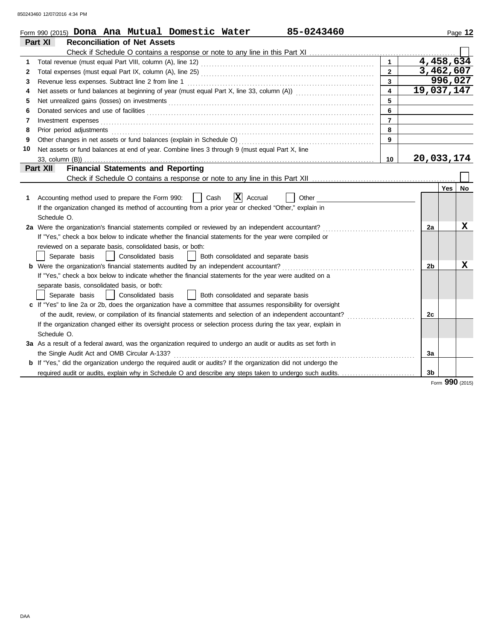850243460 12/07/2016 4:34 PM

|    | 85-0243460<br>Form 990 (2015) Dona Ana Mutual Domestic Water                                                                                                                                                                        |                         |                |            | Page 12 |
|----|-------------------------------------------------------------------------------------------------------------------------------------------------------------------------------------------------------------------------------------|-------------------------|----------------|------------|---------|
|    | <b>Reconciliation of Net Assets</b><br>Part XI                                                                                                                                                                                      |                         |                |            |         |
|    |                                                                                                                                                                                                                                     |                         |                |            |         |
| 1  | Total revenue (must equal Part VIII, column (A), line 12) [2010] [2010] [2010] [2010] [2010] [2010] [2010] [20                                                                                                                      | $\mathbf{1}$            |                | 4,458,634  |         |
| 2  |                                                                                                                                                                                                                                     | $2^{\circ}$             |                | 3,462,607  |         |
| 3  | Revenue less expenses. Subtract line 2 from line 1                                                                                                                                                                                  | 3                       |                | 996,027    |         |
| 4  |                                                                                                                                                                                                                                     | $\overline{\mathbf{4}}$ | 19,037,147     |            |         |
| 5  | Net unrealized gains (losses) on investments [11] results and the unrealized gains (losses) on investments [11] $\sim$                                                                                                              | 5                       |                |            |         |
| 6  |                                                                                                                                                                                                                                     | 6                       |                |            |         |
| 7  |                                                                                                                                                                                                                                     | $\overline{7}$          |                |            |         |
| 8  | Prior period adjustments <b>construction and construction of the construction</b> of the construction of the construction of the construction of the construction of the construction of the construction of the construction of th | 8                       |                |            |         |
| 9  |                                                                                                                                                                                                                                     | 9                       |                |            |         |
| 10 | Net assets or fund balances at end of year. Combine lines 3 through 9 (must equal Part X, line                                                                                                                                      |                         |                |            |         |
|    | 33, column (B))                                                                                                                                                                                                                     | 10                      | 20,033,174     |            |         |
|    | <b>Financial Statements and Reporting</b><br>Part XII                                                                                                                                                                               |                         |                |            |         |
|    |                                                                                                                                                                                                                                     |                         |                |            |         |
|    |                                                                                                                                                                                                                                     |                         |                | <b>Yes</b> | No      |
| 1  | X <br>Accounting method used to prepare the Form 990:<br>Cash<br>Accrual<br>Other                                                                                                                                                   |                         |                |            |         |
|    | If the organization changed its method of accounting from a prior year or checked "Other," explain in                                                                                                                               |                         |                |            |         |
|    | Schedule O.                                                                                                                                                                                                                         |                         |                |            |         |
|    | 2a Were the organization's financial statements compiled or reviewed by an independent accountant?                                                                                                                                  |                         | 2a             |            | X       |
|    | If "Yes," check a box below to indicate whether the financial statements for the year were compiled or                                                                                                                              |                         |                |            |         |
|    | reviewed on a separate basis, consolidated basis, or both:                                                                                                                                                                          |                         |                |            |         |
|    | Both consolidated and separate basis<br>Separate basis<br>  Consolidated basis                                                                                                                                                      |                         |                |            |         |
|    | <b>b</b> Were the organization's financial statements audited by an independent accountant?                                                                                                                                         |                         | 2b             |            | X       |
|    | If "Yes," check a box below to indicate whether the financial statements for the year were audited on a                                                                                                                             |                         |                |            |         |
|    | separate basis, consolidated basis, or both:                                                                                                                                                                                        |                         |                |            |         |
|    | Consolidated basis<br>  Both consolidated and separate basis<br>Separate basis<br>$\mathbf{L}$                                                                                                                                      |                         |                |            |         |
|    | c If "Yes" to line 2a or 2b, does the organization have a committee that assumes responsibility for oversight                                                                                                                       |                         |                |            |         |
|    | of the audit, review, or compilation of its financial statements and selection of an independent accountant?                                                                                                                        |                         | 2c             |            |         |
|    | If the organization changed either its oversight process or selection process during the tax year, explain in                                                                                                                       |                         |                |            |         |
|    | Schedule O.                                                                                                                                                                                                                         |                         |                |            |         |
|    | 3a As a result of a federal award, was the organization required to undergo an audit or audits as set forth in                                                                                                                      |                         |                |            |         |
|    |                                                                                                                                                                                                                                     |                         | 3a             |            |         |
|    | <b>b</b> If "Yes," did the organization undergo the required audit or audits? If the organization did not undergo the                                                                                                               |                         |                |            |         |
|    | required audit or audits, explain why in Schedule O and describe any steps taken to undergo such audits.                                                                                                                            |                         | 3 <sub>b</sub> |            |         |

Form **990** (2015)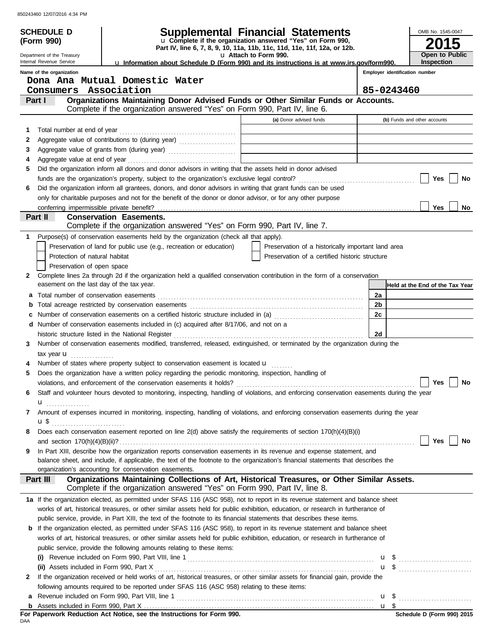|        | <b>SCHEDULE D</b>                         |                                                                                                                                                                                                                                            | <b>Supplemental Financial Statements</b>                                 |                 |                                | OMB No. 1545-0047               |
|--------|-------------------------------------------|--------------------------------------------------------------------------------------------------------------------------------------------------------------------------------------------------------------------------------------------|--------------------------------------------------------------------------|-----------------|--------------------------------|---------------------------------|
|        | (Form 990)                                |                                                                                                                                                                                                                                            | u Complete if the organization answered "Yes" on Form 990,               |                 |                                |                                 |
|        | Department of the Treasury                |                                                                                                                                                                                                                                            | Part IV, line 6, 7, 8, 9, 10, 11a, 11b, 11c, 11d, 11e, 11f, 12a, or 12b. |                 |                                | Open to Public                  |
|        | Internal Revenue Service                  | La Information about Schedule D (Form 990) and its instructions is at www.irs.gov/form990.                                                                                                                                                 | u Attach to Form 990.                                                    |                 |                                | <b>Inspection</b>               |
|        | Name of the organization                  |                                                                                                                                                                                                                                            |                                                                          |                 | Employer identification number |                                 |
|        |                                           | Dona Ana Mutual Domestic Water                                                                                                                                                                                                             |                                                                          |                 |                                |                                 |
|        | Consumers Association                     |                                                                                                                                                                                                                                            |                                                                          |                 | 85-0243460                     |                                 |
|        | Part I                                    | Organizations Maintaining Donor Advised Funds or Other Similar Funds or Accounts.<br>Complete if the organization answered "Yes" on Form 990, Part IV, line 6.                                                                             |                                                                          |                 |                                |                                 |
|        |                                           |                                                                                                                                                                                                                                            | (a) Donor advised funds                                                  |                 | (b) Funds and other accounts   |                                 |
|        |                                           |                                                                                                                                                                                                                                            |                                                                          |                 |                                |                                 |
| 1<br>2 | Total number at end of year               |                                                                                                                                                                                                                                            |                                                                          |                 |                                |                                 |
| 3      |                                           | Aggregate value of contributions to (during year) Material Material Material Processes (during year)<br>Aggregate value of grants from (during year) Materian Material Material Processes and Aggregate value of grants from (during year) |                                                                          |                 |                                |                                 |
| 4      |                                           |                                                                                                                                                                                                                                            |                                                                          |                 |                                |                                 |
| 5      |                                           | Did the organization inform all donors and donor advisors in writing that the assets held in donor advised                                                                                                                                 |                                                                          |                 |                                |                                 |
|        |                                           |                                                                                                                                                                                                                                            |                                                                          |                 |                                | No<br>Yes                       |
| 6      |                                           | Did the organization inform all grantees, donors, and donor advisors in writing that grant funds can be used                                                                                                                               |                                                                          |                 |                                |                                 |
|        |                                           | only for charitable purposes and not for the benefit of the donor or donor advisor, or for any other purpose                                                                                                                               |                                                                          |                 |                                |                                 |
|        | conferring impermissible private benefit? |                                                                                                                                                                                                                                            |                                                                          |                 |                                | Yes<br>No                       |
|        | Part II                                   | <b>Conservation Easements.</b>                                                                                                                                                                                                             |                                                                          |                 |                                |                                 |
|        |                                           | Complete if the organization answered "Yes" on Form 990, Part IV, line 7.                                                                                                                                                                  |                                                                          |                 |                                |                                 |
| 1      |                                           | Purpose(s) of conservation easements held by the organization (check all that apply).<br>Preservation of land for public use (e.g., recreation or education)                                                                               | Preservation of a historically important land area                       |                 |                                |                                 |
|        | Protection of natural habitat             |                                                                                                                                                                                                                                            | Preservation of a certified historic structure                           |                 |                                |                                 |
|        | Preservation of open space                |                                                                                                                                                                                                                                            |                                                                          |                 |                                |                                 |
| 2      |                                           | Complete lines 2a through 2d if the organization held a qualified conservation contribution in the form of a conservation                                                                                                                  |                                                                          |                 |                                |                                 |
|        | easement on the last day of the tax year. |                                                                                                                                                                                                                                            |                                                                          |                 |                                | Held at the End of the Tax Year |
| a      |                                           |                                                                                                                                                                                                                                            |                                                                          | 2a              |                                |                                 |
| b      |                                           |                                                                                                                                                                                                                                            |                                                                          | 2 <sub>b</sub>  |                                |                                 |
| c      |                                           | Number of conservation easements on a certified historic structure included in (a) [[[[[ [ [ ]]]                                                                                                                                           |                                                                          | 2c              |                                |                                 |
|        |                                           | d Number of conservation easements included in (c) acquired after 8/17/06, and not on a                                                                                                                                                    |                                                                          |                 |                                |                                 |
|        |                                           | historic structure listed in the National Register                                                                                                                                                                                         |                                                                          | 2d              |                                |                                 |
| 3      |                                           | Number of conservation easements modified, transferred, released, extinguished, or terminated by the organization during the                                                                                                               |                                                                          |                 |                                |                                 |
|        | tax year $\mathbf u$                      |                                                                                                                                                                                                                                            |                                                                          |                 |                                |                                 |
| 4      |                                           | Number of states where property subject to conservation easement is located u                                                                                                                                                              |                                                                          |                 |                                |                                 |
| 5      |                                           | Does the organization have a written policy regarding the periodic monitoring, inspection, handling of                                                                                                                                     |                                                                          |                 |                                |                                 |
|        |                                           |                                                                                                                                                                                                                                            |                                                                          |                 |                                | Yes $\Box$<br>No                |
| 6      |                                           | Staff and volunteer hours devoted to monitoring, inspecting, handling of violations, and enforcing conservation easements during the year                                                                                                  |                                                                          |                 |                                |                                 |
|        | u                                         |                                                                                                                                                                                                                                            |                                                                          |                 |                                |                                 |
| 7      |                                           | Amount of expenses incurred in monitoring, inspecting, handling of violations, and enforcing conservation easements during the year                                                                                                        |                                                                          |                 |                                |                                 |
| 8      |                                           | Does each conservation easement reported on line 2(d) above satisfy the requirements of section 170(h)(4)(B)(i)                                                                                                                            |                                                                          |                 |                                |                                 |
|        |                                           |                                                                                                                                                                                                                                            |                                                                          |                 |                                | Yes<br>No                       |
| 9      |                                           | In Part XIII, describe how the organization reports conservation easements in its revenue and expense statement, and                                                                                                                       |                                                                          |                 |                                |                                 |
|        |                                           | balance sheet, and include, if applicable, the text of the footnote to the organization's financial statements that describes the                                                                                                          |                                                                          |                 |                                |                                 |
|        |                                           | organization's accounting for conservation easements.                                                                                                                                                                                      |                                                                          |                 |                                |                                 |
|        | Part III                                  | Organizations Maintaining Collections of Art, Historical Treasures, or Other Similar Assets.                                                                                                                                               |                                                                          |                 |                                |                                 |
|        |                                           | Complete if the organization answered "Yes" on Form 990, Part IV, line 8.                                                                                                                                                                  |                                                                          |                 |                                |                                 |
|        |                                           | 1a If the organization elected, as permitted under SFAS 116 (ASC 958), not to report in its revenue statement and balance sheet                                                                                                            |                                                                          |                 |                                |                                 |
|        |                                           | works of art, historical treasures, or other similar assets held for public exhibition, education, or research in furtherance of                                                                                                           |                                                                          |                 |                                |                                 |
|        |                                           | public service, provide, in Part XIII, the text of the footnote to its financial statements that describes these items.                                                                                                                    |                                                                          |                 |                                |                                 |
|        |                                           | b If the organization elected, as permitted under SFAS 116 (ASC 958), to report in its revenue statement and balance sheet                                                                                                                 |                                                                          |                 |                                |                                 |
|        |                                           | works of art, historical treasures, or other similar assets held for public exhibition, education, or research in furtherance of                                                                                                           |                                                                          |                 |                                |                                 |
|        |                                           | public service, provide the following amounts relating to these items:                                                                                                                                                                     |                                                                          |                 |                                |                                 |
|        |                                           |                                                                                                                                                                                                                                            |                                                                          |                 |                                |                                 |
| 2      |                                           | If the organization received or held works of art, historical treasures, or other similar assets for financial gain, provide the                                                                                                           |                                                                          |                 |                                |                                 |
|        |                                           | following amounts required to be reported under SFAS 116 (ASC 958) relating to these items:                                                                                                                                                |                                                                          |                 |                                |                                 |
| а      |                                           |                                                                                                                                                                                                                                            |                                                                          |                 |                                |                                 |
| b      |                                           |                                                                                                                                                                                                                                            |                                                                          | $\mathbf{u}$ \$ |                                |                                 |
|        |                                           | For Paperwork Reduction Act Notice, see the Instructions for Form 990.                                                                                                                                                                     |                                                                          |                 |                                | Schedule D (Form 990) 2015      |
| DAA    |                                           |                                                                                                                                                                                                                                            |                                                                          |                 |                                |                                 |

|     |  |  |  | For Paperwork Reduction Act Notice, see the Instructions for Form 990. |  |  |
|-----|--|--|--|------------------------------------------------------------------------|--|--|
| DAA |  |  |  |                                                                        |  |  |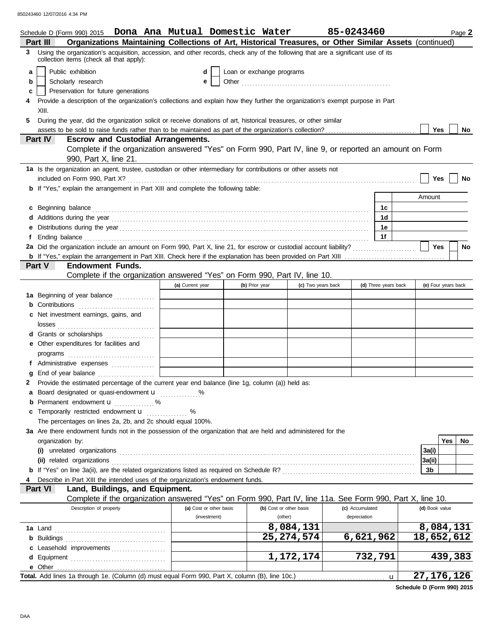|    | Schedule D (Form 990) 2015  Dona Ana Mutual Domestic Water                                                                                                                                                                          |                                         |                           |                         |                    | 85-0243460      |                      |                     |     | Page 2  |
|----|-------------------------------------------------------------------------------------------------------------------------------------------------------------------------------------------------------------------------------------|-----------------------------------------|---------------------------|-------------------------|--------------------|-----------------|----------------------|---------------------|-----|---------|
|    | Organizations Maintaining Collections of Art, Historical Treasures, or Other Similar Assets (continued)<br>Part III                                                                                                                 |                                         |                           |                         |                    |                 |                      |                     |     |         |
|    | 3 Using the organization's acquisition, accession, and other records, check any of the following that are a significant use of its<br>collection items (check all that apply):                                                      |                                         |                           |                         |                    |                 |                      |                     |     |         |
| a  | Public exhibition                                                                                                                                                                                                                   | d                                       | Loan or exchange programs |                         |                    |                 |                      |                     |     |         |
| b  | Scholarly research                                                                                                                                                                                                                  |                                         | e                         |                         |                    |                 |                      |                     |     |         |
| c  | Preservation for future generations                                                                                                                                                                                                 |                                         |                           |                         |                    |                 |                      |                     |     |         |
|    | Provide a description of the organization's collections and explain how they further the organization's exempt purpose in Part                                                                                                      |                                         |                           |                         |                    |                 |                      |                     |     |         |
|    | XIII.                                                                                                                                                                                                                               |                                         |                           |                         |                    |                 |                      |                     |     |         |
| 5. | During the year, did the organization solicit or receive donations of art, historical treasures, or other similar                                                                                                                   |                                         |                           |                         |                    |                 |                      |                     |     |         |
|    |                                                                                                                                                                                                                                     |                                         |                           |                         |                    |                 |                      | <b>Yes</b>          |     | No      |
|    | <b>Escrow and Custodial Arrangements.</b><br>Part IV                                                                                                                                                                                |                                         |                           |                         |                    |                 |                      |                     |     |         |
|    | Complete if the organization answered "Yes" on Form 990, Part IV, line 9, or reported an amount on Form                                                                                                                             |                                         |                           |                         |                    |                 |                      |                     |     |         |
|    | 990, Part X, line 21.                                                                                                                                                                                                               |                                         |                           |                         |                    |                 |                      |                     |     |         |
|    | 1a Is the organization an agent, trustee, custodian or other intermediary for contributions or other assets not                                                                                                                     |                                         |                           |                         |                    |                 |                      |                     |     |         |
|    |                                                                                                                                                                                                                                     |                                         |                           |                         |                    |                 |                      | Yes                 |     | No      |
|    | <b>b</b> If "Yes," explain the arrangement in Part XIII and complete the following table:                                                                                                                                           |                                         |                           |                         |                    |                 |                      |                     |     |         |
|    |                                                                                                                                                                                                                                     |                                         |                           |                         |                    |                 |                      | Amount              |     |         |
| c  | Beginning balance                                                                                                                                                                                                                   |                                         |                           |                         |                    |                 | 1c                   |                     |     |         |
|    |                                                                                                                                                                                                                                     |                                         |                           |                         |                    |                 | 1d                   |                     |     |         |
|    |                                                                                                                                                                                                                                     |                                         |                           |                         |                    |                 | 1e                   |                     |     |         |
|    | Ending balance <i>communically contained</i> and all the contained and contained and contained and contained and contained and contained and contained and contained and contained and contained and contained and contained and co |                                         |                           |                         |                    |                 | 1f                   |                     |     |         |
|    | 2a Did the organization include an amount on Form 990, Part X, line 21, for escrow or custodial account liability?                                                                                                                  |                                         |                           |                         |                    |                 |                      | Yes                 |     | No      |
|    |                                                                                                                                                                                                                                     |                                         |                           |                         |                    |                 |                      |                     |     |         |
|    | Part V<br><b>Endowment Funds.</b>                                                                                                                                                                                                   |                                         |                           |                         |                    |                 |                      |                     |     |         |
|    | Complete if the organization answered "Yes" on Form 990, Part IV, line 10.                                                                                                                                                          |                                         |                           |                         |                    |                 |                      |                     |     |         |
|    |                                                                                                                                                                                                                                     | (a) Current year                        | (b) Prior year            |                         | (c) Two years back |                 | (d) Three years back | (e) Four years back |     |         |
|    | 1a Beginning of year balance                                                                                                                                                                                                        |                                         |                           |                         |                    |                 |                      |                     |     |         |
|    | <b>b</b> Contributions                                                                                                                                                                                                              |                                         |                           |                         |                    |                 |                      |                     |     |         |
| с  | Net investment earnings, gains, and                                                                                                                                                                                                 |                                         |                           |                         |                    |                 |                      |                     |     |         |
|    | losses                                                                                                                                                                                                                              |                                         |                           |                         |                    |                 |                      |                     |     |         |
|    | d Grants or scholarships                                                                                                                                                                                                            |                                         |                           |                         |                    |                 |                      |                     |     |         |
|    | e Other expenditures for facilities and                                                                                                                                                                                             |                                         |                           |                         |                    |                 |                      |                     |     |         |
|    |                                                                                                                                                                                                                                     |                                         |                           |                         |                    |                 |                      |                     |     |         |
|    |                                                                                                                                                                                                                                     | <u> 1990 - Johann Barbara, martin a</u> |                           |                         |                    |                 |                      |                     |     |         |
|    | g End of year balance                                                                                                                                                                                                               |                                         |                           |                         |                    |                 |                      |                     |     |         |
|    | 2 Provide the estimated percentage of the current year end balance (line 1g, column (a)) held as:                                                                                                                                   |                                         |                           |                         |                    |                 |                      |                     |     |         |
|    | Board designated or quasi-endowment <b>u</b> %                                                                                                                                                                                      |                                         |                           |                         |                    |                 |                      |                     |     |         |
|    | <b>b</b> Permanent endowment $\mathbf{u}$ %                                                                                                                                                                                         |                                         |                           |                         |                    |                 |                      |                     |     |         |
|    | Temporarily restricted endowment u                                                                                                                                                                                                  | %                                       |                           |                         |                    |                 |                      |                     |     |         |
|    | The percentages on lines 2a, 2b, and 2c should equal 100%.                                                                                                                                                                          |                                         |                           |                         |                    |                 |                      |                     |     |         |
|    | 3a Are there endowment funds not in the possession of the organization that are held and administered for the                                                                                                                       |                                         |                           |                         |                    |                 |                      |                     |     |         |
|    | organization by:                                                                                                                                                                                                                    |                                         |                           |                         |                    |                 |                      |                     | Yes | No      |
|    | $(i)$ unrelated organizations $(1)$                                                                                                                                                                                                 |                                         |                           |                         |                    |                 |                      | 3a(i)               |     |         |
|    | (ii) related organizations                                                                                                                                                                                                          |                                         |                           |                         |                    |                 |                      | 3a(ii)              |     |         |
|    |                                                                                                                                                                                                                                     |                                         |                           |                         |                    |                 |                      | 3b                  |     |         |
|    | Describe in Part XIII the intended uses of the organization's endowment funds.                                                                                                                                                      |                                         |                           |                         |                    |                 |                      |                     |     |         |
|    | Part VI<br>Land, Buildings, and Equipment.                                                                                                                                                                                          |                                         |                           |                         |                    |                 |                      |                     |     |         |
|    | Complete if the organization answered "Yes" on Form 990, Part IV, line 11a. See Form 990, Part X, line 10.                                                                                                                          |                                         |                           |                         |                    |                 |                      |                     |     |         |
|    | Description of property                                                                                                                                                                                                             |                                         | (a) Cost or other basis   | (b) Cost or other basis |                    | (c) Accumulated |                      | (d) Book value      |     |         |
|    |                                                                                                                                                                                                                                     |                                         | (investment)              | (other)                 |                    | depreciation    |                      |                     |     |         |
|    | 1a Land                                                                                                                                                                                                                             |                                         |                           |                         | 8,084,131          |                 |                      | 8,084,131           |     |         |
|    | <b>b</b> Buildings                                                                                                                                                                                                                  |                                         |                           |                         | 25, 274, 574       | 6,621,962       |                      | 18,652,612          |     |         |
|    | c Leasehold improvements                                                                                                                                                                                                            |                                         |                           |                         |                    |                 |                      |                     |     |         |
|    |                                                                                                                                                                                                                                     |                                         |                           |                         | 1,172,174          |                 | 732,791              |                     |     | 439,383 |
|    |                                                                                                                                                                                                                                     |                                         |                           |                         |                    |                 |                      |                     |     |         |
|    |                                                                                                                                                                                                                                     |                                         |                           |                         |                    |                 | $\mathbf{u}$         | 27, 176, 126        |     |         |

**Schedule D (Form 990) 2015**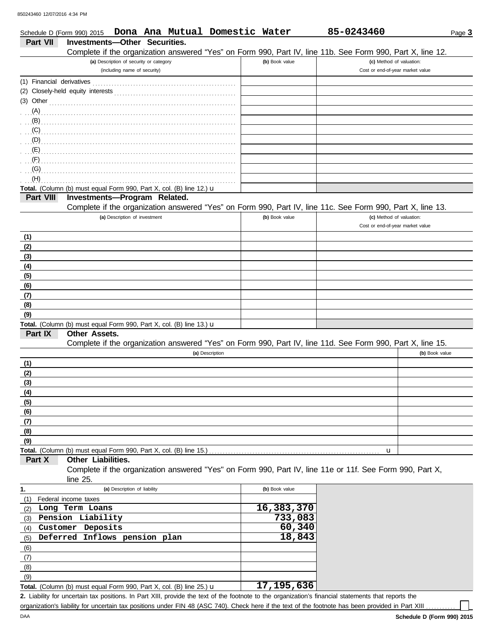|                           |                                                                      |                                                                         |  | Schedule D (Form 990) 2015  Dona Ana Mutual Domestic Water |                | 85-0243460                                                                                                 | Page 3         |
|---------------------------|----------------------------------------------------------------------|-------------------------------------------------------------------------|--|------------------------------------------------------------|----------------|------------------------------------------------------------------------------------------------------------|----------------|
| Part VII                  | <b>Investments-Other Securities.</b>                                 |                                                                         |  |                                                            |                |                                                                                                            |                |
|                           |                                                                      |                                                                         |  |                                                            |                | Complete if the organization answered "Yes" on Form 990, Part IV, line 11b. See Form 990, Part X, line 12. |                |
|                           |                                                                      | (a) Description of security or category<br>(including name of security) |  |                                                            | (b) Book value | (c) Method of valuation:<br>Cost or end-of-year market value                                               |                |
|                           |                                                                      |                                                                         |  |                                                            |                |                                                                                                            |                |
| (1) Financial derivatives |                                                                      |                                                                         |  |                                                            |                |                                                                                                            |                |
|                           |                                                                      |                                                                         |  |                                                            |                |                                                                                                            |                |
|                           | $(3)$ Other                                                          |                                                                         |  |                                                            |                |                                                                                                            |                |
| (A)<br>(B)                |                                                                      |                                                                         |  |                                                            |                |                                                                                                            |                |
| (C)                       |                                                                      |                                                                         |  |                                                            |                |                                                                                                            |                |
| (D)                       |                                                                      |                                                                         |  |                                                            |                |                                                                                                            |                |
| (E)                       |                                                                      |                                                                         |  |                                                            |                |                                                                                                            |                |
| (F)                       |                                                                      |                                                                         |  |                                                            |                |                                                                                                            |                |
| (G)                       |                                                                      |                                                                         |  |                                                            |                |                                                                                                            |                |
| (H)                       |                                                                      |                                                                         |  |                                                            |                |                                                                                                            |                |
|                           | Total. (Column (b) must equal Form 990, Part X, col. (B) line 12.) u |                                                                         |  |                                                            |                |                                                                                                            |                |
| Part VIII                 | Investments-Program Related.                                         |                                                                         |  |                                                            |                |                                                                                                            |                |
|                           |                                                                      |                                                                         |  |                                                            |                | Complete if the organization answered "Yes" on Form 990, Part IV, line 11c. See Form 990, Part X, line 13. |                |
|                           |                                                                      | (a) Description of investment                                           |  |                                                            | (b) Book value | (c) Method of valuation:                                                                                   |                |
|                           |                                                                      |                                                                         |  |                                                            |                | Cost or end-of-year market value                                                                           |                |
| (1)                       |                                                                      |                                                                         |  |                                                            |                |                                                                                                            |                |
| (2)                       |                                                                      |                                                                         |  |                                                            |                |                                                                                                            |                |
| (3)<br>(4)                |                                                                      |                                                                         |  |                                                            |                |                                                                                                            |                |
| (5)                       |                                                                      |                                                                         |  |                                                            |                |                                                                                                            |                |
| (6)                       |                                                                      |                                                                         |  |                                                            |                |                                                                                                            |                |
| (7)                       |                                                                      |                                                                         |  |                                                            |                |                                                                                                            |                |
| (8)                       |                                                                      |                                                                         |  |                                                            |                |                                                                                                            |                |
| (9)                       |                                                                      |                                                                         |  |                                                            |                |                                                                                                            |                |
|                           | Total. (Column (b) must equal Form 990, Part X, col. (B) line 13.) u |                                                                         |  |                                                            |                |                                                                                                            |                |
| Part IX                   | Other Assets.                                                        |                                                                         |  |                                                            |                |                                                                                                            |                |
|                           |                                                                      |                                                                         |  | (a) Description                                            |                | Complete if the organization answered "Yes" on Form 990, Part IV, line 11d. See Form 990, Part X, line 15. | (b) Book value |
| (1)                       |                                                                      |                                                                         |  |                                                            |                |                                                                                                            |                |
| (2)                       |                                                                      |                                                                         |  |                                                            |                |                                                                                                            |                |
| (3)                       |                                                                      |                                                                         |  |                                                            |                |                                                                                                            |                |
| (4)                       |                                                                      |                                                                         |  |                                                            |                |                                                                                                            |                |
| (5)                       |                                                                      |                                                                         |  |                                                            |                |                                                                                                            |                |
| (6)                       |                                                                      |                                                                         |  |                                                            |                |                                                                                                            |                |
| (7)                       |                                                                      |                                                                         |  |                                                            |                |                                                                                                            |                |
| (8)                       |                                                                      |                                                                         |  |                                                            |                |                                                                                                            |                |
| (9)                       |                                                                      |                                                                         |  |                                                            |                |                                                                                                            |                |
|                           | Total. (Column (b) must equal Form 990, Part X, col. (B) line 15.)   |                                                                         |  |                                                            |                | u                                                                                                          |                |
| Part X                    | Other Liabilities.                                                   |                                                                         |  |                                                            |                | Complete if the organization answered "Yes" on Form 990, Part IV, line 11e or 11f. See Form 990, Part X,   |                |
|                           | line $25$ .                                                          |                                                                         |  |                                                            |                |                                                                                                            |                |
| 1.                        |                                                                      | (a) Description of liability                                            |  |                                                            | (b) Book value |                                                                                                            |                |
| (1)                       | Federal income taxes                                                 |                                                                         |  |                                                            |                |                                                                                                            |                |
| (2)                       | Long Term Loans                                                      |                                                                         |  |                                                            | 16,383,370     |                                                                                                            |                |
| (3)                       | Pension Liability                                                    |                                                                         |  |                                                            | 733,083        |                                                                                                            |                |
| (4)                       | Customer Deposits                                                    |                                                                         |  |                                                            | 60,340         |                                                                                                            |                |
| (5)                       | Deferred Inflows pension plan                                        |                                                                         |  |                                                            | 18,843         |                                                                                                            |                |
| (6)                       |                                                                      |                                                                         |  |                                                            |                |                                                                                                            |                |
| (7)                       |                                                                      |                                                                         |  |                                                            |                |                                                                                                            |                |
| (8)                       |                                                                      |                                                                         |  |                                                            |                |                                                                                                            |                |
| (9)                       |                                                                      |                                                                         |  |                                                            | 17, 195, 636   |                                                                                                            |                |
|                           | Total. (Column (b) must equal Form 990, Part X, col. (B) line 25.) u |                                                                         |  |                                                            |                |                                                                                                            |                |

Liability for uncertain tax positions. In Part XIII, provide the text of the footnote to the organization's financial statements that reports the **2.** organization's liability for uncertain tax positions under FIN 48 (ASC 740). Check here if the text of the footnote has been provided in Part XIII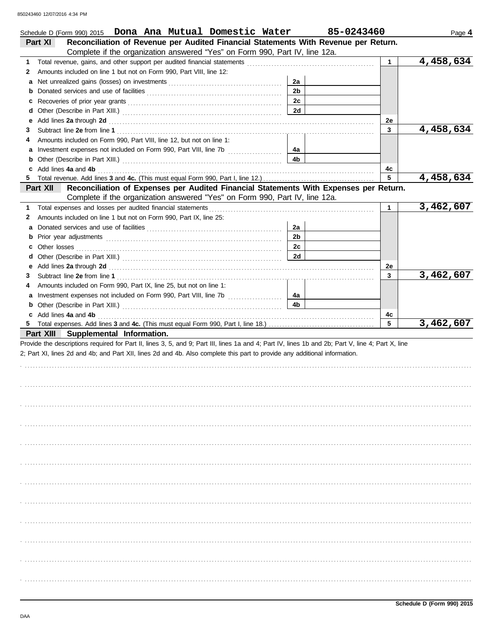| Schedule D (Form 990) 2015  Dona Ana Mutual Domestic Water                                                                                                                                                                                                                                              |                      | 85-0243460   | Page 4    |
|---------------------------------------------------------------------------------------------------------------------------------------------------------------------------------------------------------------------------------------------------------------------------------------------------------|----------------------|--------------|-----------|
| Reconciliation of Revenue per Audited Financial Statements With Revenue per Return.<br><b>Part XI</b>                                                                                                                                                                                                   |                      |              |           |
| Complete if the organization answered "Yes" on Form 990, Part IV, line 12a.                                                                                                                                                                                                                             |                      |              |           |
| 1                                                                                                                                                                                                                                                                                                       |                      | $\mathbf{1}$ | 4,458,634 |
| Amounts included on line 1 but not on Form 990, Part VIII, line 12:<br>2                                                                                                                                                                                                                                |                      |              |           |
| a                                                                                                                                                                                                                                                                                                       | 2a                   |              |           |
|                                                                                                                                                                                                                                                                                                         | 2 <sub>b</sub>       |              |           |
| c                                                                                                                                                                                                                                                                                                       | 2c                   |              |           |
| d                                                                                                                                                                                                                                                                                                       | 2d                   |              |           |
| Add lines 2a through 2d [11, 12] Additional Additional Additional Additional Additional Additional Additional A<br>е                                                                                                                                                                                    |                      | 2e           |           |
| 3                                                                                                                                                                                                                                                                                                       |                      | 3            | 4,458,634 |
| Amounts included on Form 990, Part VIII, line 12, but not on line 1:<br>4                                                                                                                                                                                                                               |                      |              |           |
| a Investment expenses not included on Form 990, Part VIII, line 7b                                                                                                                                                                                                                                      | 4a<br>4 <sub>b</sub> |              |           |
|                                                                                                                                                                                                                                                                                                         |                      |              |           |
| Add lines 4a and 4b <b>contract and 4b</b> and 4b and 4b and 4b and 4c and 4c and 4c and 4c and 4c and 4c and 4c and 4c and 4c and 4c and 4c and 4c and 4c and 4c and 4c and 4c and 4c and 4c and 4c and 4c and 4c and 4c and 4c an<br>c                                                                |                      | 4c<br>5      | 4,458,634 |
| Reconciliation of Expenses per Audited Financial Statements With Expenses per Return.<br>Part XII                                                                                                                                                                                                       |                      |              |           |
| Complete if the organization answered "Yes" on Form 990, Part IV, line 12a.                                                                                                                                                                                                                             |                      |              |           |
| 1                                                                                                                                                                                                                                                                                                       |                      | $\mathbf 1$  | 3,462,607 |
| Total expenses and losses per audited financial statements [11] contain the statements and statements and statements and statements and statements and statements and statements and statements are statements and statements<br>Amounts included on line 1 but not on Form 990, Part IX, line 25:<br>2 |                      |              |           |
| а                                                                                                                                                                                                                                                                                                       | 2a                   |              |           |
| b                                                                                                                                                                                                                                                                                                       | 2 <sub>b</sub>       |              |           |
| c                                                                                                                                                                                                                                                                                                       | 2c                   |              |           |
| Other losses <b>contract the contract of the contract of the contract of the contract of the contract of the contract of the contract of the contract of the contract of the contract of the contract of the contract of the con</b><br>d                                                               | 2d                   |              |           |
| Add lines 2a through 2d [11, 12] Add [12] Add lines 2a through 2d [12] Add lines 2a through 2d [12] Add lines 20 through 2d [12] Add and the set of the set of the set of the set of the set of the set of the set of the set<br>е                                                                      |                      | 2e           |           |
| 3                                                                                                                                                                                                                                                                                                       |                      | 3            | 3,462,607 |
| Amounts included on Form 990, Part IX, line 25, but not on line 1:<br>4                                                                                                                                                                                                                                 |                      |              |           |
|                                                                                                                                                                                                                                                                                                         | 4a                   |              |           |
|                                                                                                                                                                                                                                                                                                         | 4 <sub>b</sub>       |              |           |
| c Add lines 4a and 4b (a) and the contract of the set of the set of the set of the set of the set of the set of the set of the set of the set of the set of the set of the set of the set of the set of the set of the set of                                                                           |                      | 4c           |           |
|                                                                                                                                                                                                                                                                                                         |                      | 5            | 3,462,607 |
| Part XIII Supplemental Information.                                                                                                                                                                                                                                                                     |                      |              |           |
| Provide the descriptions required for Part II, lines 3, 5, and 9; Part III, lines 1a and 4; Part IV, lines 1b and 2b; Part V, line 4; Part X, line                                                                                                                                                      |                      |              |           |
| 2; Part XI, lines 2d and 4b; and Part XII, lines 2d and 4b. Also complete this part to provide any additional information.                                                                                                                                                                              |                      |              |           |
|                                                                                                                                                                                                                                                                                                         |                      |              |           |
|                                                                                                                                                                                                                                                                                                         |                      |              |           |
|                                                                                                                                                                                                                                                                                                         |                      |              |           |
|                                                                                                                                                                                                                                                                                                         |                      |              |           |
|                                                                                                                                                                                                                                                                                                         |                      |              |           |
|                                                                                                                                                                                                                                                                                                         |                      |              |           |
|                                                                                                                                                                                                                                                                                                         |                      |              |           |
|                                                                                                                                                                                                                                                                                                         |                      |              |           |
|                                                                                                                                                                                                                                                                                                         |                      |              |           |
|                                                                                                                                                                                                                                                                                                         |                      |              |           |
|                                                                                                                                                                                                                                                                                                         |                      |              |           |
|                                                                                                                                                                                                                                                                                                         |                      |              |           |
|                                                                                                                                                                                                                                                                                                         |                      |              |           |
|                                                                                                                                                                                                                                                                                                         |                      |              |           |
|                                                                                                                                                                                                                                                                                                         |                      |              |           |
|                                                                                                                                                                                                                                                                                                         |                      |              |           |
|                                                                                                                                                                                                                                                                                                         |                      |              |           |
|                                                                                                                                                                                                                                                                                                         |                      |              |           |
|                                                                                                                                                                                                                                                                                                         |                      |              |           |
|                                                                                                                                                                                                                                                                                                         |                      |              |           |
|                                                                                                                                                                                                                                                                                                         |                      |              |           |
|                                                                                                                                                                                                                                                                                                         |                      |              |           |
|                                                                                                                                                                                                                                                                                                         |                      |              |           |
|                                                                                                                                                                                                                                                                                                         |                      |              |           |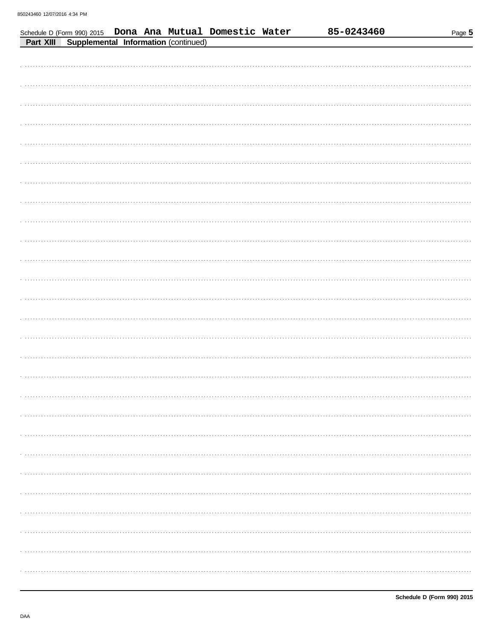Schedule D (Form 990) 2015 Dona Ana Mutual Domestic Water

| <b>Part XIII Supplemental Information (continued)</b> |
|-------------------------------------------------------|
|                                                       |
|                                                       |
|                                                       |
|                                                       |
|                                                       |
|                                                       |
|                                                       |
|                                                       |
|                                                       |
|                                                       |
|                                                       |
|                                                       |
|                                                       |
|                                                       |
|                                                       |
|                                                       |
|                                                       |
|                                                       |
|                                                       |
|                                                       |
|                                                       |
|                                                       |
|                                                       |
|                                                       |
|                                                       |
|                                                       |
|                                                       |
|                                                       |

85-0243460

Page 5